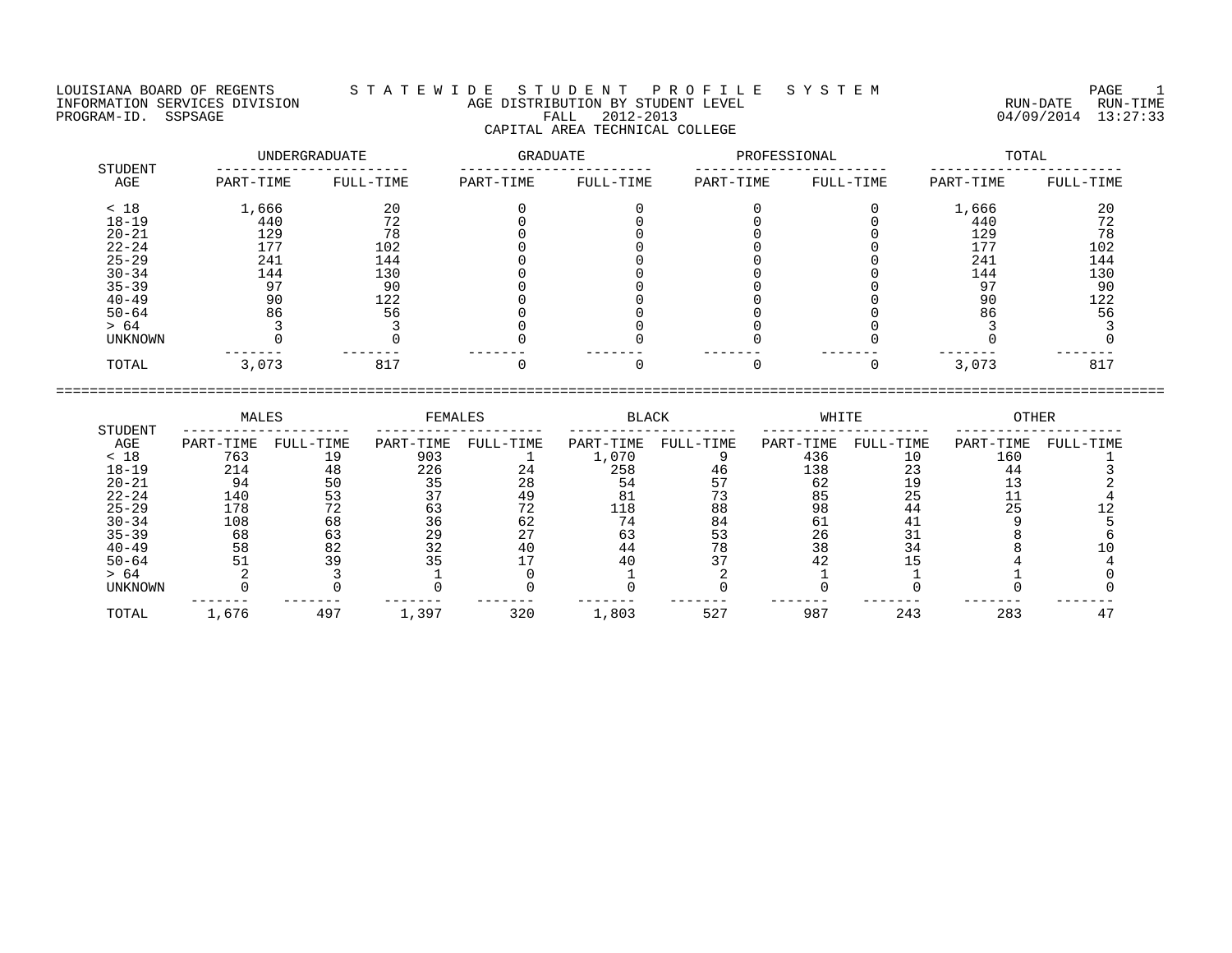## LOUISIANA BOARD OF REGENTS S T A T E W I D E S T U D E N T P R O F I L E S Y S T E M PAGE 1 INFORMATION SERVICES DIVISION AGE DISTRIBUTION BY STUDENT LEVEL RUN-DATE RUN-TIME ENGENIE SOMETHOUS DIVISION CONTROLLED TO AGE DISTRIBUTION BY STUDENT LEVEL CONTROLLED TO THE RUN-DATE RUN-TIME<br>PROGRAM-ID. SSPSAGE PROGRAM-ID. SSPSAGE PALL 2012-2013 04/09/2014 13:27:33 CAPITAL AREA TECHNICAL COLLEGE

|                | UNDERGRADUATE |           | GRADUATE  |           | PROFESSIONAL |           | TOTAL     |           |  |
|----------------|---------------|-----------|-----------|-----------|--------------|-----------|-----------|-----------|--|
| STUDENT<br>AGE | PART-TIME     | FULL-TIME | PART-TIME | FULL-TIME | PART-TIME    | FULL-TIME | PART-TIME | FULL-TIME |  |
| < 18           | 1,666         | 20        |           |           |              |           | 1,666     | 20        |  |
| $18 - 19$      | 440           | 72        |           |           |              |           | 440       | 72        |  |
| $20 - 21$      | 129           | 78        |           |           |              |           | 129       | 78        |  |
| $22 - 24$      | 177           | 102       |           |           |              |           | 177       | 102       |  |
| $25 - 29$      | 241           | 144       |           |           |              |           | 241       | 144       |  |
| $30 - 34$      | 144           | 130       |           |           |              |           | 144       | 130       |  |
| $35 - 39$      | 97            | 90        |           |           |              |           | 97        | 90        |  |
| $40 - 49$      | 90            | 122       |           |           |              |           | 90        | 122       |  |
| $50 - 64$      | 86            | 56        |           |           |              |           | 86        | 56        |  |
| > 64           |               |           |           |           |              |           |           |           |  |
| UNKNOWN        |               |           |           |           |              |           |           |           |  |
| TOTAL          | 3,073         | 817       |           |           |              |           | 3,073     | 817       |  |

|                | MALES     |           | FEMALES   |           | <b>BLACK</b> |           | WHITE     |           | OTHER     |           |
|----------------|-----------|-----------|-----------|-----------|--------------|-----------|-----------|-----------|-----------|-----------|
| STUDENT<br>AGE | PART-TIME | FULL-TIME | PART-TIME | FULL-TIME | PART-TIME    | FULL-TIME | PART-TIME | FULL-TIME | PART-TIME | FULL-TIME |
| < 18           | 763       | 19        | 903       |           | L,070        |           | 436       | 10        | 160       |           |
| $18 - 19$      | 214       | 48        | 226       | 24        | 258          | 46        | 138       |           | 44        |           |
| $20 - 21$      | 94        |           | 35        | 28        |              |           | 62        |           |           |           |
| $22 - 24$      | 140       |           |           | 49        | 81           |           | 85        | 25        |           |           |
| $25 - 29$      | 178       |           |           |           | 118          | 88        | 98        | 44        | 25        |           |
| $30 - 34$      | 108       | 68        | 36        | 62        |              | 84        | Юİ        |           |           |           |
| $35 - 39$      | 68        | 63        | 29        |           | 63           |           | 26        |           |           |           |
| $40 - 49$      | 58        | 82        |           | 40        | 44           | 78        | 38        |           |           |           |
| $50 - 64$      |           | 39        |           |           |              |           | 42        |           |           |           |
| > 64           |           |           |           |           |              |           |           |           |           |           |
| <b>UNKNOWN</b> |           |           |           |           |              |           |           |           |           |           |
| TOTAL          | 1,676     | 497       | ⊥,397     | 320       | 1,803        | 527       | 987       | 243       | 283       |           |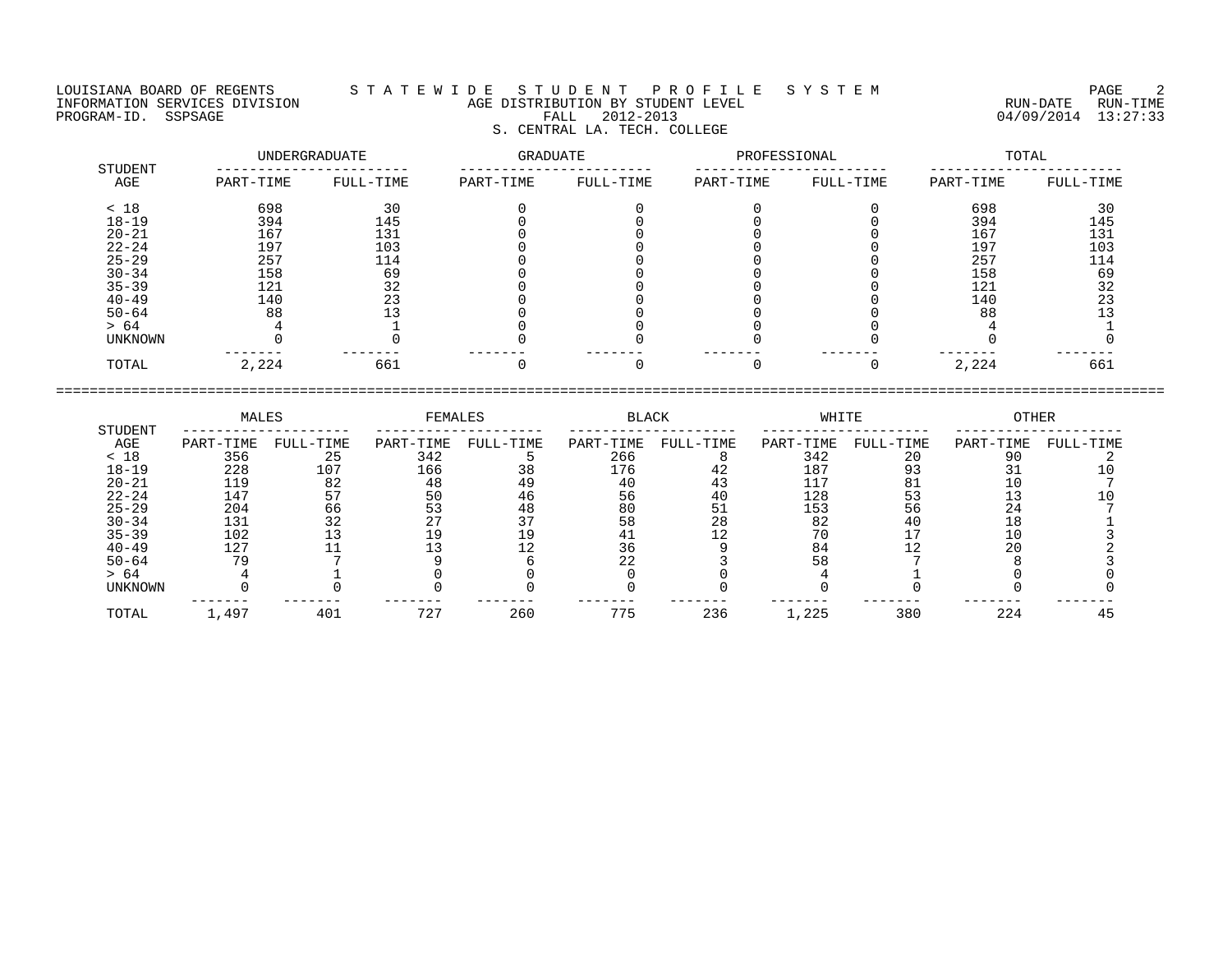## LOUISIANA BOARD OF REGENTS S T A T E W I D E S T U D E N T P R O F I L E S Y S T E M PAGE 2 INFORMATION SERVICES DIVISION AGE DISTRIBUTION BY STUDENT LEVEL RUN-DATE RUN-TIME PROGRAM-ID. SSPSAGE FALL 2012-2013 04/09/2014 13:27:33 S. CENTRAL LA. TECH. COLLEGE

| STUDENT   | UNDERGRADUATE |           | GRADUATE  |           | PROFESSIONAL |           | TOTAL     |           |
|-----------|---------------|-----------|-----------|-----------|--------------|-----------|-----------|-----------|
| AGE       | PART-TIME     | FULL-TIME | PART-TIME | FULL-TIME | PART-TIME    | FULL-TIME | PART-TIME | FULL-TIME |
| < 18      | 698           | 30        |           |           |              |           | 698       | 30        |
| $18 - 19$ | 394           | 145       |           |           |              |           | 394       | 145       |
| $20 - 21$ | 167           | 131       |           |           |              |           | 167       | 131       |
| $22 - 24$ | 197           | 103       |           |           |              |           | 197       | 103       |
| $25 - 29$ | 257           | 114       |           |           |              |           | 257       | 114       |
| $30 - 34$ | 158           | 69        |           |           |              |           | 158       | 69        |
| $35 - 39$ | 121           | 32        |           |           |              |           | 121       | 32        |
| $40 - 49$ | 140           | 23        |           |           |              |           | 140       | 23        |
| $50 - 64$ | 88            |           |           |           |              |           | 88        |           |
| > 64      |               |           |           |           |              |           |           |           |
| UNKNOWN   |               |           |           |           |              |           |           |           |
| TOTAL     | 2,224         | 661       |           |           |              |           | 2,224     | 661       |

|                | MALES     |           | FEMALES   |           | BLACK     |           | WHITE     |           | OTHER     |           |
|----------------|-----------|-----------|-----------|-----------|-----------|-----------|-----------|-----------|-----------|-----------|
| STUDENT<br>AGE | PART-TIME | FULL-TIME | PART-TIME | FULL-TIME | PART-TIME | FULL-TIME | PART-TIME | FULL-TIME | PART-TIME | FULL-TIME |
| < 18           | 356       | 25        | 342       |           | 266       |           | 342       | 20        |           |           |
| $18 - 19$      | 228       | 107       | 166       | 38        | 176       | 42        | 187       |           |           |           |
| $20 - 21$      | 119       |           | 48        | 49        |           |           | 117       |           |           |           |
| $22 - 24$      | 147       |           | 50        | 46        | 56        | 40        | 128       | 53        |           |           |
| $25 - 29$      | 204       | 66        |           | 48        | 80        |           | 153       | 56        | 24        |           |
| $30 - 34$      | 131       | 32        |           |           | 58        | 28        | 82        |           |           |           |
| $35 - 39$      | 102       |           |           |           |           |           |           |           | 1 C       |           |
| $40 - 49$      | 127       |           |           |           |           |           | 84        |           | 20        |           |
| $50 - 64$      | 70        |           |           |           |           |           |           |           |           |           |
| > 64           |           |           |           |           |           |           |           |           |           |           |
| UNKNOWN        |           |           |           |           |           |           |           |           |           |           |
| TOTAL          | 1,497     | 401       | 727       | 260       | 775       | 236       | 1,225     | 380       | 224       |           |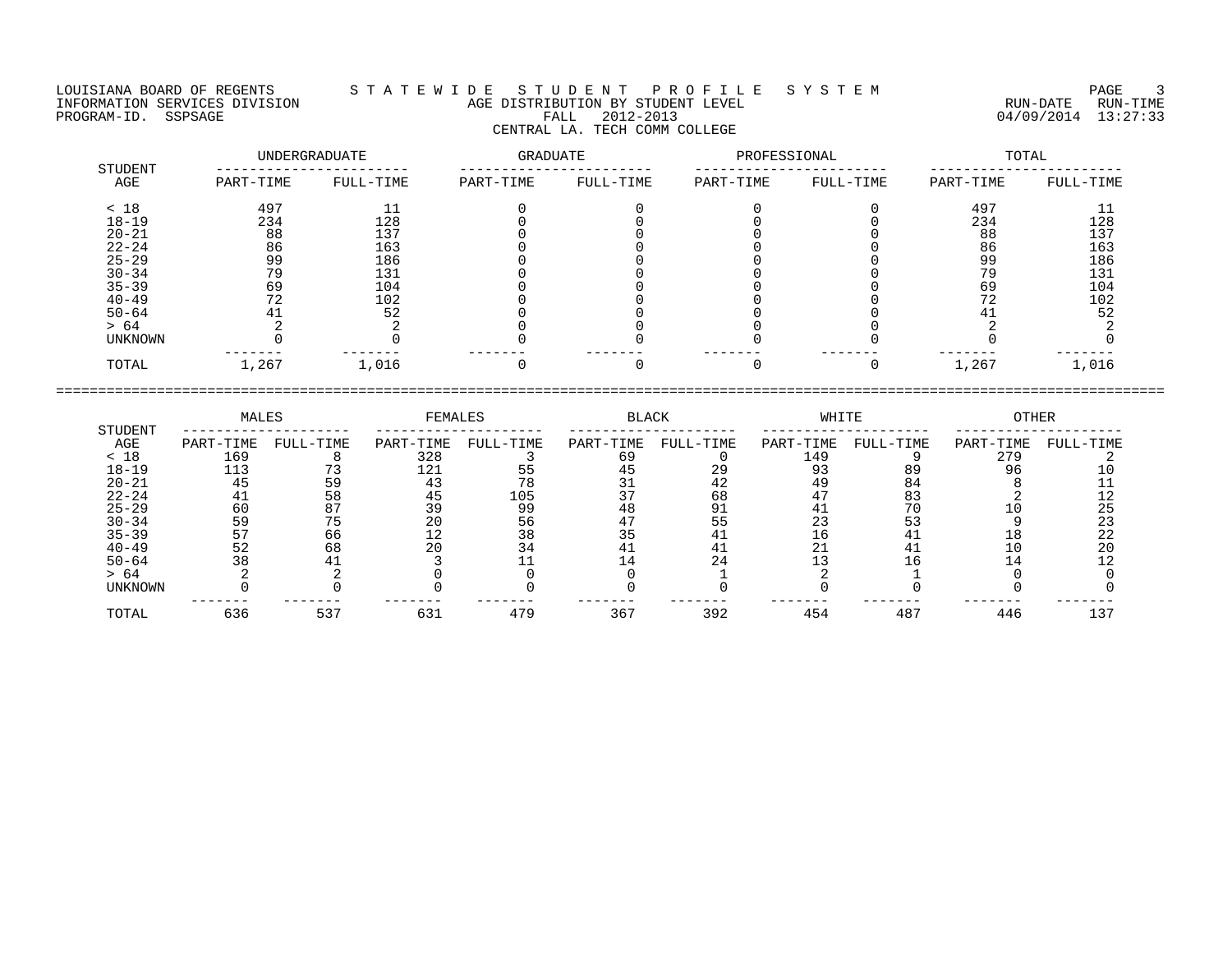LOUISIANA BOARD OF REGENTS S T A T E W I D E S T U D E N T P R O F I L E S Y S T E M PAGE 3 INFORMATION SERVICES DIVISION AGE DISTRIBUTION BY STUDENT LEVEL RUN-DATE RUN-TIME PROGRAM-ID. SSPSAGE FALL 2012-2013 04/09/2014 13:27:33 CENTRAL LA. TECH COMM COLLEGE

| STUDENT        |           | UNDERGRADUATE | GRADUATE  |           | PROFESSIONAL |           | TOTAL     |           |  |
|----------------|-----------|---------------|-----------|-----------|--------------|-----------|-----------|-----------|--|
| AGE            | PART-TIME | FULL-TIME     | PART-TIME | FULL-TIME | PART-TIME    | FULL-TIME | PART-TIME | FULL-TIME |  |
| < 18           | 497       |               |           |           |              |           | 497       |           |  |
| $18 - 19$      | 234       | 128           |           |           |              |           | 234       | 128       |  |
| $20 - 21$      | 88        | 137           |           |           |              |           | 88        | 137       |  |
| $22 - 24$      | 86        | 163           |           |           |              |           | 86        | 163       |  |
| $25 - 29$      | 99        | 186           |           |           |              |           | 99        | 186       |  |
| $30 - 34$      | 79        | 131           |           |           |              |           | 79        | 131       |  |
| $35 - 39$      | 69        | 104           |           |           |              |           | 69        | 104       |  |
| $40 - 49$      |           | 102           |           |           |              |           | 72        | 102       |  |
| $50 - 64$      |           | 52            |           |           |              |           |           | 52        |  |
| > 64           |           |               |           |           |              |           |           |           |  |
| <b>UNKNOWN</b> |           |               |           |           |              |           |           |           |  |
| TOTAL          | 1,267     | 1,016         |           |           |              |           | 1,267     | 1,016     |  |

====================================================================================================================================

 MALES FEMALES BLACK WHITE OTHER STUDENT -------------------- -------------------- -------------------- -------------------- -------------------- AGE PART-TIME FULL-TIME PART-TIME FULL-TIME PART-TIME FULL-TIME PART-TIME FULL-TIME PART-TIME FULL-TIME < 18 169 8 328 3 69 0 149 9 279 2 18-19 113 73 121 55 45 29 93 89 96 10 20-21 45 59 43 78 31 42 49 84 8 11 22-24 41 58 45 105 37 68 47 83 2 12 25-29 60 87 39 99 48 91 41 70 10 25 30-34 59 75 20 56 47 55 23 53 9 23 35-39 57 66 12 38 35 41 16 41 18 22 40-49 52 68 20 34 41 41 21 41 10 20 50-64 38 41 3 11 14 24 13 16 14 12 > 64 2 2 0 0 0 1 2 1 0 0 UNKNOWN 0 0 0 0 0 0 0 0 0 0 ------- ------- ------- ------- ------- ------- ------- ------- ------- ------- TOTAL 636 537 631 479 367 392 454 487 446 137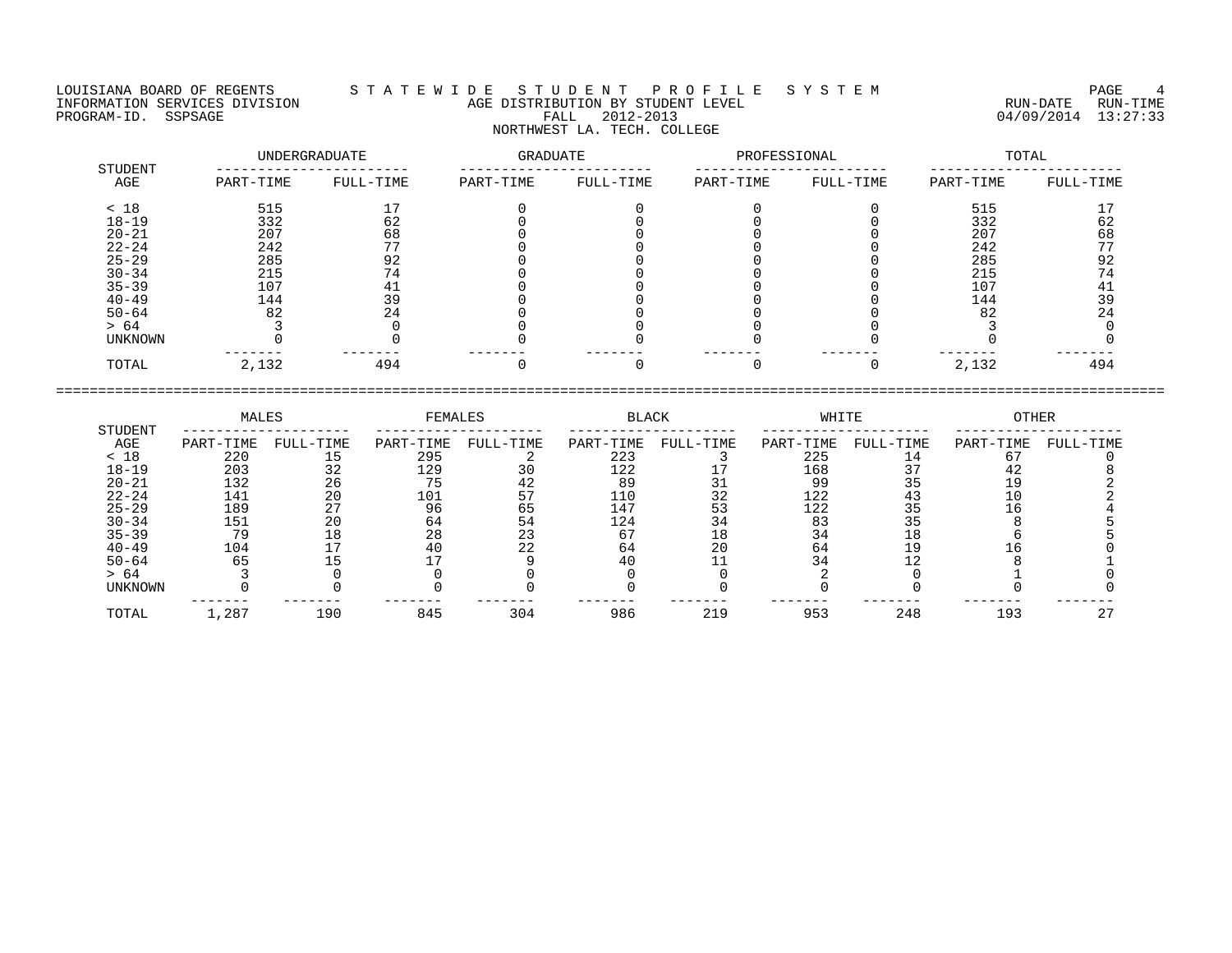LOUISIANA BOARD OF REGENTS S T A T E W I D E S T U D E N T P R O F I L E S Y S T E M PAGE 4 INFORMATION SERVICES DIVISION AGE DISTRIBUTION BY STUDENT LEVEL RUN-DATE RUN-TIME PROGRAM-ID. SSPSAGE FALL 2012-2013 04/09/2014 13:27:33 NORTHWEST LA. TECH. COLLEGE

| STUDENT        |           | UNDERGRADUATE |           | <b>GRADUATE</b> |           | PROFESSIONAL | TOTAL     |           |  |
|----------------|-----------|---------------|-----------|-----------------|-----------|--------------|-----------|-----------|--|
| AGE            | PART-TIME | FULL-TIME     | PART-TIME | FULL-TIME       | PART-TIME | FULL-TIME    | PART-TIME | FULL-TIME |  |
| < 18           | 515       | 17            |           |                 |           |              | 515       |           |  |
| $18 - 19$      | 332       | 62            |           |                 |           |              | 332       | 62        |  |
| $20 - 21$      | 207       | 68            |           |                 |           |              | 207       | 68        |  |
| $22 - 24$      | 242       | 77            |           |                 |           |              | 242       | 77        |  |
| $25 - 29$      | 285       | 92            |           |                 |           |              | 285       | 92        |  |
| $30 - 34$      | 215       | 74            |           |                 |           |              | 215       | 74        |  |
| $35 - 39$      | 107       | 41            |           |                 |           |              | 107       | 41        |  |
| $40 - 49$      | 144       | 39            |           |                 |           |              | 144       | 39        |  |
| $50 - 64$      | 82        | 24            |           |                 |           |              | 82        | 24        |  |
| > 64           |           |               |           |                 |           |              |           |           |  |
| <b>UNKNOWN</b> |           |               |           |                 |           |              |           |           |  |
| TOTAL          | 2,132     | 494           |           |                 |           |              | 2,132     | 494       |  |

====================================================================================================================================

 MALES FEMALES BLACK WHITE OTHER STUDENT -------------------- -------------------- -------------------- -------------------- -------------------- AGE PART-TIME FULL-TIME PART-TIME FULL-TIME PART-TIME FULL-TIME PART-TIME FULL-TIME PART-TIME FULL-TIME < 18 220 15 295 2 223 3 225 14 67 0 18-19 203 32 129 30 122 17 168 37 42 8 20-21 132 26 75 42 89 31 99 35 19 2 22-24 141 20 101 57 110 32 122 43 10 2 25-29 189 27 96 65 147 53 122 35 16 4 30-34 151 20 64 54 124 34 83 35 8 5 35-39 79 18 28 23 67 18 34 18 6 5 40-49 104 17 40 22 64 20 64 19 16 0 50-64 65 15 17 9 40 11 34 12 8 1 > 64 3 0 0 0 0 0 2 0 1 0 UNKNOWN 0 0 0 0 0 0 0 0 0 0 ------- ------- ------- ------- ------- ------- ------- ------- ------- ------- TOTAL 1,287 190 845 304 986 219 953 248 193 27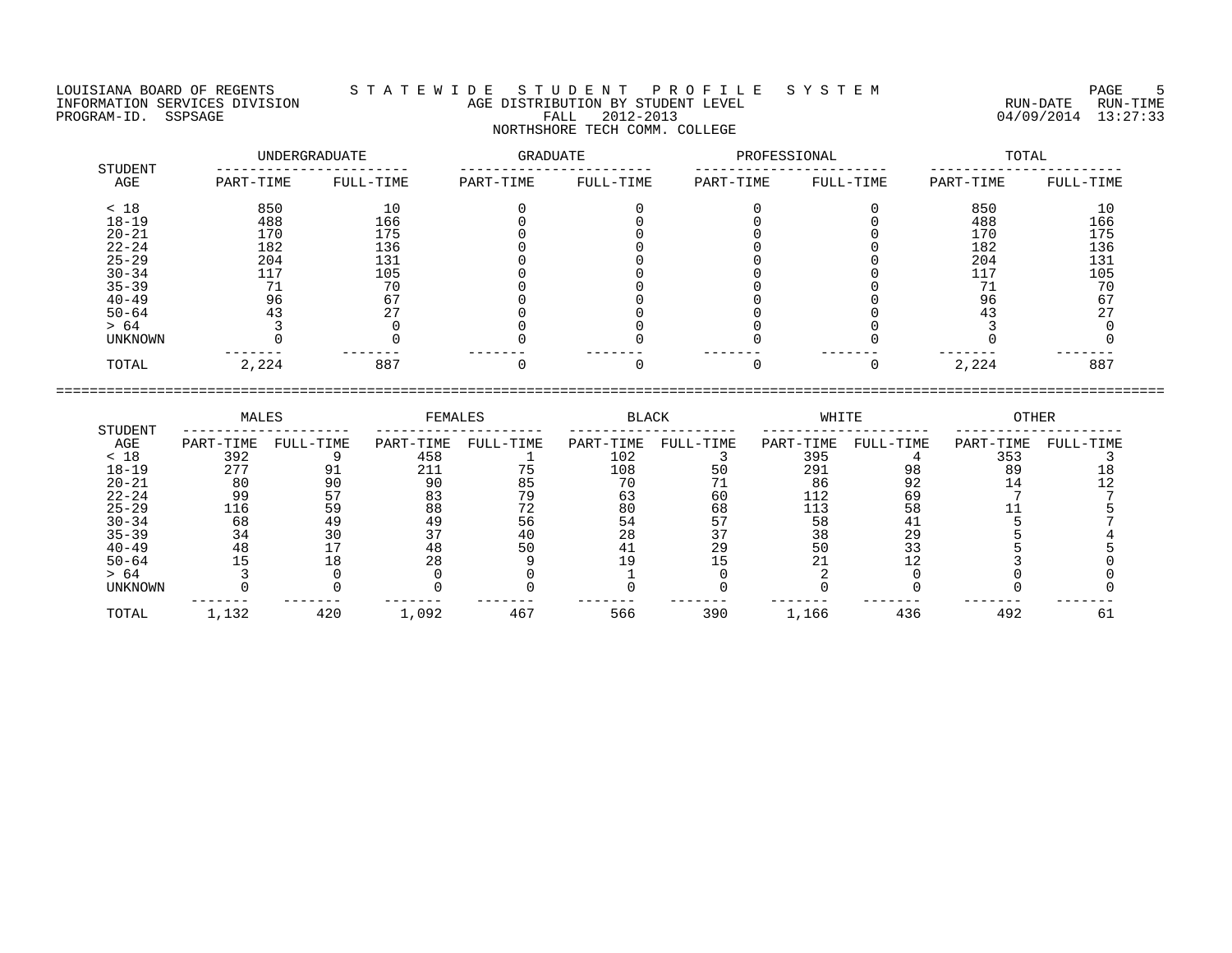LOUISIANA BOARD OF REGENTS S T A T E W I D E S T U D E N T P R O F I L E S Y S T E M PAGE 5 NORTHSHORE TECH COMM. COLLEGE

INFORMATION SERVICES DIVISION AGE DISTRIBUTION BY STUDENT LEVEL RUN-DATE RUN-TIME PROGRAM-ID. SSPSAGE FALL 2012-2013 04/09/2014 13:27:33

| STUDENT   |           | UNDERGRADUATE | <b>GRADUATE</b> |           | PROFESSIONAL |           | TOTAL     |           |  |
|-----------|-----------|---------------|-----------------|-----------|--------------|-----------|-----------|-----------|--|
| AGE       | PART-TIME | FULL-TIME     | PART-TIME       | FULL-TIME | PART-TIME    | FULL-TIME | PART-TIME | FULL-TIME |  |
| < 18      | 850       | 10            |                 |           |              |           | 850       | 10        |  |
| $18 - 19$ | 488       | 166           |                 |           |              |           | 488       | 166       |  |
| $20 - 21$ | 170       | 175           |                 |           |              |           | 170       | 175       |  |
| $22 - 24$ | 182       | 136           |                 |           |              |           | 182       | 136       |  |
| $25 - 29$ | 204       | 131           |                 |           |              |           | 204       | 131       |  |
| $30 - 34$ | 117       | 105           |                 |           |              |           | 117       | 105       |  |
| $35 - 39$ |           | 70            |                 |           |              |           | 71        | 70        |  |
| $40 - 49$ | 96        |               |                 |           |              |           | 96        | 67        |  |
| $50 - 64$ | 43        |               |                 |           |              |           | 43        |           |  |
| > 64      |           |               |                 |           |              |           |           |           |  |
| UNKNOWN   |           |               |                 |           |              |           |           |           |  |
| TOTAL     | 2,224     | 887           |                 |           |              |           | 2,224     | 887       |  |

| STUDENT   | MALES     |           | <b>FEMALES</b> |           | <b>BLACK</b> |           | WHITE     |           | <b>OTHER</b> |           |
|-----------|-----------|-----------|----------------|-----------|--------------|-----------|-----------|-----------|--------------|-----------|
| AGE       | PART-TIME | FULL-TIME | PART-TIME      | FULL-TIME | PART-TIME    | FULL-TIME | PART-TIME | FULL-TIME | PART-TIME    | FULL-TIME |
| < 18      | 392       |           | 458            |           | 102          |           | 395       |           | 353          |           |
| $18 - 19$ | 277       | 91        | 211            |           | 108          | 50        | 291       | 98        | 89           |           |
| $20 - 21$ | 80        | 90        | 90             | 85        | 70           |           | 86        | 92        | 14           |           |
| $22 - 24$ | 99        |           | 83             | 79        | 63           | 60        | 112       | 69        |              |           |
| $25 - 29$ | 116       | 59        | 88             | 72        | 80           | 68        | 113       | 58        |              |           |
| $30 - 34$ | 68        | 49        | 49             | 56        | 54           |           | 58        |           |              |           |
| $35 - 39$ | 34        | 30        | 37             | 40        | 28           |           | 38        | 29        |              |           |
| $40 - 49$ | 48        |           | 48             | 50        | 41           | 29        | 50        |           |              |           |
| $50 - 64$ |           |           | 28             |           | 19           |           | 21        |           |              |           |
| > 64      |           |           |                |           |              |           |           |           |              |           |
| UNKNOWN   |           |           |                |           |              |           |           |           |              |           |
| TOTAL     | 1,132     | 420       | 1,092          | 467       | 566          | 390       | 1,166     | 436       | 492          | 6         |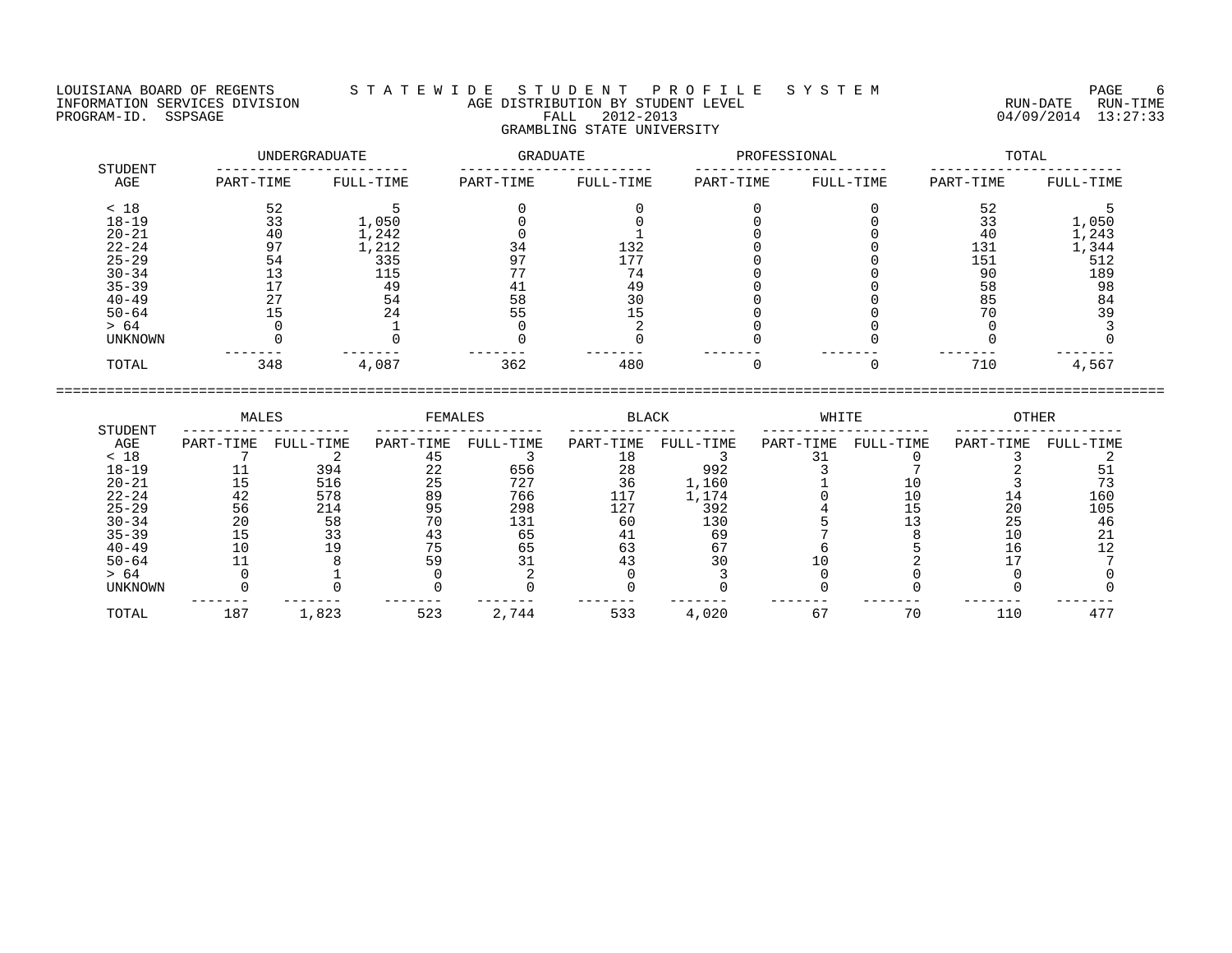LOUISIANA BOARD OF REGENTS S T A T E W I D E S T U D E N T P R O F I L E S Y S T E M PAGE 6 INFORMATION SERVICES DIVISION AGE DISTRIBUTION BY STUDENT LEVEL RUN-DATE RUN-TIME PROGRAM-ID. SSPSAGE FALL 2012-2013 04/09/2014 13:27:33 GRAMBLING STATE UNIVERSITY

| <b>STUDENT</b> |           | UNDERGRADUATE | GRADUATE  |           | PROFESSIONAL |           | TOTAL     |           |  |
|----------------|-----------|---------------|-----------|-----------|--------------|-----------|-----------|-----------|--|
| AGE            | PART-TIME | FULL-TIME     | PART-TIME | FULL-TIME | PART-TIME    | FULL-TIME | PART-TIME | FULL-TIME |  |
| < 18           | 52        |               |           |           |              |           | 52        |           |  |
| $18 - 19$      | 33        | 1,050         |           |           |              |           | 33        | 1,050     |  |
| $20 - 21$      | 40        | 1,242         |           |           |              |           | 40        | 1,243     |  |
| $22 - 24$      | 97        | 1,212         | 34        | 132       |              |           | 131       | 1,344     |  |
| $25 - 29$      | 54        | 335           | 97        | 177       |              |           | 151       | 512       |  |
| $30 - 34$      | 13        | 115           |           | 74        |              |           | 90        | 189       |  |
| $35 - 39$      |           | 49            |           | 49        |              |           | 58        | 98        |  |
| $40 - 49$      |           | 54            | 58        | 30        |              |           | 85        | 84        |  |
| $50 - 64$      |           | 24            | 55        |           |              |           | 70        | 39        |  |
| > 64           |           |               |           |           |              |           |           |           |  |
| <b>UNKNOWN</b> |           |               |           |           |              |           |           |           |  |
| TOTAL          | 348       | 4,087         | 362       | 480       |              |           | 710       | 4,567     |  |

| MALES<br>FEMALES<br>BLACK<br>WHITE<br>STUDENT<br>AGE<br>FULL-TIME<br>FULL-TIME<br>PART-TIME<br>FULL-TIME<br>PART-TIME<br>PART-TIME<br>PART-TIME<br>< 18<br>$18 - 19$<br>394<br>656<br>992<br>28<br>22<br>$20 - 21$<br>727<br>36<br>516<br>25<br>1,160<br>$22 - 24$<br>578<br>89<br>766<br>117<br>1,174<br>42<br>$25 - 29$<br>298<br>392<br>214<br>127<br>56<br>95<br>$30 - 34$<br>20<br>130<br>131<br>58<br>60<br>$35 - 39$<br>33<br>69<br>15<br>65<br>41<br>$40 - 49$<br>63<br>67<br>$\circ$<br>65<br>$50 - 64$<br>30<br>> 64 |         |  |  |  |  |           |           |           |
|--------------------------------------------------------------------------------------------------------------------------------------------------------------------------------------------------------------------------------------------------------------------------------------------------------------------------------------------------------------------------------------------------------------------------------------------------------------------------------------------------------------------------------|---------|--|--|--|--|-----------|-----------|-----------|
|                                                                                                                                                                                                                                                                                                                                                                                                                                                                                                                                |         |  |  |  |  |           | OTHER     |           |
|                                                                                                                                                                                                                                                                                                                                                                                                                                                                                                                                |         |  |  |  |  | FULL-TIME | PART-TIME | FULL-TIME |
|                                                                                                                                                                                                                                                                                                                                                                                                                                                                                                                                |         |  |  |  |  |           |           |           |
|                                                                                                                                                                                                                                                                                                                                                                                                                                                                                                                                |         |  |  |  |  |           |           |           |
|                                                                                                                                                                                                                                                                                                                                                                                                                                                                                                                                |         |  |  |  |  |           |           |           |
|                                                                                                                                                                                                                                                                                                                                                                                                                                                                                                                                |         |  |  |  |  |           | 14        | 160       |
|                                                                                                                                                                                                                                                                                                                                                                                                                                                                                                                                |         |  |  |  |  |           | 20        | 105       |
|                                                                                                                                                                                                                                                                                                                                                                                                                                                                                                                                |         |  |  |  |  |           | 25        | 46        |
|                                                                                                                                                                                                                                                                                                                                                                                                                                                                                                                                |         |  |  |  |  |           |           |           |
|                                                                                                                                                                                                                                                                                                                                                                                                                                                                                                                                |         |  |  |  |  |           |           |           |
|                                                                                                                                                                                                                                                                                                                                                                                                                                                                                                                                |         |  |  |  |  |           |           |           |
|                                                                                                                                                                                                                                                                                                                                                                                                                                                                                                                                |         |  |  |  |  |           |           |           |
|                                                                                                                                                                                                                                                                                                                                                                                                                                                                                                                                | UNKNOWN |  |  |  |  |           |           |           |

TOTAL 187 1,823 523 2,744 533 4,020 67 70 110 477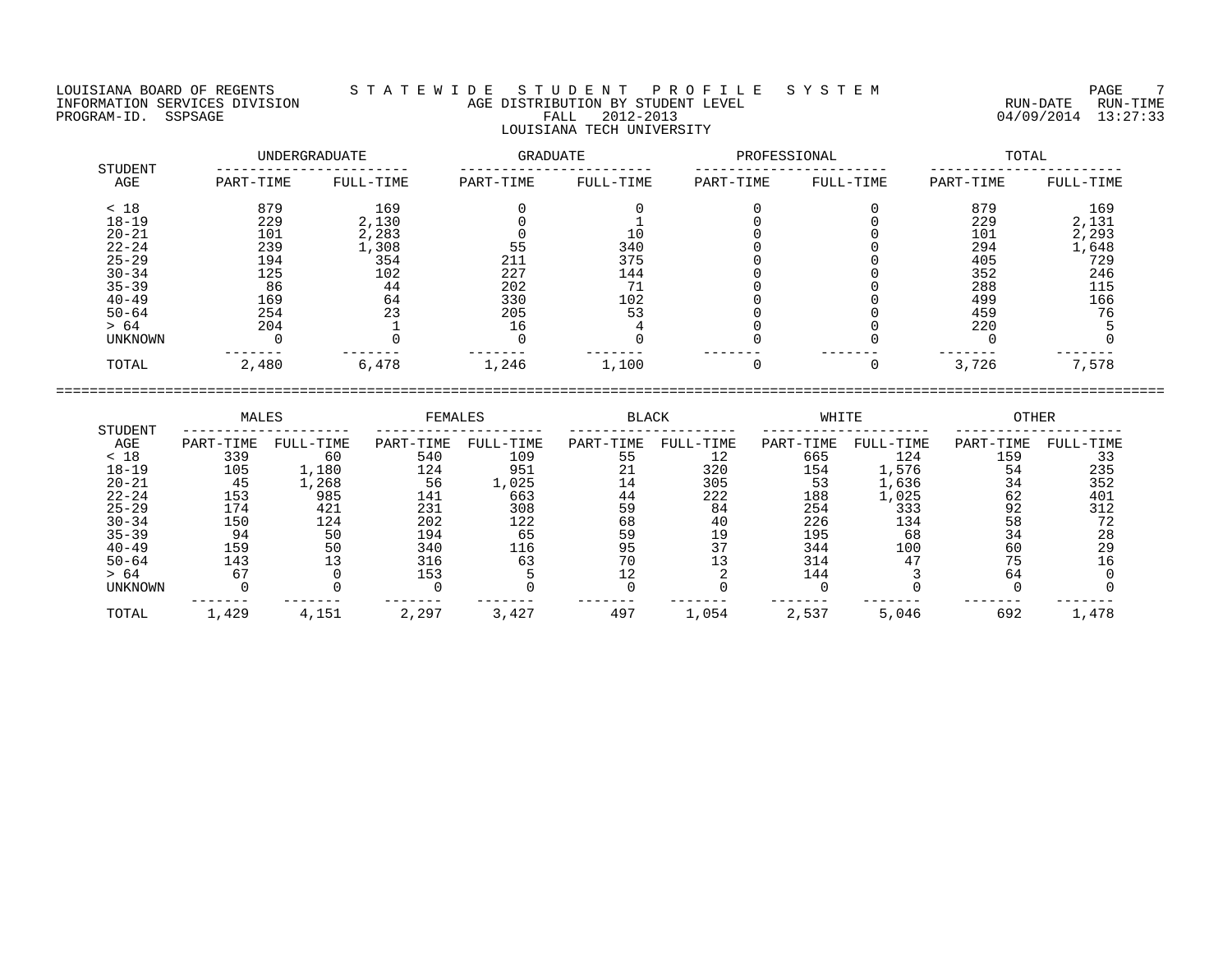## LOUISIANA BOARD OF REGENTS S T A T E W I D E S T U D E N T P R O F I L E S Y S T E M PAGE 7 INFORMATION SERVICES DIVISION AGE DISTRIBUTION BY STUDENT LEVEL RUN-DATE RUN-TIME ENGENIES DERVICES DIVISION CONTRACTED TO AGE DISTRIBUTION BY STUDENT LEVEL CONTRACTION SERVICES DIVISION CONTRA<br>PROGRAM-ID. SSPSAGE PROGRAM-ID. SSPSAGE PALL 2012-2013 04/09/2014 13:27:33 LOUISIANA TECH UNIVERSITY

|                | UNDERGRADUATE |           | GRADUATE  |           | PROFESSIONAL |           | TOTAL     |           |  |
|----------------|---------------|-----------|-----------|-----------|--------------|-----------|-----------|-----------|--|
| STUDENT<br>AGE | PART-TIME     | FULL-TIME | PART-TIME | FULL-TIME | PART-TIME    | FULL-TIME | PART-TIME | FULL-TIME |  |
| < 18           | 879           | 169       |           |           |              |           | 879       | 169       |  |
| $18 - 19$      | 229           | 2,130     |           |           |              |           | 229       | 2,131     |  |
| $20 - 21$      | 101           | 2,283     |           | 10        |              |           | 101       | 2,293     |  |
| $22 - 24$      | 239           | 1,308     | 55        | 340       |              |           | 294       | 1,648     |  |
| $25 - 29$      | 194           | 354       | 211       | 375       |              |           | 405       | 729       |  |
| $30 - 34$      | 125           | 102       | 227       | 144       |              |           | 352       | 246       |  |
| $35 - 39$      | 86            | 44        | 202       | 71        |              |           | 288       | 115       |  |
| $40 - 49$      | 169           | 64        | 330       | 102       |              |           | 499       | 166       |  |
| $50 - 64$      | 254           | 23        | 205       | 53        |              |           | 459       | 76        |  |
| > 64           | 204           |           | 16        |           |              |           | 220       |           |  |
| UNKNOWN        |               |           |           |           |              |           |           |           |  |
| TOTAL          | 2,480         | 6,478     | 1,246     | 1,100     |              |           | 3,726     | 7,578     |  |

|                | MALES     |           | FEMALES   |           | <b>BLACK</b> |           | WHITE     |           | OTHER     |           |
|----------------|-----------|-----------|-----------|-----------|--------------|-----------|-----------|-----------|-----------|-----------|
| STUDENT<br>AGE | PART-TIME | FULL-TIME | PART-TIME | FULL-TIME | PART-TIME    | FULL-TIME | PART-TIME | FULL-TIME | PART-TIME | FULL-TIME |
| < 18           | 339       | 60        | 540       | 109       | 55           | 12        | 665       | 124       | 159       |           |
| $18 - 19$      | 105       | 1,180     | 124       | 951       | 21           | 320       | 154       | 1,576     | 54        | 235       |
| $20 - 21$      | 45        | 1,268     | 56        | 1,025     | 14           | 305       | 53        | 1,636     | 34        | 352       |
| $22 - 24$      | 153       | 985       | 141       | 663       | 44           | 222       | 188       | 1,025     | 62        | 401       |
| $25 - 29$      | 174       | 421       | 231       | 308       | 59           | 84        | 254       | 333       | 92        | 312       |
| $30 - 34$      | 150       | 124       | 202       | 122       | 68           | 40        | 226       | 134       | 58        | 72        |
| $35 - 39$      | 94        | 50        | 194       | 65        | 59           | 19        | 195       | 68        | 34        | 28        |
| $40 - 49$      | 159       | 50        | 340       | 116       | 95           |           | 344       | 100       | 60        | 29        |
| $50 - 64$      | 143       |           | 316       | 63        | 70           |           | 314       | 47        |           |           |
| > 64           |           |           | 153       |           |              |           | 144       |           | 64        |           |
| UNKNOWN        |           |           |           |           |              |           |           |           |           |           |
| TOTAL          | 1,429     | 4,151     | 2,297     | 3,427     | 497          | 1,054     | 2,537     | 5,046     | 692       | 1,478     |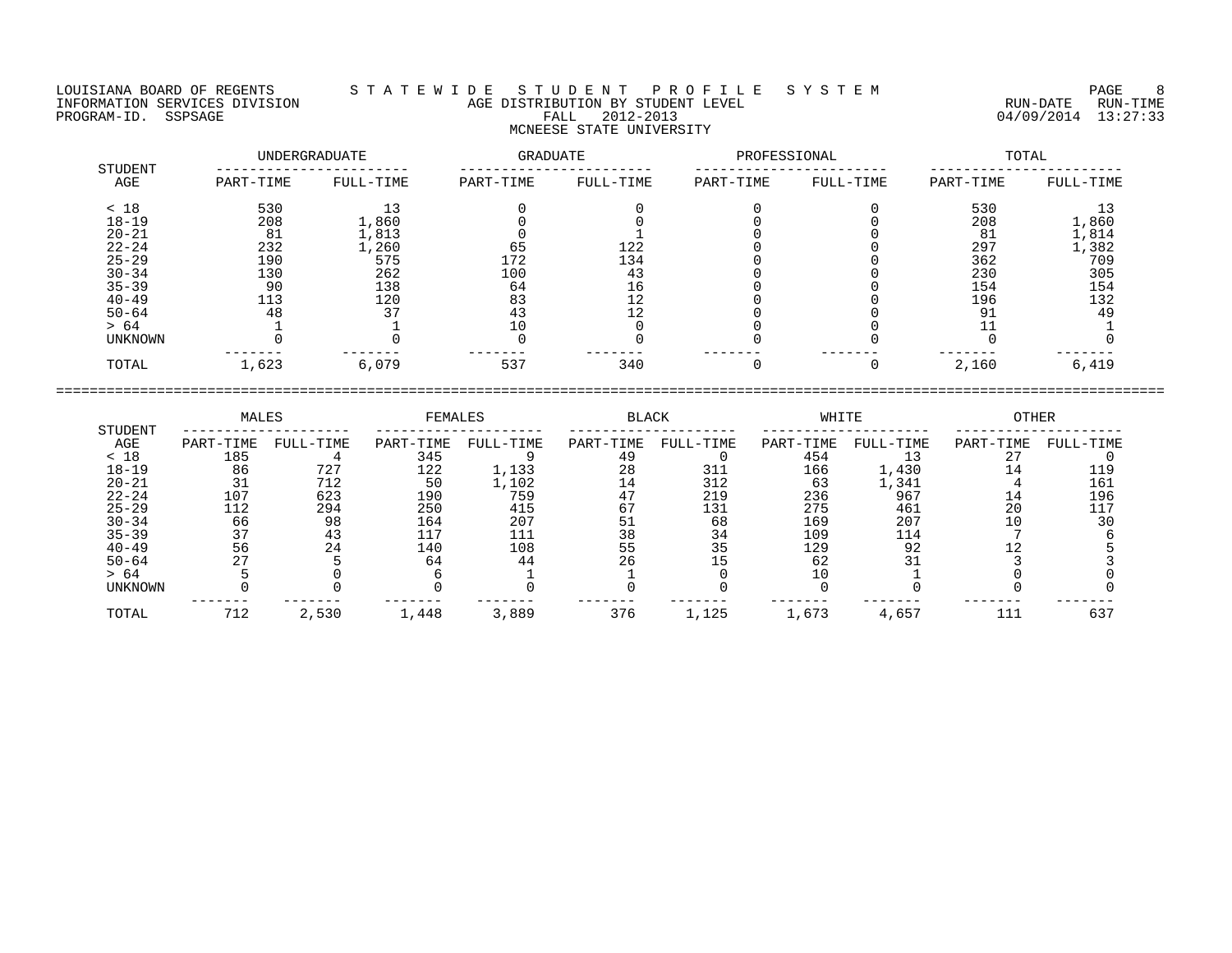## LOUISIANA BOARD OF REGENTS S T A T E W I D E S T U D E N T P R O F I L E S Y S T E M PAGE 8 INFORMATION SERVICES DIVISION AGE DISTRIBUTION BY STUDENT LEVEL RUN-DATE RUN-TIME ENGENIE SOMETHOUS DIVISION CONTROLLED TO AGE DISTRIBUTION BY STUDENT LEVEL CONTROLLED TO A RUN-DATE RUN-TIME RUN<br>PROGRAM-ID. SSPSAGE PROGRAM-ID. SSPSAGE PALL 2012-2013 04/09/2014 13:27:33 MCNEESE STATE UNIVERSITY

|                | UNDERGRADUATE |           | GRADUATE  |           | PROFESSIONAL |           | TOTAL     |           |  |
|----------------|---------------|-----------|-----------|-----------|--------------|-----------|-----------|-----------|--|
| STUDENT<br>AGE | PART-TIME     | FULL-TIME | PART-TIME | FULL-TIME | PART-TIME    | FULL-TIME | PART-TIME | FULL-TIME |  |
| < 18           | 530           |           |           |           |              |           | 530       | 13        |  |
| $18 - 19$      | 208           | 1,860     |           |           |              |           | 208       | 1,860     |  |
| $20 - 21$      | 81            | 1,813     |           |           |              |           | 81        | 1,814     |  |
| $22 - 24$      | 232           | 1,260     | 65        | 122       |              |           | 297       | 1,382     |  |
| $25 - 29$      | 190           | 575       | 172       | 134       |              |           | 362       | 709       |  |
| $30 - 34$      | 130           | 262       | 100       | 43        |              |           | 230       | 305       |  |
| $35 - 39$      | 90            | 138       | 64        | 16        |              |           | 154       | 154       |  |
| $40 - 49$      | 113           | 120       | 83        | 12        |              |           | 196       | 132       |  |
| $50 - 64$      | 48            | 37        | 43        |           |              |           | 91        | 49        |  |
| > 64           |               |           |           |           |              |           |           |           |  |
| UNKNOWN        |               |           |           |           |              |           |           |           |  |
| TOTAL          | 1,623         | 6,079     | 537       | 340       |              |           | 2,160     | 6,419     |  |

|                | MALES     |           | FEMALES   |           | <b>BLACK</b> |           | WHITE     |           | <b>OTHER</b> |           |
|----------------|-----------|-----------|-----------|-----------|--------------|-----------|-----------|-----------|--------------|-----------|
| STUDENT<br>AGE | PART-TIME | FULL-TIME | PART-TIME | FULL-TIME | PART-TIME    | FULL-TIME | PART-TIME | FULL-TIME | PART-TIME    | FULL-TIME |
| < 18           | 185       |           | 345       |           | 49           |           | 454       |           | 27           |           |
| 18-19          | 86        | 727       | 122       | 1,133     | 28           | 311       | 166       | 1,430     | 14           | 119       |
| $20 - 21$      |           | 712       | 50        | 1,102     | 14           | 312       | 63        | 1,341     |              | 161       |
| $22 - 24$      | 107       | 623       | 190       | 759       | 47           | 219       | 236       | 967       | 14           | 196       |
| $25 - 29$      | 112       | 294       | 250       | 415       | 67           | 131       | 275       | 461       | 20           |           |
| $30 - 34$      | 66        | 98        | 164       | 207       | 51           | 68        | 169       | 207       |              |           |
| $35 - 39$      | 37        | 43        | 117       |           | 38           | 34        | 109       | 114       |              |           |
| $40 - 49$      | 56        | 24        | 140       | 108       | 55           | 35        | 129       | 92        |              |           |
| $50 - 64$      |           |           | 64        | 44        | 26           |           | 62        |           |              |           |
| > 64           |           |           |           |           |              |           |           |           |              |           |
| <b>UNKNOWN</b> |           |           |           |           |              |           |           |           |              |           |
| TOTAL          | 712       | 2,530     | 1,448     | 3,889     | 376          | 1,125     | 1,673     | 4,657     |              | 631       |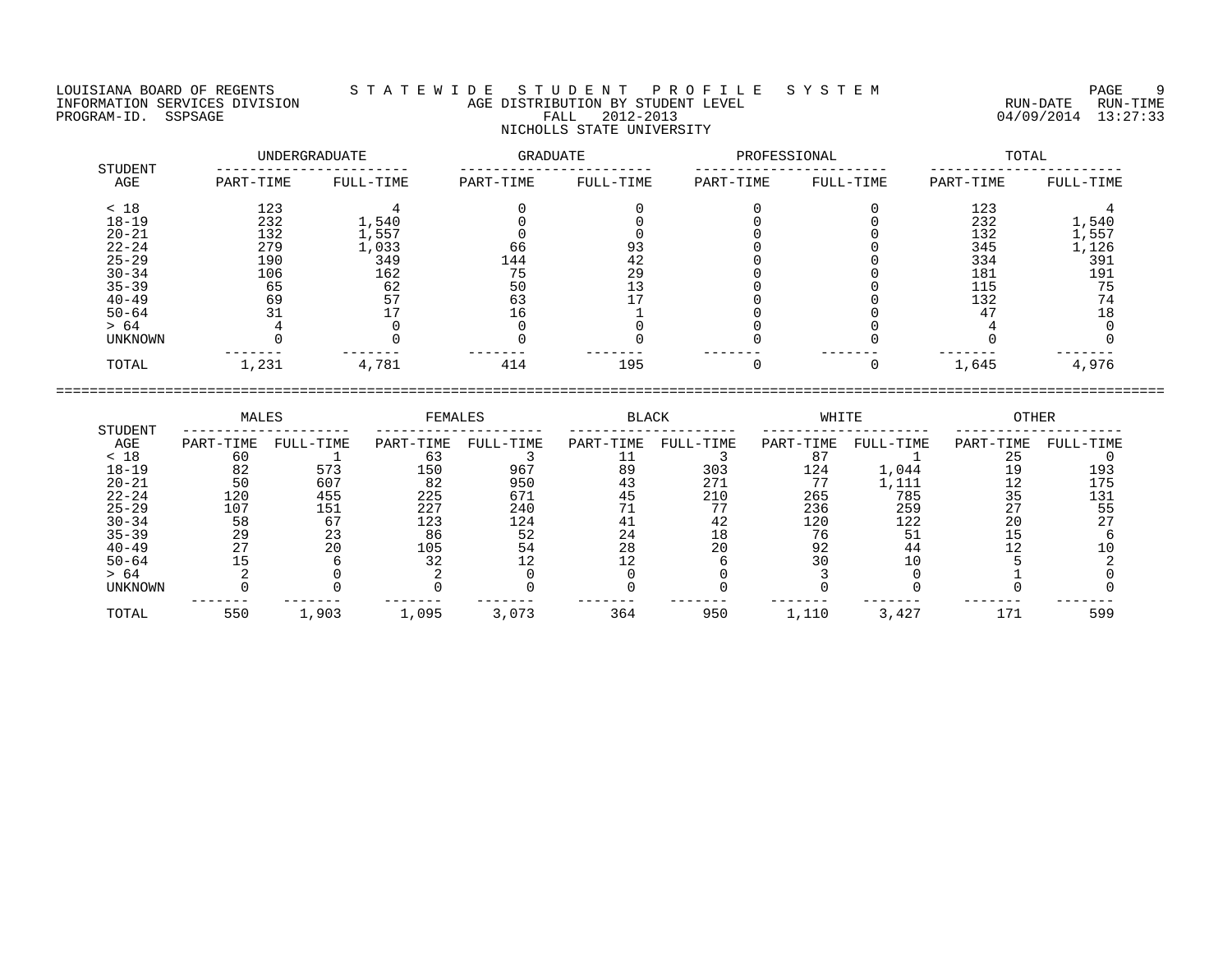LOUISIANA BOARD OF REGENTS S T A T E W I D E S T U D E N T P R O F I L E S Y S T E M PAGE 9 INFORMATION SERVICES DIVISION AGE DISTRIBUTION BY STUDENT LEVEL RUN-DATE RUN-TIME PROGRAM-ID. SSPSAGE FALL 2012-2013 04/09/2014 13:27:33 NICHOLLS STATE UNIVERSITY

| STUDENT        |           | UNDERGRADUATE | GRADUATE  |           | PROFESSIONAL |           | TOTAL     |           |  |
|----------------|-----------|---------------|-----------|-----------|--------------|-----------|-----------|-----------|--|
| AGE            | PART-TIME | FULL-TIME     | PART-TIME | FULL-TIME | PART-TIME    | FULL-TIME | PART-TIME | FULL-TIME |  |
| < 18           | 123       |               |           |           |              |           | 123       |           |  |
| $18 - 19$      | 232       | 1,540         |           |           |              |           | 232       | 1,540     |  |
| $20 - 21$      | 132       | 1,557         |           |           |              |           | 132       | 1,557     |  |
| $22 - 24$      | 279       | 1,033         | 66        |           |              |           | 345       | 1,126     |  |
| $25 - 29$      | 190       | 349           | 144       | 42        |              |           | 334       | 391       |  |
| $30 - 34$      | 106       | 162           | 75        | 29        |              |           | 181       | 191       |  |
| $35 - 39$      | 65        | 62            | 50        |           |              |           | 115       | 75        |  |
| $40 - 49$      | 69        |               | 63        |           |              |           | 132       | 74        |  |
| $50 - 64$      |           |               |           |           |              |           | 47        | 18        |  |
| > 64           |           |               |           |           |              |           |           |           |  |
| <b>UNKNOWN</b> |           |               |           |           |              |           |           |           |  |
| TOTAL          | 1,231     | 4,781         | 414       | 195       |              |           | 1,645     | 4,976     |  |
|                |           |               |           |           |              |           |           |           |  |

| MALES<br>STUDENT |           | FEMALES   |           | <b>BLACK</b> |           | WHITE     |           | OTHER     |           |           |
|------------------|-----------|-----------|-----------|--------------|-----------|-----------|-----------|-----------|-----------|-----------|
| AGE              | PART-TIME | FULL-TIME | PART-TIME | FULL-TIME    | PART-TIME | FULL-TIME | PART-TIME | FULL-TIME | PART-TIME | FULL-TIME |
| < 18             | 60        |           | 63        |              |           |           | 87        |           | 25        |           |
| $18 - 19$        | 82        | 573       | 150       | 967          | 89        | 303       | 124       | 1,044     | 19        | 193       |
| $20 - 21$        | 50        | 607       | 82        | 950          | 43        | 271       |           | 1,111     | 12        | 175       |
| $22 - 24$        | 120       | 455       | 225       | 671          | 45        | 210       | 265       | 785       | 35        | 131       |
| $25 - 29$        | 107       | 151       | 227       | 240          |           | 75        | 236       | 259       |           | 55        |
| $30 - 34$        | 58        | 67        | 123       | 124          |           | 42        | 120       | 122       | 20        | 27        |
| $35 - 39$        | 29        | 23        | 86        | 52           | 24        | 18        | 76        | 51        |           |           |
| $40 - 49$        | 27        | 20        | 105       | 54           | 28        | 20        | 92        | 44        |           |           |
| $50 - 64$        |           |           | 32        |              |           |           | 30        | 10        |           |           |
| > 64             |           |           |           |              |           |           |           |           |           |           |
| UNKNOWN          |           |           |           |              |           |           |           |           |           |           |
| TOTAL            | 550       | 1,903     | 1,095     | 3,073        | 364       | 950       | 1,110     | 3,427     | 171       | 599       |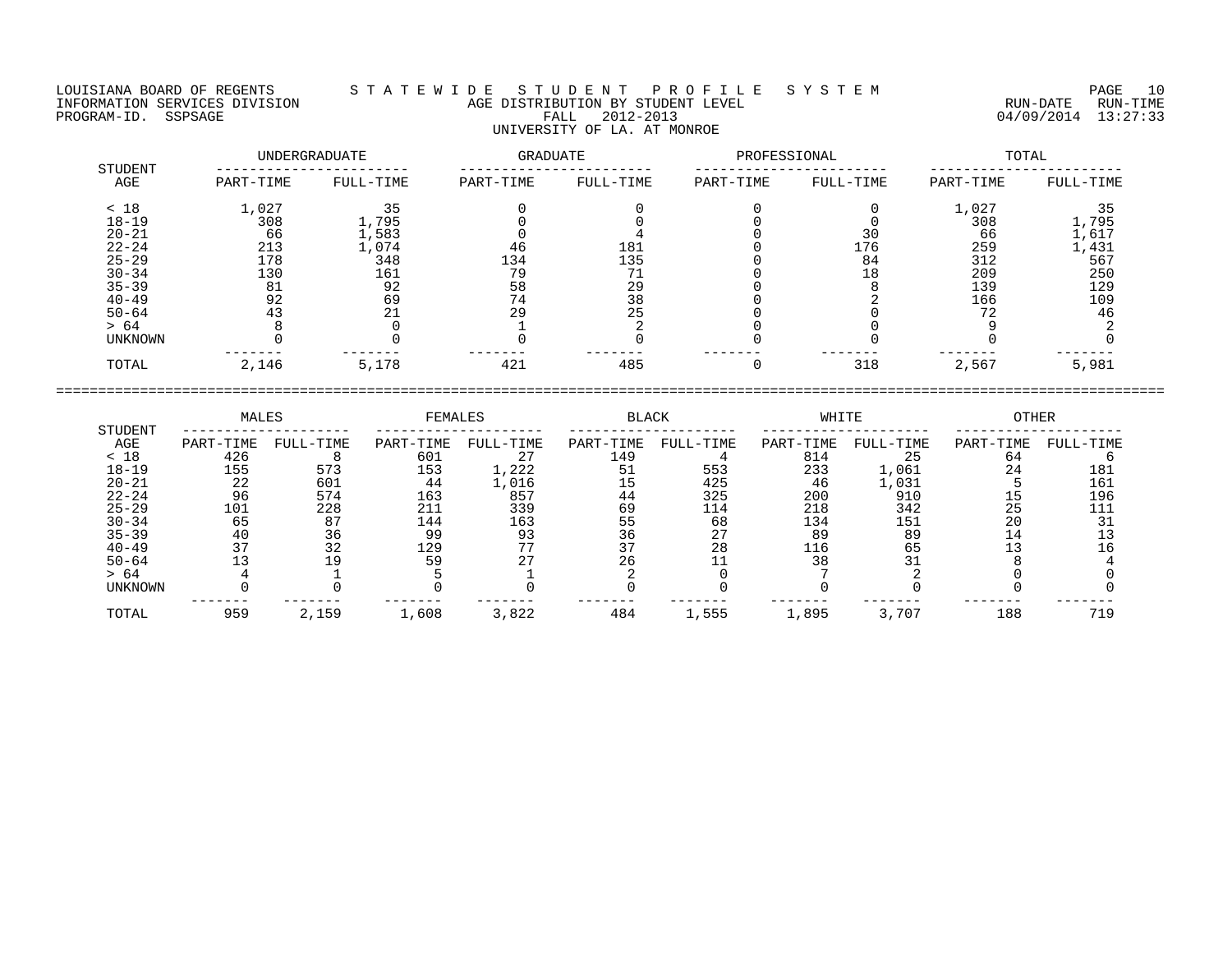LOUISIANA BOARD OF REGENTS S T A T E W I D E S T U D E N T P R O F I L E S Y S T E M PAGE 10 INFORMATION SERVICES DIVISION AGE DISTRIBUTION BY STUDENT LEVEL RUN-DATE RUN-TIME PROGRAM-ID. SSPSAGE FALL 2012-2013 04/09/2014 13:27:33 UNIVERSITY OF LA. AT MONROE

| STUDENT   |           | <b>UNDERGRADUATE</b> | <b>GRADUATE</b> |           | PROFESSIONAL |           |           | TOTAL     |
|-----------|-----------|----------------------|-----------------|-----------|--------------|-----------|-----------|-----------|
| AGE       | PART-TIME | FULL-TIME            | PART-TIME       | FULL-TIME | PART-TIME    | FULL-TIME | PART-TIME | FULL-TIME |
| < 18      | 1,027     | 35                   |                 |           |              |           | 1,027     | 35        |
| $18 - 19$ | 308       | 1,795                |                 |           |              |           | 308       | 1,795     |
| $20 - 21$ | 66        | 1,583                |                 |           |              |           | 66        | 1,617     |
| $22 - 24$ | 213       | 1,074                | 46              | 181       |              | 176       | 259       | 1,431     |
| $25 - 29$ | 178       | 348                  | 134             | 135       |              | 84        | 312       | 567       |
| $30 - 34$ | 130       | 161                  | 79              |           |              | 18        | 209       | 250       |
| $35 - 39$ | 81        | 92                   | 58              | 29        |              |           | 139       | 129       |
| $40 - 49$ | 92        | 69                   | 74              | 38        |              |           | 166       | 109       |
| $50 - 64$ | 43        | 21                   | 29              | 25        |              |           | 72        | 46        |
| > 64      |           |                      |                 |           |              |           |           |           |
| UNKNOWN   |           |                      |                 |           |              |           |           |           |
| TOTAL     | 2,146     | 5,178                | 421             | 485       |              | 318       | 2,567     | 5,981     |

 MALES FEMALES BLACK WHITE OTHER STUDENT -------------------- -------------------- -------------------- -------------------- -------------------- AGE PART-TIME FULL-TIME PART-TIME FULL-TIME PART-TIME FULL-TIME PART-TIME FULL-TIME PART-TIME FULL-TIME < 18 426 8 601 27 149 4 814 25 64 6 18-19 155 573 153 1,222 51 553 233 1,061 24 181 20-21 22 601 44 1,016 15 425 46 1,031 5 161 22-24 96 574 163 857 44 325 200 910 15 196 25-29 101 228 211 339 69 114 218 342 25 111 30-34 65 87 144 163 55 68 134 151 20 31 35-39 40 36 99 93 36 27 89 89 14 13 40-49 37 32 129 77 37 28 116 65 13 16 50-64 13 19 59 27 26 11 38 31 8 4 > 64 4 1 5 1 2 0 7 2 0 0 UNKNOWN 0 0 0 0 0 0 0 0 0 0 ------- ------- ------- ------- ------- ------- ------- ------- ------- ------- TOTAL 959 2,159 1,608 3,822 484 1,555 1,895 3,707 188 719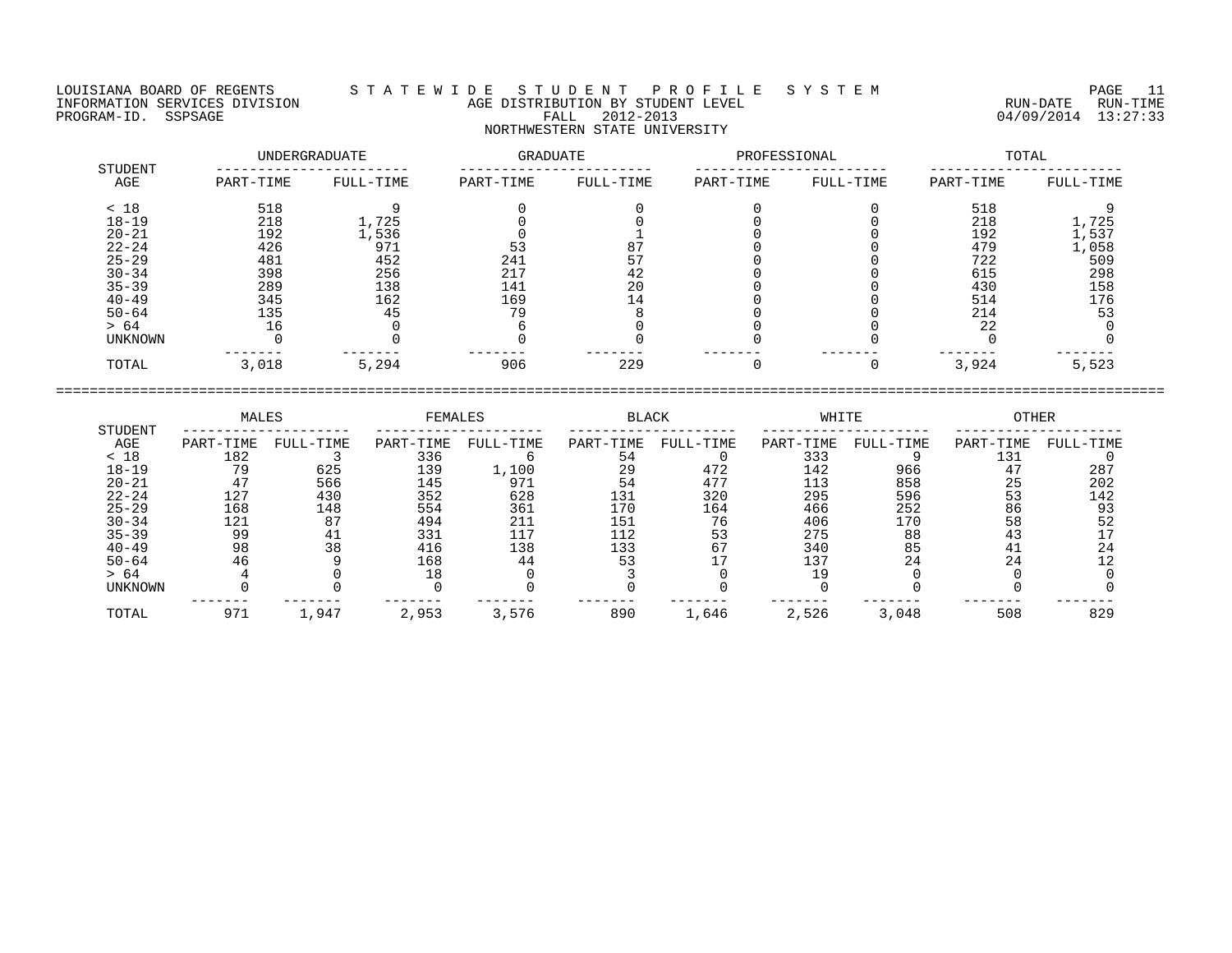LOUISIANA BOARD OF REGENTS S T A T E W I D E S T U D E N T P R O F I L E S Y S T E M PAGE 11 INFORMATION SERVICES DIVISION AGE DISTRIBUTION BY STUDENT LEVEL RUN-DATE RUN-TIME PROGRAM-ID. SSPSAGE FALL 2012-2013 04/09/2014 13:27:33 NORTHWESTERN STATE UNIVERSITY

| STUDENT   |           | UNDERGRADUATE | GRADUATE  |           | PROFESSIONAL |           | TOTAL     |           |  |
|-----------|-----------|---------------|-----------|-----------|--------------|-----------|-----------|-----------|--|
| AGE       | PART-TIME | FULL-TIME     | PART-TIME | FULL-TIME | PART-TIME    | FULL-TIME | PART-TIME | FULL-TIME |  |
| < 18      | 518       |               |           |           |              |           | 518       |           |  |
| $18 - 19$ | 218       | 1,725         |           |           |              |           | 218       | 1,725     |  |
| $20 - 21$ | 192       | 1,536         |           |           |              |           | 192       | 1,537     |  |
| $22 - 24$ | 426       | 971           | 53        | <b>ن</b>  |              |           | 479       | 1,058     |  |
| $25 - 29$ | 481       | 452           | 241       |           |              |           | 722       | 509       |  |
| $30 - 34$ | 398       | 256           | 217       | 42        |              |           | 615       | 298       |  |
| $35 - 39$ | 289       | 138           | 141       | 20        |              |           | 430       | 158       |  |
| $40 - 49$ | 345       | 162           | 169       | 14        |              |           | 514       | 176       |  |
| $50 - 64$ | 135       | 45            | 79        |           |              |           | 214       | 53        |  |
| > 64      | 16        |               |           |           |              |           | 22        |           |  |
| UNKNOWN   |           |               |           |           |              |           |           |           |  |
| TOTAL     | 3,018     | 5,294         | 906       | 229       |              |           | 3,924     | 5,523     |  |

 MALES FEMALES BLACK WHITE OTHER STUDENT -------------------- -------------------- -------------------- -------------------- -------------------- AGE PART-TIME FULL-TIME PART-TIME FULL-TIME PART-TIME FULL-TIME PART-TIME FULL-TIME PART-TIME FULL-TIME < 18 182 3 336 6 54 0 333 9 131 0 18-19 79 625 139 1,100 29 472 142 966 47 287 20-21 47 566 145 971 54 477 113 858 25 202 22-24 127 430 352 628 131 320 295 596 53 142 25-29 168 148 554 361 170 164 466 252 86 93 30-34 121 87 494 211 151 76 406 170 58 52 35-39 99 41 331 117 112 53 275 88 43 17 40-49 98 38 416 138 133 67 340 85 41 24 50-64 46 9 168 44 53 17 137 24 24 12 > 64 4 0 18 0 3 0 19 0 0 0 UNKNOWN 0 0 0 0 0 0 0 0 0 0 ------- ------- ------- ------- ------- ------- ------- ------- ------- ------- TOTAL 971 1,947 2,953 3,576 890 1,646 2,526 3,048 508 829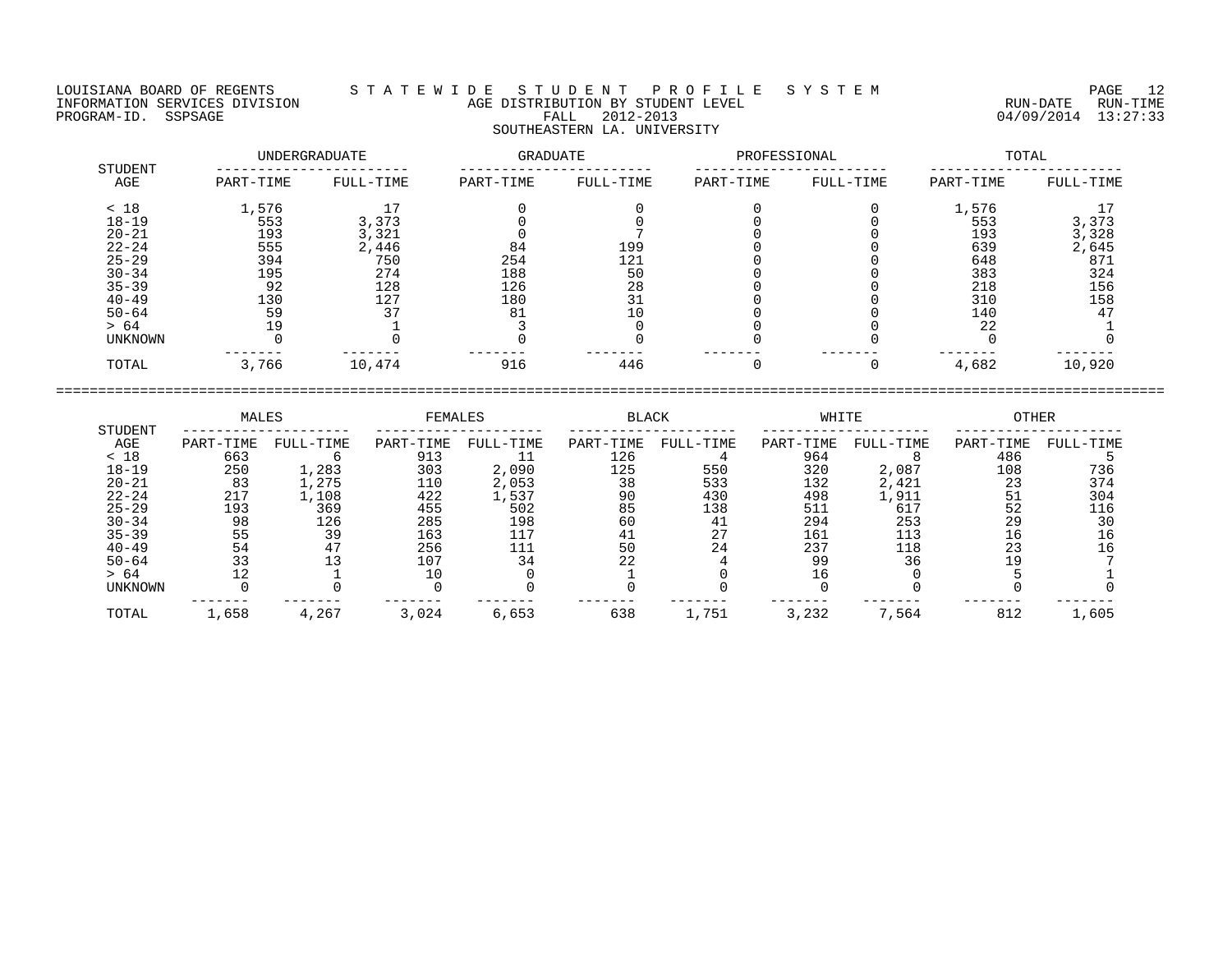LOUISIANA BOARD OF REGENTS S T A T E W I D E S T U D E N T P R O F I L E S Y S T E M PAGE 12 INFORMATION SERVICES DIVISION AGE DISTRIBUTION BY STUDENT LEVEL RUN-DATE RUN-TIME PROGRAM-ID. SSPSAGE FALL 2012-2013 04/09/2014 13:27:33 SOUTHEASTERN LA. UNIVERSITY

| STUDENT        |           | UNDERGRADUATE |           | GRADUATE  | PROFESSIONAL |           | TOTAL     |           |  |
|----------------|-----------|---------------|-----------|-----------|--------------|-----------|-----------|-----------|--|
| AGE            | PART-TIME | FULL-TIME     | PART-TIME | FULL-TIME | PART-TIME    | FULL-TIME | PART-TIME | FULL-TIME |  |
| < 18           | 1,576     |               |           |           |              |           | 1,576     |           |  |
| $18 - 19$      | 553       | 3,373         |           |           |              |           | 553       | 3,373     |  |
| $20 - 21$      | 193       | 3,321         |           |           |              |           | 193       | 3,328     |  |
| $22 - 24$      | 555       | 2,446         | 84        | 199       |              |           | 639       | 2,645     |  |
| $25 - 29$      | 394       | 750           | 254       | 121       |              |           | 648       | 871       |  |
| $30 - 34$      | 195       | 274           | 188       | 50        |              |           | 383       | 324       |  |
| $35 - 39$      | 92        | 128           | 126       | 28        |              |           | 218       | 156       |  |
| $40 - 49$      | 130       | 127           | 180       | 31        |              |           | 310       | 158       |  |
| $50 - 64$      | 59        |               | 81        |           |              |           | 140       | 47        |  |
| > 64           | 19        |               |           |           |              |           | 22        |           |  |
| <b>UNKNOWN</b> |           |               |           |           |              |           |           |           |  |
| TOTAL          | 3,766     | 10,474        | 916       | 446       |              |           | 4,682     | 10,920    |  |

|           | MALES     |           | FEMALES   |           | BLACK     |           | WHITE     |           | OTHER     |           |
|-----------|-----------|-----------|-----------|-----------|-----------|-----------|-----------|-----------|-----------|-----------|
| STUDENT   |           |           |           |           |           |           |           |           |           |           |
| AGE       | PART-TIME | FULL-TIME | PART-TIME | FULL-TIME | PART-TIME | FULL-TIME | PART-TIME | FULL-TIME | PART-TIME | FULL-TIME |
| < 18      | 663       |           | 913       |           | 126       |           | 964       |           | 486       |           |
| $18 - 19$ | 250       | 1,283     | 303       | 2,090     | 125       | 550       | 320       | 2,087     | 108       | 736       |
| $20 - 21$ | 83        | ., 275    | 110       | 2,053     | 38        | 533       | 132       | 2,421     | 23        | 374       |
| $22 - 24$ | 217       | 1,108     | 422       | 1,537     | 90        | 430       | 498       | 1,911     | 51        | 304       |
| $25 - 29$ | 193       | 369       | 455       | 502       | 85        | 138       | 511       | 617       | 52        | 116       |
| $30 - 34$ | 98        | 126       | 285       | 198       | 60        | 41        | 294       | 253       | 29        | 30        |
| $35 - 39$ | 55        | 39        | 163       | 117       | 41        | 27        | 161       | 113       | 16        | 16        |
| $40 - 49$ | 54        | 47        | 256       | 111       | 50        | 24        | 237       | 118       | 23        | 16        |
| $50 - 64$ | 33        |           | 107       | 34        | 22        |           | 99        | 36        | 19        |           |
| > 64      |           |           |           |           |           |           | 16        |           |           |           |
| UNKNOWN   |           |           |           |           |           |           |           |           |           |           |
| TOTAL     | 1,658     | 4,267     | 3,024     | 6,653     | 638       | 1,751     | 3,232     | 7,564     | 812       | 1,605     |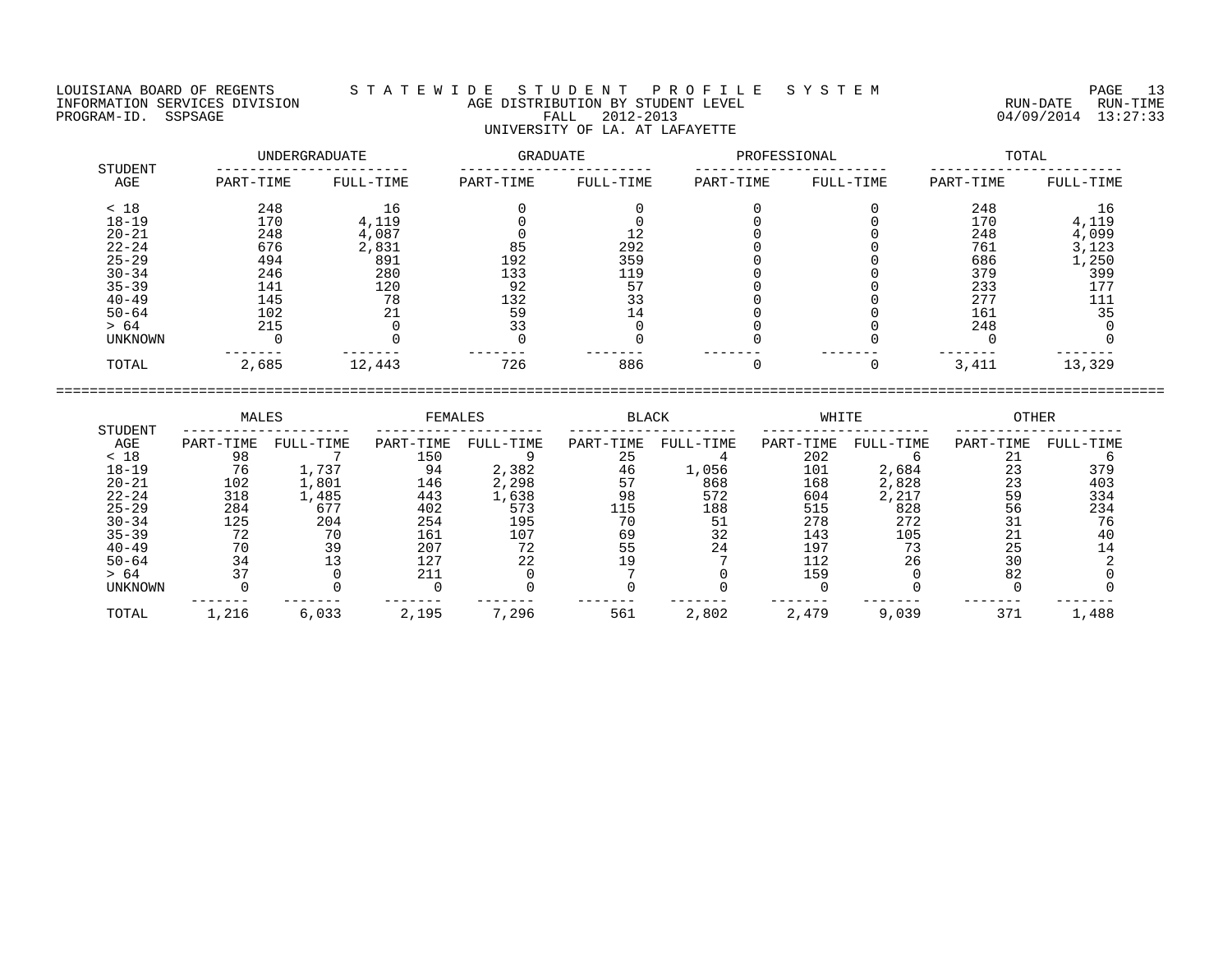LOUISIANA BOARD OF REGENTS S T A T E W I D E S T U D E N T P R O F I L E S Y S T E M PAGE 13 INFORMATION SERVICES DIVISION AGE DISTRIBUTION BY STUDENT LEVEL RUN-DATE RUN-TIME PROGRAM-ID. SSPSAGE FALL 2012-2013 ---- FALL 2012-2013 ---- 04/09/2014 13:27:33 UNIVERSITY OF LA. AT LAFAYETTE

| STUDENT        |           | UNDERGRADUATE | GRADUATE  |           | PROFESSIONAL |           | TOTAL     |           |  |
|----------------|-----------|---------------|-----------|-----------|--------------|-----------|-----------|-----------|--|
| AGE            | PART-TIME | FULL-TIME     | PART-TIME | FULL-TIME | PART-TIME    | FULL-TIME | PART-TIME | FULL-TIME |  |
| < 18           | 248       | 16            |           |           |              |           | 248       | 16        |  |
| $18 - 19$      | 170       | 4,119         |           |           |              |           | 170       | 4,119     |  |
| $20 - 21$      | 248       | 4,087         |           |           |              |           | 248       | 4,099     |  |
| $22 - 24$      | 676       | 2,831         | 85        | 292       |              |           | 761       | 3,123     |  |
| $25 - 29$      | 494       | 891           | 192       | 359       |              |           | 686       | 1,250     |  |
| $30 - 34$      | 246       | 280           | 133       | 119       |              |           | 379       | 399       |  |
| $35 - 39$      | 141       | 120           | 92        | 57        |              |           | 233       | 177       |  |
| $40 - 49$      | 145       | 78            | 132       | 33        |              |           | 277       | 111       |  |
| $50 - 64$      | 102       | 21            | 59        |           |              |           | 161       | 35        |  |
| > 64           | 215       |               | 33        |           |              |           | 248       |           |  |
| <b>UNKNOWN</b> |           |               |           |           |              |           |           |           |  |
| TOTAL          | 2,685     | 12,443        | 726       | 886       |              |           | 3,411     | 13,329    |  |

|                | MALES     |           | FEMALES   |           |           | <b>BLACK</b> |           | WHITE     | OTHER     |           |
|----------------|-----------|-----------|-----------|-----------|-----------|--------------|-----------|-----------|-----------|-----------|
| STUDENT<br>AGE | PART-TIME | FULL-TIME | PART-TIME | FULL-TIME | PART-TIME | FULL-TIME    | PART-TIME | FULL-TIME | PART-TIME | FULL-TIME |
| < 18           | 98        |           | 150       |           | 25        |              | 202       |           | 21        |           |
| $18 - 19$      | 76        | 1,737     | 94        | 2,382     | 46        | 1,056        | 101       | 2,684     | 23        | 379       |
| $20 - 21$      | 102       | 1,801     | 146       | 2,298     |           | 868          | 168       | 2,828     | 23        | 403       |
| $22 - 24$      | 318       | 1,485     | 443       | 1,638     | 98        | 572          | 604       | 2,217     | 59        | 334       |
| $25 - 29$      | 284       | 677       | 402       | 573       | 115       | 188          | 515       | 828       | 56        | 234       |
| $30 - 34$      | 125       | 204       | 254       | 195       | 70        | 51           | 278       | 272       |           | 76        |
| $35 - 39$      | 72        | 70        | 161       | 107       | 69        | 32           | 143       | 105       | 21        | 40        |
| $40 - 49$      | 70        | 39        | 207       | 72        | 55        | 24           | 197       | 73        | 25        | 14        |
| $50 - 64$      | 34        |           | 127       | 22        | 19        |              | 112       | 26        | 30        |           |
| > 64           | 37        |           | 211       |           |           |              | 159       |           | 82        |           |
| <b>UNKNOWN</b> |           |           |           |           |           |              |           |           |           |           |
| TOTAL          | 1,216     | 6,033     | 2,195     | 7,296     | 561       | 2,802        | 2,479     | 9,039     | 371       | 1,488     |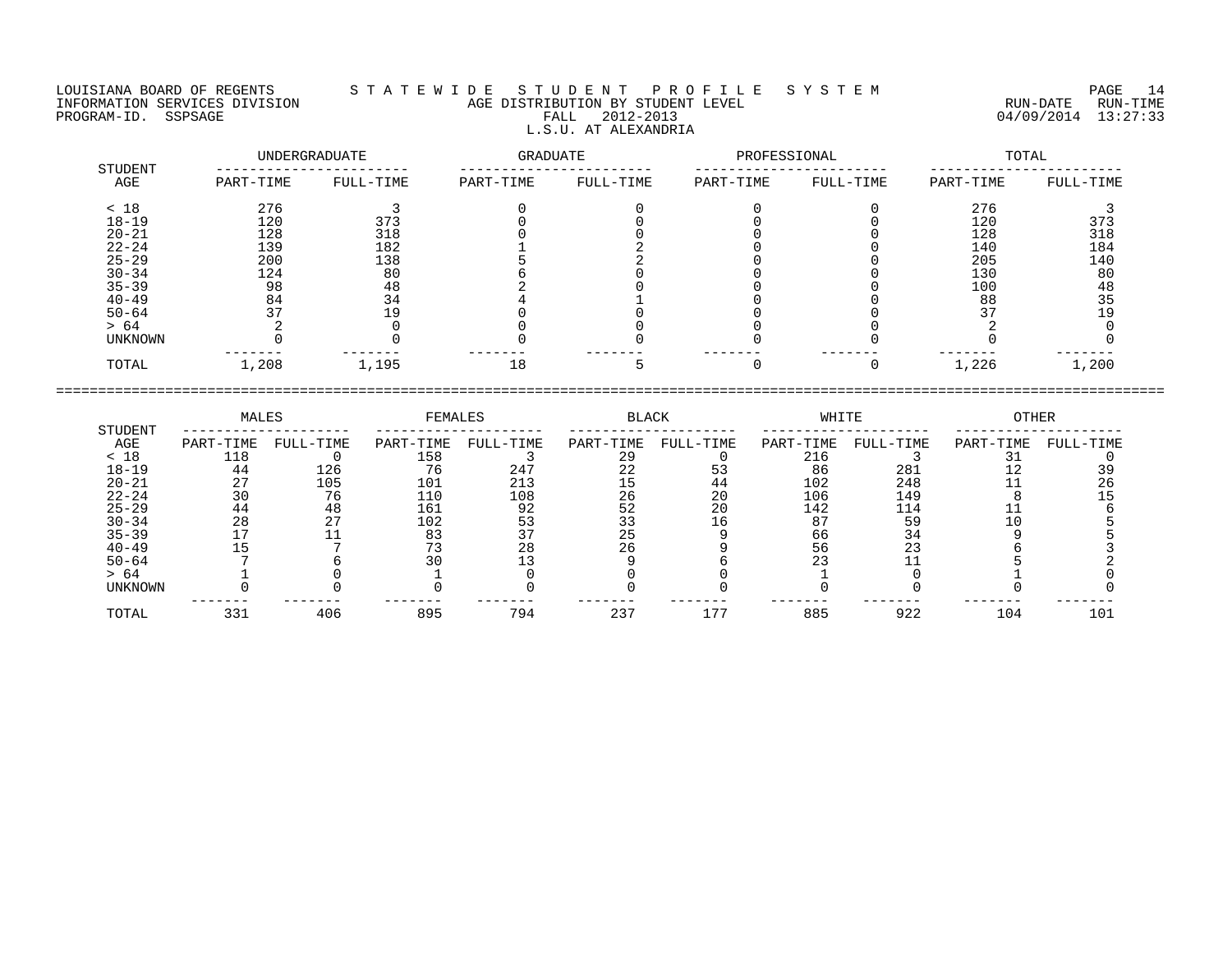## LOUISIANA BOARD OF REGENTS S T A T E W I D E S T U D E N T P R O F I L E S Y S T E M PAGE 14 INFORMATION SERVICES DIVISION AGE DISTRIBUTION BY STUDENT LEVEL RUN-DATE RUN-TIME ENGENIE SOMETHOUS DIVISION CONTROLLED TO AGE DISTRIBUTION BY STUDENT LEVEL CONTROLLED TO THE RUN-DATE RUN-TIME<br>PROGRAM-ID. SSPSAGE PROGRAM-ID. SSPSAGE PALL 2012-2013 04/09/2014 13:27:33 L.S.U. AT ALEXANDRIA

| STUDENT   | UNDERGRADUATE |           | <b>GRADUATE</b> |           | PROFESSIONAL |           | TOTAL     |           |  |
|-----------|---------------|-----------|-----------------|-----------|--------------|-----------|-----------|-----------|--|
| AGE       | PART-TIME     | FULL-TIME | PART-TIME       | FULL-TIME | PART-TIME    | FULL-TIME | PART-TIME | FULL-TIME |  |
| < 18      | 276           |           |                 |           |              |           | 276       |           |  |
| $18 - 19$ | 120           | 373       |                 |           |              |           | 120       | 373       |  |
| $20 - 21$ | 128           | 318       |                 |           |              |           | 128       | 318       |  |
| $22 - 24$ | 139           | 182       |                 |           |              |           | 140       | 184       |  |
| $25 - 29$ | 200           | 138       |                 |           |              |           | 205       | 140       |  |
| $30 - 34$ | 124           | 80        |                 |           |              |           | 130       | 80        |  |
| $35 - 39$ | 98            | 48        |                 |           |              |           | 100       | 48        |  |
| $40 - 49$ | 84            | 34        |                 |           |              |           | 88        | 35        |  |
| $50 - 64$ | 37            | 19        |                 |           |              |           | 37        | 19        |  |
| > 64      |               |           |                 |           |              |           |           |           |  |
| UNKNOWN   |               |           |                 |           |              |           |           |           |  |
| TOTAL     | 1,208         | 1,195     | 18              |           | $\Omega$     | O         | 1,226     | 1,200     |  |

|           | MALES     |           | FEMALES   |           | BLACK                    |           | WHITE     |           | OTHER     |           |
|-----------|-----------|-----------|-----------|-----------|--------------------------|-----------|-----------|-----------|-----------|-----------|
| STUDENT   |           |           |           |           |                          |           |           |           |           |           |
| AGE       | PART-TIME | FULL-TIME | PART-TIME | FULL-TIME | PART-TIME                | FULL-TIME | PART-TIME | FULL-TIME | PART-TIME | FULL-TIME |
| < 18      | 118       |           | 158       |           | 29                       |           | 216       |           |           |           |
| $18 - 19$ | 44        | 126       | 76        | 247       | $\overline{\phantom{a}}$ |           | 86        | 281       |           |           |
| $20 - 21$ | $\cap$    | 105       | 101       | 213       |                          | 44        | 102       | 248       |           |           |
| $22 - 24$ |           | 76        | 110       | 108       | 26                       | 20        | 106       | 149       |           |           |
| $25 - 29$ | 44        | 48        | 161       | 92        | 52                       | 20        | 142       | 114       |           |           |
| $30 - 34$ | 28        |           | 102       | 53        |                          | 16        | 87        | 59        |           |           |
| $35 - 39$ |           |           | 83        |           |                          |           | 66        | 34        |           |           |
| $40 - 49$ |           |           |           | 28        | 26                       |           | 56        | 23        |           |           |
| $50 - 64$ |           |           |           |           |                          |           |           |           |           |           |
| > 64      |           |           |           |           |                          |           |           |           |           |           |
| UNKNOWN   |           |           |           |           |                          |           |           |           |           |           |
| TOTAL     | 331       | 406       | 895       | 794       | 237                      | 177       | 885       | 922       | 104       | 101       |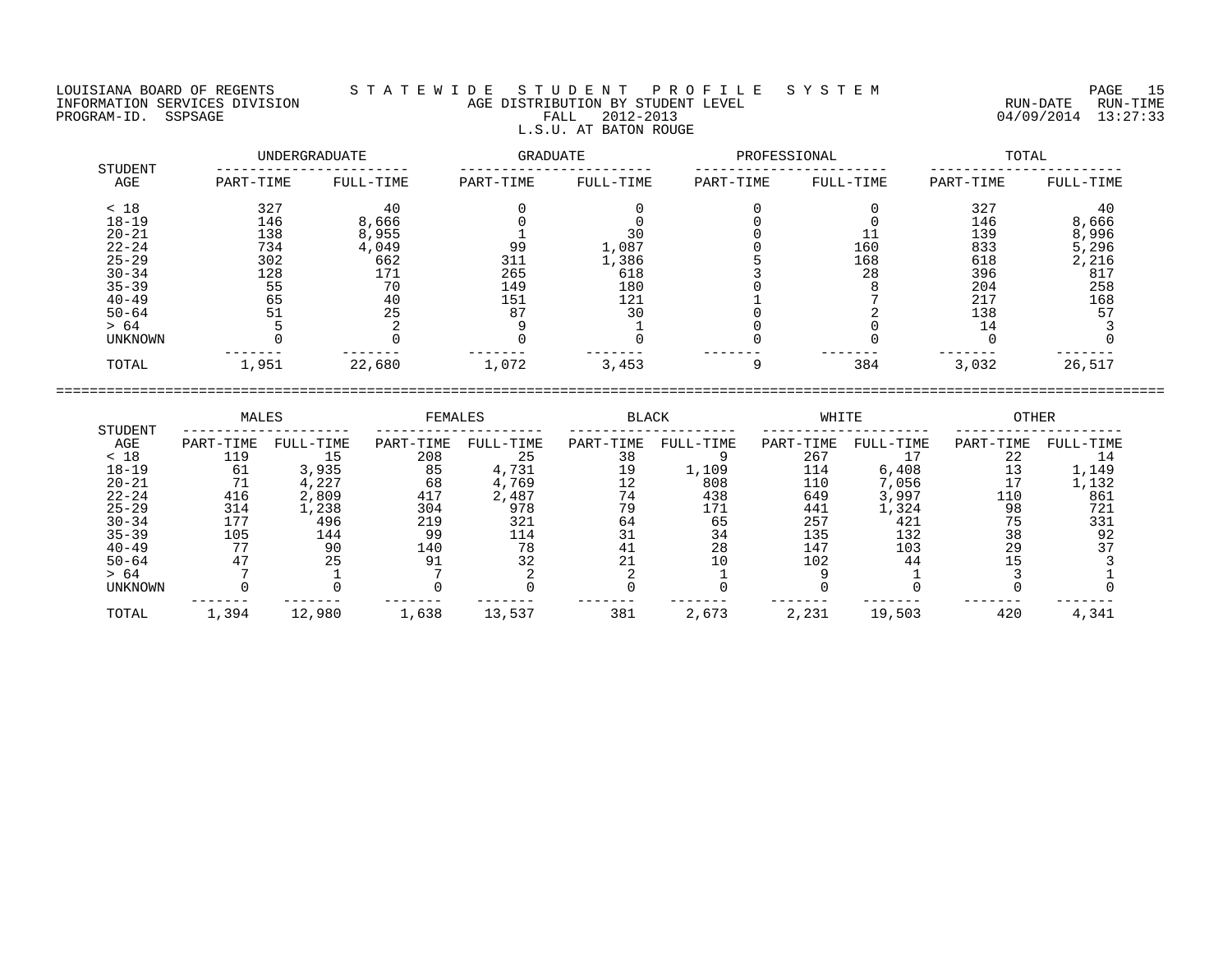## LOUISIANA BOARD OF REGENTS S T A T E W I D E S T U D E N T P R O F I L E S Y S T E M PAGE 15 INFORMATION SERVICES DIVISION AGE DISTRIBUTION BY STUDENT LEVEL RUN-DATE RUN-TIME PROGRAM-ID. SSPSAGE FALL 2012-2013 FALL 2012-2013 2012-2013 04/09/2014 13:27:33 L.S.U. AT BATON ROUGE

|                | UNDERGRADUATE |           | GRADUATE  |           | PROFESSIONAL |           | TOTAL     |           |  |
|----------------|---------------|-----------|-----------|-----------|--------------|-----------|-----------|-----------|--|
| STUDENT<br>AGE | PART-TIME     | FULL-TIME | PART-TIME | FULL-TIME | PART-TIME    | FULL-TIME | PART-TIME | FULL-TIME |  |
| < 18           | 327           | 40        |           |           |              |           | 327       | 40        |  |
| $18 - 19$      | 146           | 8,666     |           |           |              |           | 146       | 8,666     |  |
| $20 - 21$      | 138           | 8,955     |           | 30        |              |           | 139       | 8,996     |  |
| $22 - 24$      | 734           | 4,049     | 99        | 1,087     |              | 160       | 833       | 5,296     |  |
| $25 - 29$      | 302           | 662       | 311       | 1,386     |              | 168       | 618       | 2,216     |  |
| $30 - 34$      | 128           | 171       | 265       | 618       |              | 28        | 396       | 817       |  |
| $35 - 39$      | 55            | 70        | 149       | 180       |              |           | 204       | 258       |  |
| $40 - 49$      | 65            | 40        | 151       | 121       |              |           | 217       | 168       |  |
| $50 - 64$      | 51            | 25        | 87        | 30        |              |           | 138       | 57        |  |
| > 64           |               |           |           |           |              |           | 14        |           |  |
| UNKNOWN        |               |           |           |           |              |           |           |           |  |
| TOTAL          | 1,951         | 22,680    | 1,072     | 3,453     |              | 384       | 3,032     | 26,517    |  |

|                | MALES     |           | FEMALES   |           | <b>BLACK</b> |           | WHITE     |           | OTHER     |           |
|----------------|-----------|-----------|-----------|-----------|--------------|-----------|-----------|-----------|-----------|-----------|
| STUDENT<br>AGE | PART-TIME | FULL-TIME | PART-TIME | FULL-TIME | PART-TIME    | FULL-TIME | PART-TIME | FULL-TIME | PART-TIME | FULL-TIME |
| < 18           | 119       |           | 208       | 25        | 38           |           | 267       |           | 22        |           |
| $18 - 19$      | 61        | 3,935     | 85        | 4,731     | 19           | 1,109     | 114       | 6,408     |           | 1,149     |
| $20 - 21$      |           | 4,227     | 68        | 4,769     |              | 808       | 110       | 7,056     | 17        | 1,132     |
| $22 - 24$      | 416       | 2,809     | 417       | 2,487     | 74           | 438       | 649       | 3,997     | 110       | 861       |
| $25 - 29$      | 314       | ., 238    | 304       | 978       | 79           | 171       | 441       | l,324     | 98        | 721       |
| $30 - 34$      | 177       | 496       | 219       | 321       | 64           | 65        | 257       | 421       | 75        | 331       |
| $35 - 39$      | 105       | 144       | 99        | 114       |              | 34        | 135       | 132       | 38        | 92        |
| $40 - 49$      |           | 90        | 140       | 78        | 41           | 28        | 147       | 103       | 29        |           |
| $50 - 64$      |           | 25        | 91        | 32        |              |           | 102       | 44        |           |           |
| > 64           |           |           |           |           |              |           |           |           |           |           |
| UNKNOWN        |           |           |           |           |              |           |           |           |           |           |
| TOTAL          | 1,394     | 12,980    | 1,638     | 13,537    | 381          | 2,673     | 2,231     | 19,503    | 420       | 4,341     |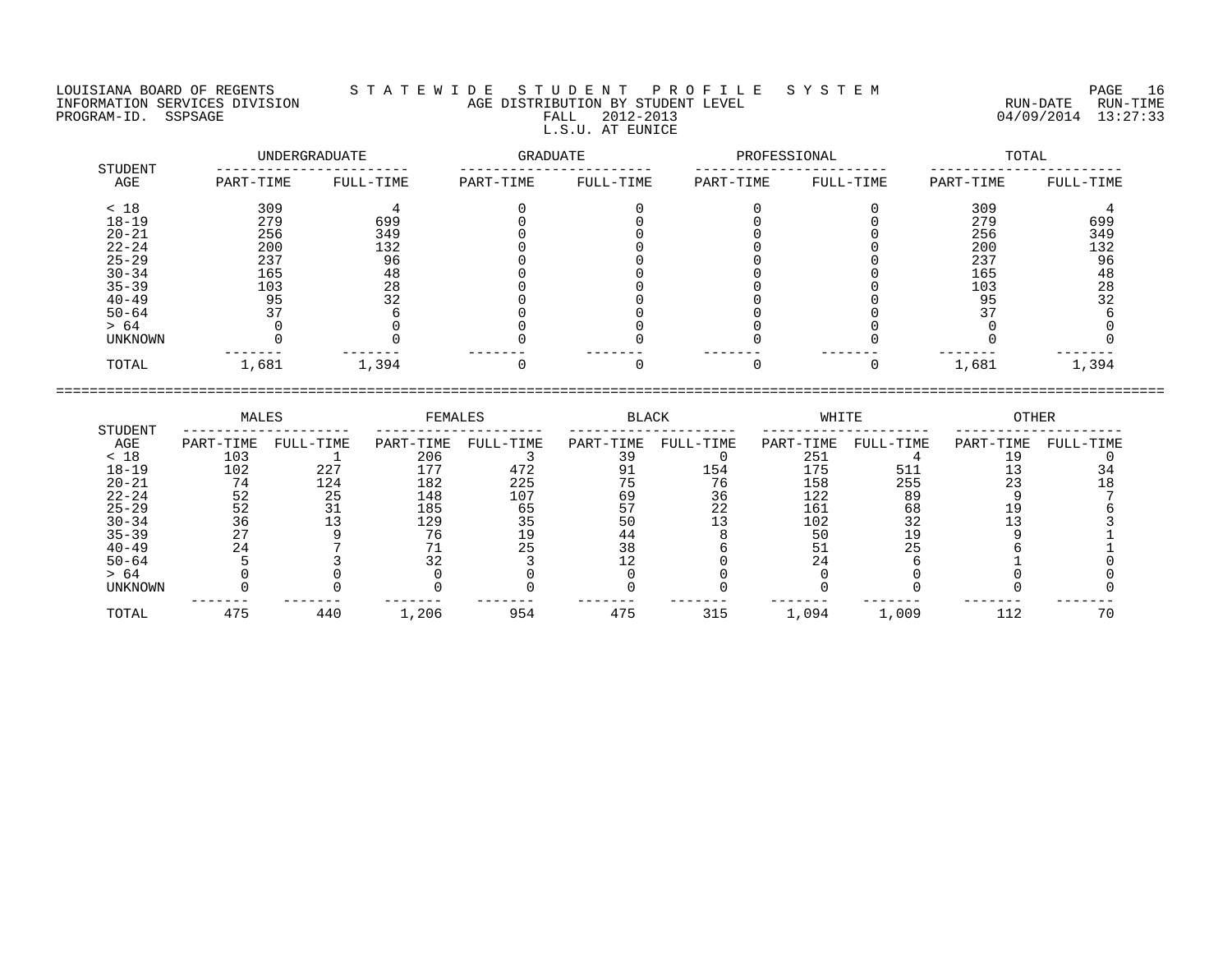LOUISIANA BOARD OF REGENTS S T A T E W I D E S T U D E N T P R O F I L E S Y S T E M PAGE 16 INFORMATION SERVICES DIVISION AGE DISTRIBUTION BY STUDENT LEVEL RUN-DATE RUN-TIME PROGRAM-ID. SSPSAGE FALL 2012-2013 04/09/2014 13:27:33 L.S.U. AT EUNICE

|                | UNDERGRADUATE |           | <b>GRADUATE</b> |           | PROFESSIONAL |           | TOTAL     |           |  |
|----------------|---------------|-----------|-----------------|-----------|--------------|-----------|-----------|-----------|--|
| STUDENT<br>AGE | PART-TIME     | FULL-TIME | PART-TIME       | FULL-TIME | PART-TIME    | FULL-TIME | PART-TIME | FULL-TIME |  |
| < 18           | 309           |           |                 |           |              |           | 309       |           |  |
| $18 - 19$      | 279           | 699       |                 |           |              |           | 279       | 699       |  |
| $20 - 21$      | 256           | 349       |                 |           |              |           | 256       | 349       |  |
| $22 - 24$      | 200           | 132       |                 |           |              |           | 200       | 132       |  |
| $25 - 29$      | 237           | 96        |                 |           |              |           | 237       | 96        |  |
| $30 - 34$      | 165           | 48        |                 |           |              |           | 165       | 48        |  |
| $35 - 39$      | 103           | 28        |                 |           |              |           | 103       | 28        |  |
| $40 - 49$      | 95            | 32        |                 |           |              |           | 95        | 32        |  |
| $50 - 64$      | 37            |           |                 |           |              |           | 37        |           |  |
| > 64           |               |           |                 |           |              |           |           |           |  |
| <b>UNKNOWN</b> |               |           |                 |           |              |           |           |           |  |
| TOTAL          | 1,681         | 1,394     |                 |           |              |           | 1,681     | 1,394     |  |

|           | MALES     |           | FEMALES   |           | BLACK     |           | WHITE     |           | OTHER     |           |
|-----------|-----------|-----------|-----------|-----------|-----------|-----------|-----------|-----------|-----------|-----------|
| STUDENT   |           |           |           |           |           |           |           |           |           |           |
| AGE       | PART-TIME | FULL-TIME | PART-TIME | FULL-TIME | PART-TIME | FULL-TIME | PART-TIME | FULL-TIME | PART-TIME | FULL-TIME |
| < 18      | 103       |           | 206       |           | 39        |           | 251       |           |           |           |
| $18 - 19$ | 102       | 227       | 177       | 472       |           | 154       | 175       | 511       |           |           |
| $20 - 21$ | 74        | 124       | 182       | 225       |           | 76        | 158       | 255       | 23        |           |
| $22 - 24$ | 52        | 25        | 148       | 107       | 69        | 36        | 122       | 89        |           |           |
| $25 - 29$ | 52        |           | 185       | 65        |           | 22        | 161       | 68        |           |           |
| $30 - 34$ | 36        |           | 129       | 35        | 50        |           | 102       | 32        |           |           |
| $35 - 39$ |           |           | 76        |           | 44        |           | 50        | l 9       |           |           |
| $40 - 49$ | 24        |           |           | 25        | 38        |           | 51        |           |           |           |
| $50 - 64$ |           |           |           |           |           |           | 24        |           |           |           |
| > 64      |           |           |           |           |           |           |           |           |           |           |
| UNKNOWN   |           |           |           |           |           |           |           |           |           |           |
| TOTAL     | 475       | 440       | 1,206     | 954       | 475       | 315       | 1,094     | 1,009     | 112       | 70        |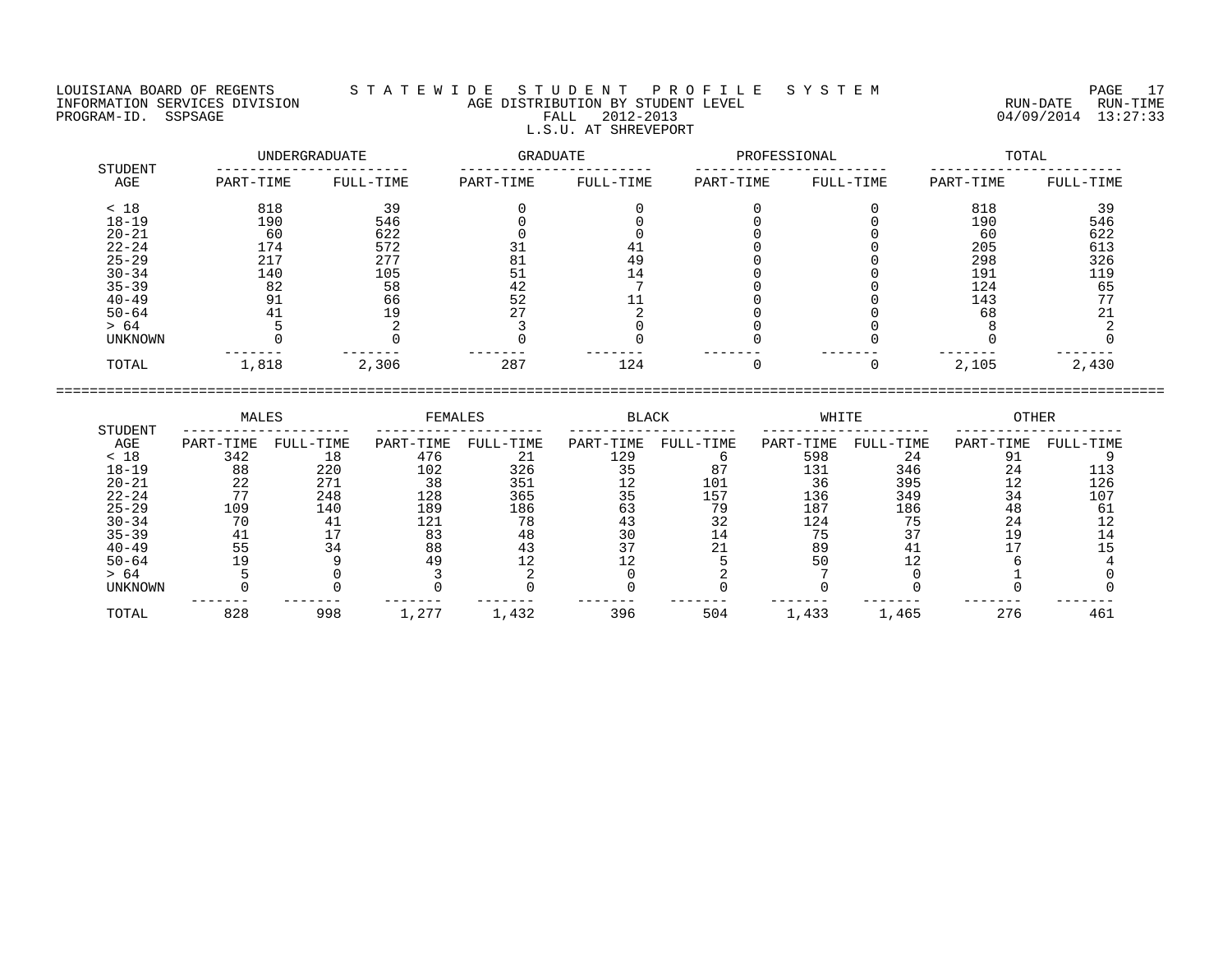## LOUISIANA BOARD OF REGENTS S T A T E W I D E S T U D E N T P R O F I L E S Y S T E M PAGE 17 INFORMATION SERVICES DIVISION AGE DISTRIBUTION BY STUDENT LEVEL RUN-DATE RUN-TIME PROGRAM-ID. SSPSAGE FALL 2012-2013 FALL 2012-2013 2012-2013 04/09/2014 13:27:33 L.S.U. AT SHREVEPORT

|                | UNDERGRADUATE |           | GRADUATE  |           | PROFESSIONAL |           | TOTAL     |           |
|----------------|---------------|-----------|-----------|-----------|--------------|-----------|-----------|-----------|
| STUDENT<br>AGE | PART-TIME     | FULL-TIME | PART-TIME | FULL-TIME | PART-TIME    | FULL-TIME | PART-TIME | FULL-TIME |
| < 18           | 818           | 39        |           |           |              |           | 818       | 39        |
| $18 - 19$      | 190           | 546       |           |           |              |           | 190       | 546       |
| $20 - 21$      | 60            | 622       |           |           |              |           | 60        | 622       |
| $22 - 24$      | 174           | 572       | 31        | 41        |              |           | 205       | 613       |
| $25 - 29$      | 217           | 277       | 81        | 49        |              |           | 298       | 326       |
| $30 - 34$      | 140           | 105       | 51        | 14        |              |           | 191       | 119       |
| $35 - 39$      | 82            | 58        | 42        |           |              |           | 124       | 65        |
| $40 - 49$      | 91            | 66        | 52        |           |              |           | 143       | 77        |
| $50 - 64$      | 41            | 19        | 27        |           |              |           | 68        | 21        |
| > 64           |               |           |           |           |              |           |           |           |
| UNKNOWN        |               |           |           |           |              |           |           |           |
| TOTAL          | 1,818         | 2,306     | 287       | 124       |              |           | 2,105     | 2,430     |

|           | MALES     |           | FEMALES   |           | BLACK     |           | WHITE     |           | OTHER     |           |
|-----------|-----------|-----------|-----------|-----------|-----------|-----------|-----------|-----------|-----------|-----------|
| STUDENT   |           |           |           |           |           |           |           |           |           |           |
| AGE       | PART-TIME | FULL-TIME | PART-TIME | FULL-TIME | PART-TIME | FULL-TIME | PART-TIME | FULL-TIME | PART-TIME | FULL-TIME |
| < 18      | 342       | 18        | 476       | 21        | 129       |           | 598       | 24        |           |           |
| $18 - 19$ | 88        | 220       | 102       | 326       |           |           | 131       | 346       | 24        |           |
| $20 - 21$ | 22        | 271       | 38        | 351       |           | 101       | 36        | 395       | 12        | 126       |
| $22 - 24$ |           | 248       | 128       | 365       | 35        | 157       | 136       | 349       | 34        | 107       |
| $25 - 29$ | 109       | 140       | 189       | 186       | 63        | 79        | 187       | 186       | 48        |           |
| $30 - 34$ |           |           | 121       | 78        |           | 32        | 124       |           | 24        |           |
| $35 - 39$ | 41        |           | 83        | 48        |           | 14        | 75        |           | 19        |           |
| $40 - 49$ | 55        |           | 88        |           |           |           | 89        |           |           |           |
| $50 - 64$ |           |           | 49        |           |           |           | 50        |           |           |           |
| > 64      |           |           |           |           |           |           |           |           |           |           |
| UNKNOWN   |           |           |           |           |           |           |           |           |           |           |
| TOTAL     | 828       | 998       | 1,277     | 1,432     | 396       | 504       | 1,433     | 1,465     | 276       | 461       |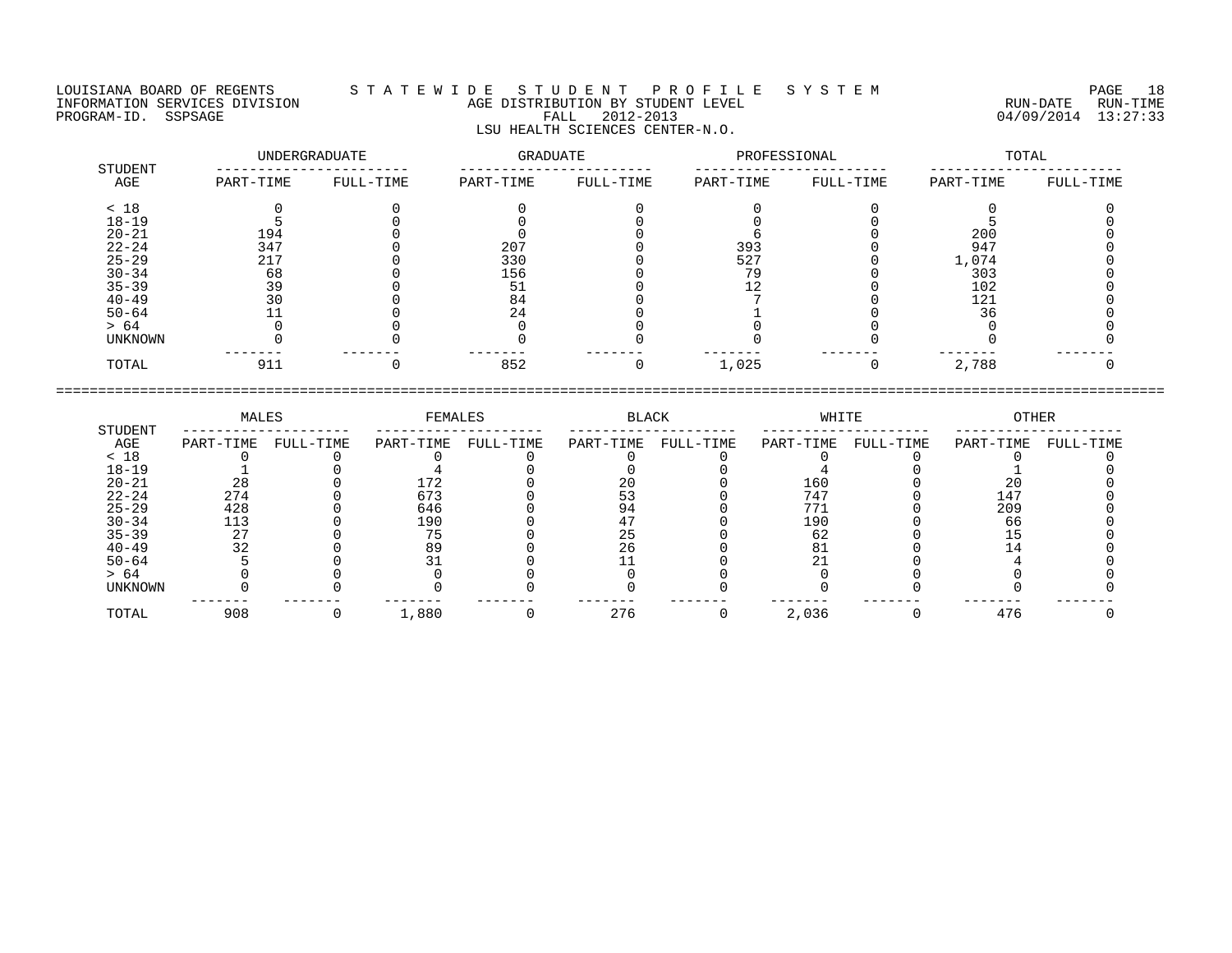## LOUISIANA BOARD OF REGENTS S T A T E W I D E S T U D E N T P R O F I L E S Y S T E M PAGE 18 INFORMATION SERVICES DIVISION AGE DISTRIBUTION BY STUDENT LEVEL RUN-DATE RUN-TIME ENDUISIANA BOARD OF REGENTS STATEWIDE STUDENT PROFILE SYSTEM PAGE 18<br>INFORMATION SERVICES DIVISION AGE DISTRIBUTION BY STUDENT LEVEL PROGRAM-ID. SSPSAGE RUN-TIME<br>PROGRAM-ID. SSPSAGE FALL 2012-2013 04/09/2014 13:27:33 LSU HEALTH SCIENCES CENTER-N.O.

|                | UNDERGRADUATE |           | <b>GRADUATE</b> |           | PROFESSIONAL |           | TOTAL     |           |
|----------------|---------------|-----------|-----------------|-----------|--------------|-----------|-----------|-----------|
| STUDENT<br>AGE | PART-TIME     | FULL-TIME | PART-TIME       | FULL-TIME | PART-TIME    | FULL-TIME | PART-TIME | FULL-TIME |
| < 18           |               |           |                 |           |              |           |           |           |
| $18 - 19$      |               |           |                 |           |              |           |           |           |
| $20 - 21$      | 194           |           |                 |           |              |           | 200       |           |
| $22 - 24$      | 347           |           | 207             |           | 393          |           | 947       |           |
| $25 - 29$      | 217           |           | 330             |           | 527          |           | 1,074     |           |
| $30 - 34$      | 68            |           | 156             |           | 79           |           | 303       |           |
| $35 - 39$      | 39            |           | 51              |           | 12           |           | 102       |           |
| $40 - 49$      | 30            |           | 84              |           |              |           | 121       |           |
| $50 - 64$      |               |           | 24              |           |              |           | 36        |           |
| > 64           |               |           |                 |           |              |           |           |           |
| UNKNOWN        |               |           |                 |           |              |           |           |           |
| TOTAL          | 911           |           | 852             |           | 1,025        |           | 2,788     |           |

|           | MALES     |           | FEMALES   |           | BLACK     |           | WHITE     |           | OTHER     |           |
|-----------|-----------|-----------|-----------|-----------|-----------|-----------|-----------|-----------|-----------|-----------|
| STUDENT   |           |           |           |           |           |           |           |           |           |           |
| AGE       | PART-TIME | FULL-TIME | PART-TIME | FULL-TIME | PART-TIME | FULL-TIME | PART-TIME | FULL-TIME | PART-TIME | FULL-TIME |
| < 18      |           |           |           |           |           |           |           |           |           |           |
| $18 - 19$ |           |           |           |           |           |           |           |           |           |           |
| $20 - 21$ | 28        |           | 172       |           |           |           | 160       |           | 2 C       |           |
| $22 - 24$ | 274       |           | 673       |           |           |           | 747       |           | 147       |           |
| $25 - 29$ | 428       |           | 646       |           | 94        |           | 771       |           | 209       |           |
| $30 - 34$ | 113       |           | 190       |           |           |           | 190       |           | 66        |           |
| $35 - 39$ | חר        |           | 7 に       |           |           |           | 62        |           |           |           |
| $40 - 49$ | 32        |           | 89        |           |           |           |           |           |           |           |
| $50 - 64$ |           |           |           |           |           |           |           |           |           |           |
| > 64      |           |           |           |           |           |           |           |           |           |           |
| UNKNOWN   |           |           |           |           |           |           |           |           |           |           |
| TOTAL     | 908       |           | 1,880     |           | 276       |           | 2,036     |           | 476       |           |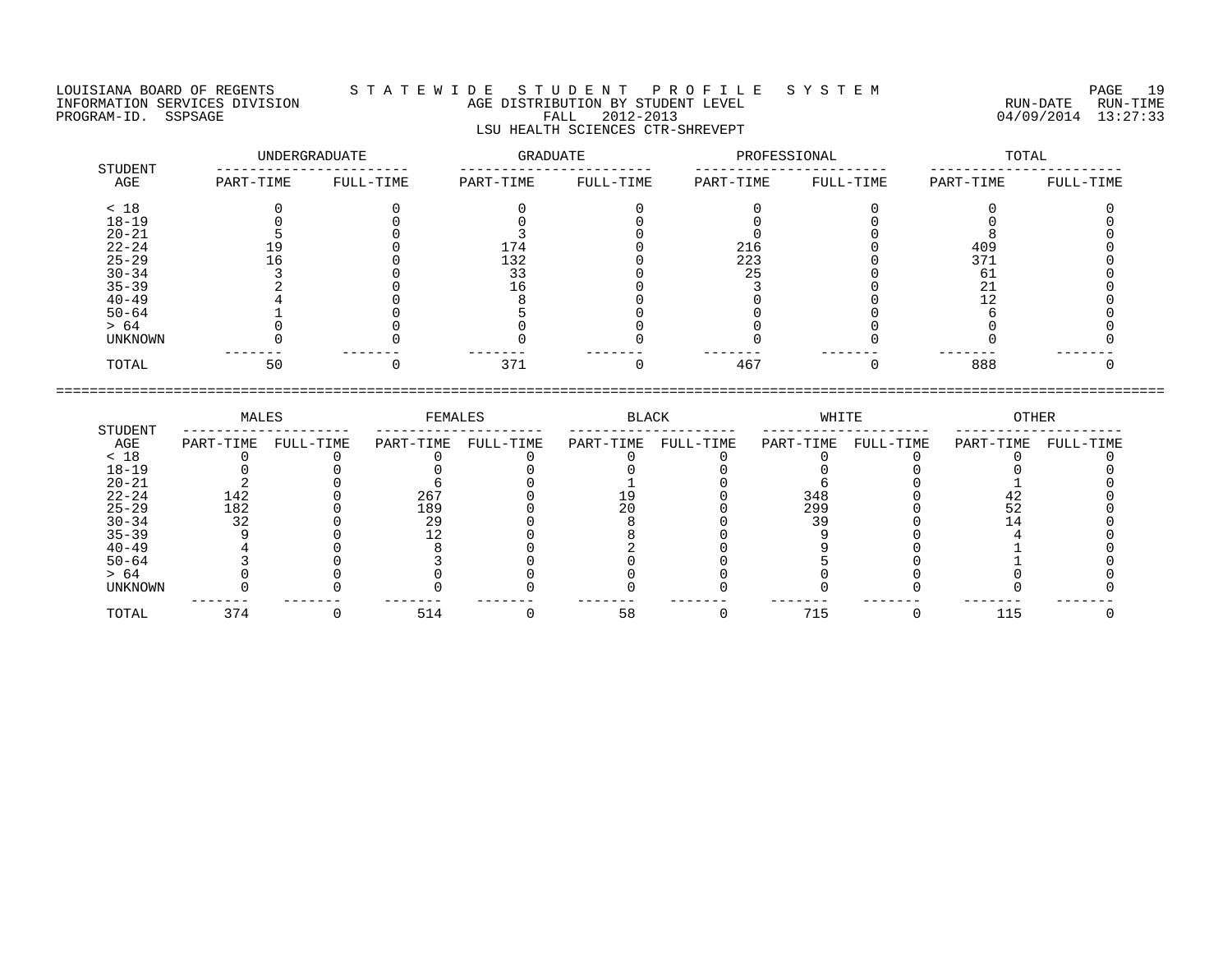## LOUISIANA BOARD OF REGENTS S T A T E W I D E S T U D E N T P R O F I L E S Y S T E M PAGE 19 INFORMATION SERVICES DIVISION AGE DISTRIBUTION BY STUDENT LEVEL RUN-DATE RUN-TIME PROGRAM-ID. SSPSAGE FALL 2012-2013 04/09/2014 13:27:33 LSU HEALTH SCIENCES CTR-SHREVEPT

|                | UNDERGRADUATE |           | GRADUATE  |           | PROFESSIONAL |           | TOTAL     |           |
|----------------|---------------|-----------|-----------|-----------|--------------|-----------|-----------|-----------|
| STUDENT<br>AGE | PART-TIME     | FULL-TIME | PART-TIME | FULL-TIME | PART-TIME    | FULL-TIME | PART-TIME | FULL-TIME |
| < 18           |               |           |           |           |              |           |           |           |
| $18 - 19$      |               |           |           |           |              |           |           |           |
| $20 - 21$      |               |           |           |           |              |           |           |           |
| $22 - 24$      | 19            |           | 174       |           | 216          |           | 409       |           |
| $25 - 29$      | - 6           |           | 132       |           | 223          |           | 371       |           |
| $30 - 34$      |               |           | 33        |           | 25           |           | 61        |           |
| $35 - 39$      |               |           | 16        |           |              |           | 21        |           |
| $40 - 49$      |               |           |           |           |              |           |           |           |
| $50 - 64$      |               |           |           |           |              |           |           |           |
| > 64           |               |           |           |           |              |           |           |           |
| UNKNOWN        |               |           |           |           |              |           |           |           |
| TOTAL          | 50            |           | 371       |           | 467          |           | 888       |           |

|           | MALES     |           | FEMALES   |           | BLACK     |           | WHITE     |           | <b>OTHER</b> |           |
|-----------|-----------|-----------|-----------|-----------|-----------|-----------|-----------|-----------|--------------|-----------|
| STUDENT   |           |           |           |           |           |           |           |           |              |           |
| AGE       | PART-TIME | FULL-TIME | PART-TIME | FULL-TIME | PART-TIME | FULL-TIME | PART-TIME | FULL-TIME | PART-TIME    | FULL-TIME |
| < 18      |           |           |           |           |           |           |           |           |              |           |
| $18 - 19$ |           |           |           |           |           |           |           |           |              |           |
| $20 - 21$ |           |           |           |           |           |           |           |           |              |           |
| $22 - 24$ | 142       |           | 267       |           |           |           | 348       |           |              |           |
| $25 - 29$ | 182       |           | 189       |           |           |           | 299       |           |              |           |
| $30 - 34$ | 32        |           | 29        |           |           |           | 39        |           |              |           |
| $35 - 39$ |           |           |           |           |           |           |           |           |              |           |
| $40 - 49$ |           |           |           |           |           |           |           |           |              |           |
| $50 - 64$ |           |           |           |           |           |           |           |           |              |           |
| > 64      |           |           |           |           |           |           |           |           |              |           |
| UNKNOWN   |           |           |           |           |           |           |           |           |              |           |
| TOTAL     | 374       |           | 514       |           | 58        |           | 715       |           | 115          |           |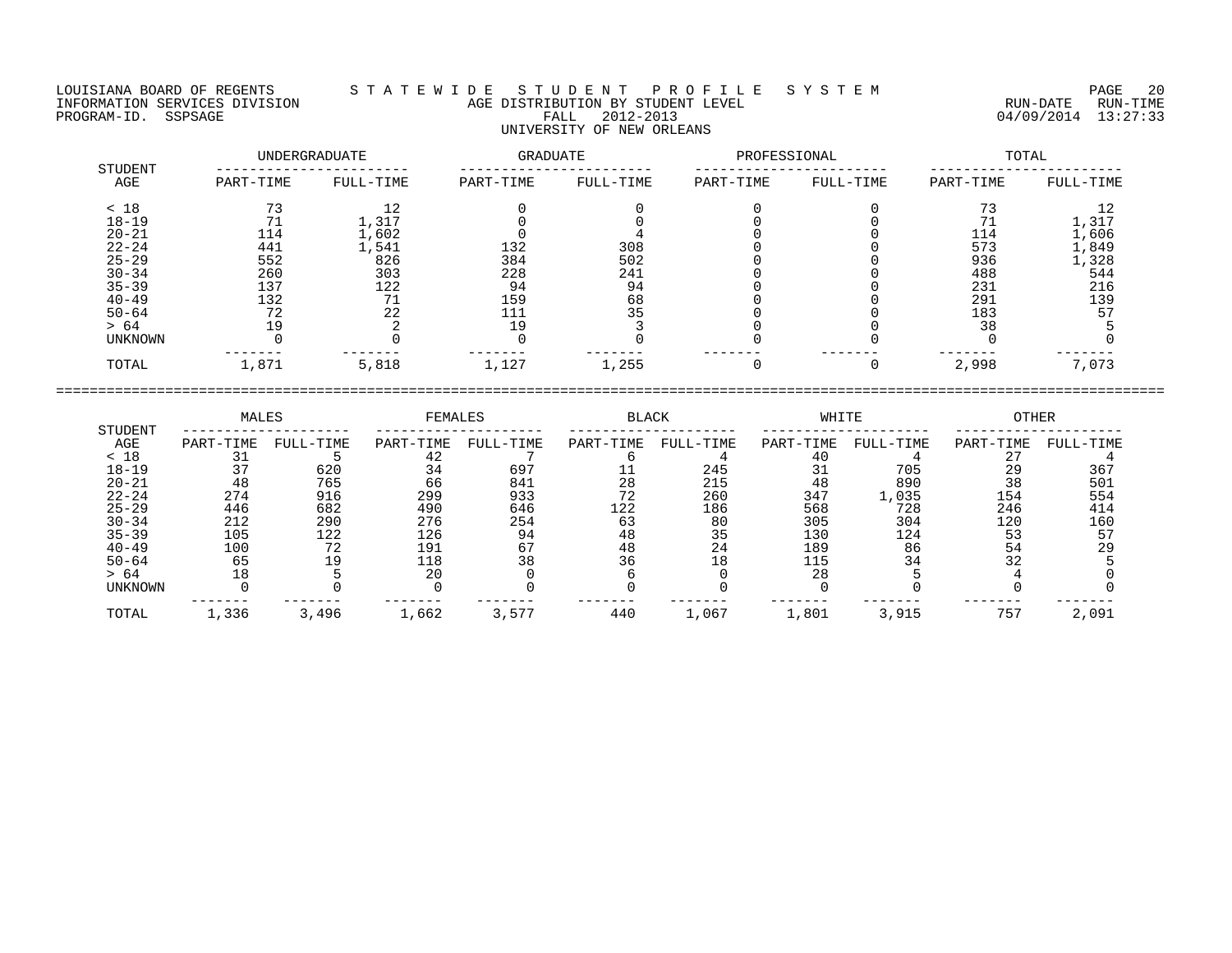LOUISIANA BOARD OF REGENTS S T A T E W I D E S T U D E N T P R O F I L E S Y S T E M PAGE 20 INFORMATION SERVICES DIVISION AGE DISTRIBUTION BY STUDENT LEVEL RUN-DATE RUN-TIME PROGRAM-ID. SSPSAGE FALL 2012-2013 04/09/2014 13:27:33

| STUDENT   | UNDERGRADUATE |           | <b>GRADUATE</b> |           | PROFESSIONAL |           | TOTAL     |           |  |
|-----------|---------------|-----------|-----------------|-----------|--------------|-----------|-----------|-----------|--|
| AGE       | PART-TIME     | FULL-TIME | PART-TIME       | FULL-TIME | PART-TIME    | FULL-TIME | PART-TIME | FULL-TIME |  |
| < 18      |               |           |                 |           |              |           | 73        |           |  |
| $18 - 19$ |               | 1,317     |                 |           |              |           | 71        | 1,317     |  |
| $20 - 21$ | 114           | 1,602     |                 |           |              |           | 114       | 1,606     |  |
| $22 - 24$ | 441           | 1,541     | 132             | 308       |              |           | 573       | 1,849     |  |
| $25 - 29$ | 552           | 826       | 384             | 502       |              |           | 936       | 1,328     |  |
| $30 - 34$ | 260           | 303       | 228             | 241       |              |           | 488       | 544       |  |
| $35 - 39$ | 137           | 122       | 94              | 94        |              |           | 231       | 216       |  |
| $40 - 49$ | 132           | 71        | 159             | 68        |              |           | 291       | 139       |  |
| $50 - 64$ | 72            | 22        |                 | 35        |              |           | 183       | 57        |  |
| > 64      | 19            |           | 19              |           |              |           | 38        |           |  |
| UNKNOWN   |               |           |                 |           |              |           |           |           |  |
| TOTAL     | 1,871         | 5,818     | 1,127           | 1,255     |              |           | 2,998     | 7,073     |  |

|                | MALES     |           | FEMALES   |           | <b>BLACK</b> |           | WHITE     |           | <b>OTHER</b> |           |
|----------------|-----------|-----------|-----------|-----------|--------------|-----------|-----------|-----------|--------------|-----------|
| STUDENT<br>AGE | PART-TIME | FULL-TIME | PART-TIME | FULL-TIME | PART-TIME    | FULL-TIME | PART-TIME | FULL-TIME | PART-TIME    | FULL-TIME |
| < 18           | 31        |           | 42        |           |              |           | 40        |           | 27           |           |
| $18 - 19$      | 37        | 620       | 34        | 697       |              | 245       |           | 705       | 29           | 367       |
| $20 - 21$      | 48        | 765       | 66        | 841       | 28           | 215       | 48        | 890       | 38           | 501       |
| $22 - 24$      | 274       | 916       | 299       | 933       | 72           | 260       | 347       | 1,035     | 154          | 554       |
| $25 - 29$      | 446       | 682       | 490       | 646       | 122          | 186       | 568       | 728       | 246          | 414       |
| $30 - 34$      | 212       | 290       | 276       | 254       | 63           | 80        | 305       | 304       | 120          | 160       |
| $35 - 39$      | 105       | 122       | 126       | 94        | 48           | 35        | 130       | 124       | 53           | 57        |
| $40 - 49$      | 100       | 72        | 191       | 67        | 48           | 24        | 189       | 86        | 54           | 29        |
| $50 - 64$      | 65        | 19        | 118       | 38        | 36           | 18        |           | 34        | 32           |           |
| > 64           | 18        |           | 20        |           |              |           | 28        |           |              |           |
| <b>UNKNOWN</b> |           |           |           |           |              |           |           |           |              |           |
| TOTAL          | 1,336     | 3,496     | 1,662     | 3.577     | 440          | 1,067     | 1,801     | 3,915     | 757          | 2,091     |

====================================================================================================================================

# UNIVERSITY OF NEW ORLEANS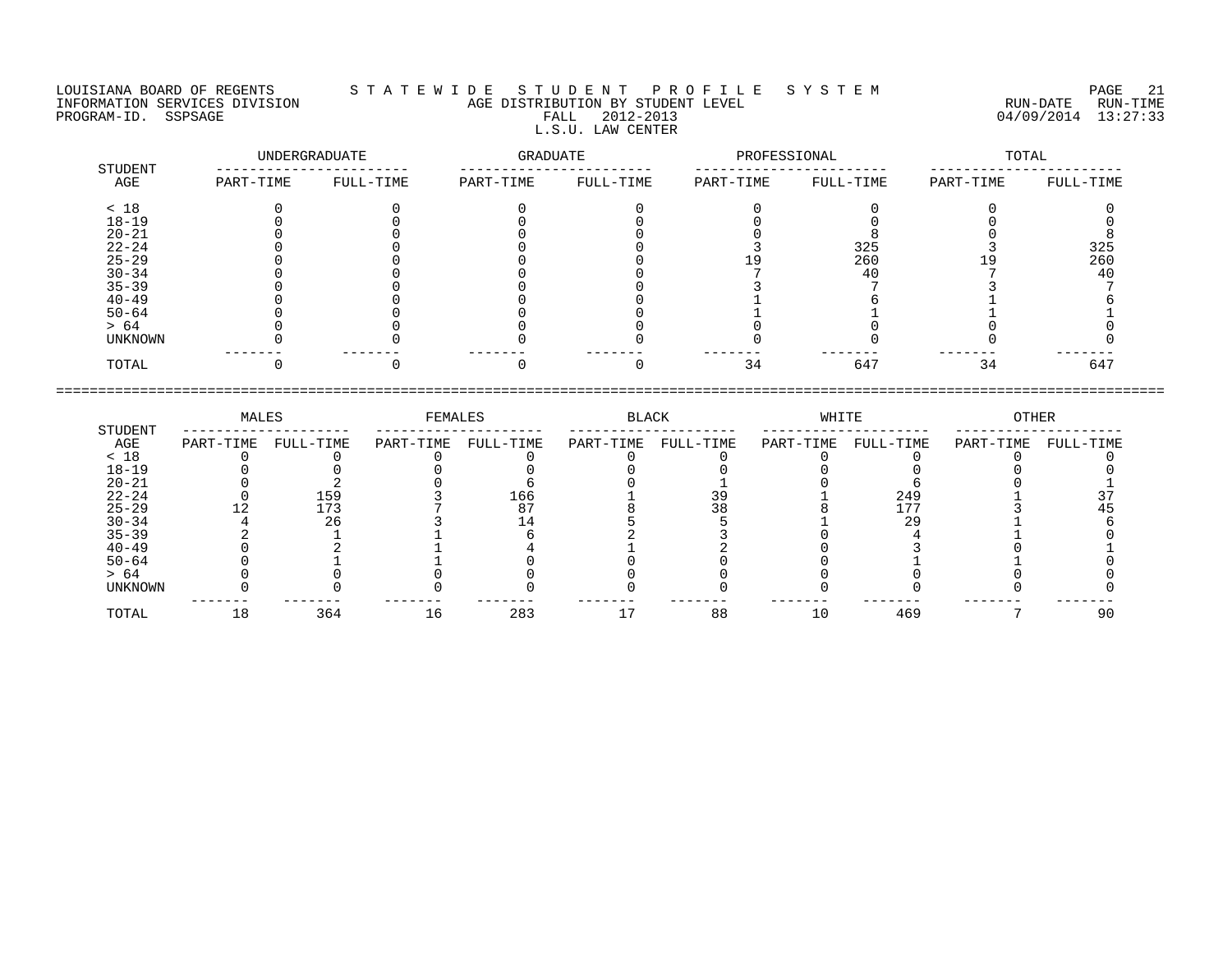## LOUISIANA BOARD OF REGENTS S T A T E W I D E S T U D E N T P R O F I L E S Y S T E M PAGE 21 INFORMATION SERVICES DIVISION AGE DISTRIBUTION BY STUDENT LEVEL RUN-DATE RUN-TIME PROGRAM-ID. SSPSAGE FALL 2012-2013 FALL 2012-2013 2012-2013 04/09/2014 13:27:33 L.S.U. LAW CENTER

|                | UNDERGRADUATE |           | GRADUATE  |           | PROFESSIONAL |           | TOTAL     |           |
|----------------|---------------|-----------|-----------|-----------|--------------|-----------|-----------|-----------|
| STUDENT<br>AGE | PART-TIME     | FULL-TIME | PART-TIME | FULL-TIME | PART-TIME    | FULL-TIME | PART-TIME | FULL-TIME |
| < 18           |               |           |           |           |              |           |           |           |
| $18 - 19$      |               |           |           |           |              |           |           |           |
| $20 - 21$      |               |           |           |           |              |           |           |           |
| $22 - 24$      |               |           |           |           |              | 325       |           | 325       |
| $25 - 29$      |               |           |           |           |              | 260       | ⊥ 9⊥      | 260       |
| $30 - 34$      |               |           |           |           |              | 40        |           | 40        |
| $35 - 39$      |               |           |           |           |              |           |           |           |
| $40 - 49$      |               |           |           |           |              |           |           |           |
| $50 - 64$      |               |           |           |           |              |           |           |           |
| > 64           |               |           |           |           |              |           |           |           |
| UNKNOWN        |               |           |           |           |              |           |           |           |
| TOTAL          |               |           |           |           | 34           | 647       | 34        | 647       |

|           | MALES     |           | FEMALES   |           | BLACK     |           | WHITE     |           | OTHER     |           |
|-----------|-----------|-----------|-----------|-----------|-----------|-----------|-----------|-----------|-----------|-----------|
| STUDENT   |           |           |           |           |           |           |           |           |           |           |
| AGE       | PART-TIME | FULL-TIME | PART-TIME | FULL-TIME | PART-TIME | FULL-TIME | PART-TIME | FULL-TIME | PART-TIME | FULL-TIME |
| < 18      |           |           |           |           |           |           |           |           |           |           |
| $18 - 19$ |           |           |           |           |           |           |           |           |           |           |
| $20 - 21$ |           |           |           |           |           |           |           |           |           |           |
| $22 - 24$ |           | 159       |           | 166       |           |           |           | 249       |           |           |
| $25 - 29$ |           | 173       |           | 87        |           |           |           | 177       |           |           |
| $30 - 34$ |           | 26        |           |           |           |           |           | 29        |           |           |
| $35 - 39$ |           |           |           |           |           |           |           |           |           |           |
| $40 - 49$ |           |           |           |           |           |           |           |           |           |           |
| $50 - 64$ |           |           |           |           |           |           |           |           |           |           |
| > 64      |           |           |           |           |           |           |           |           |           |           |
| UNKNOWN   |           |           |           |           |           |           |           |           |           |           |
|           |           |           |           |           |           |           |           |           |           |           |
| TOTAL     | 18        | 364       | 16        | 283       |           | 88        | 10        | 469       |           | 90        |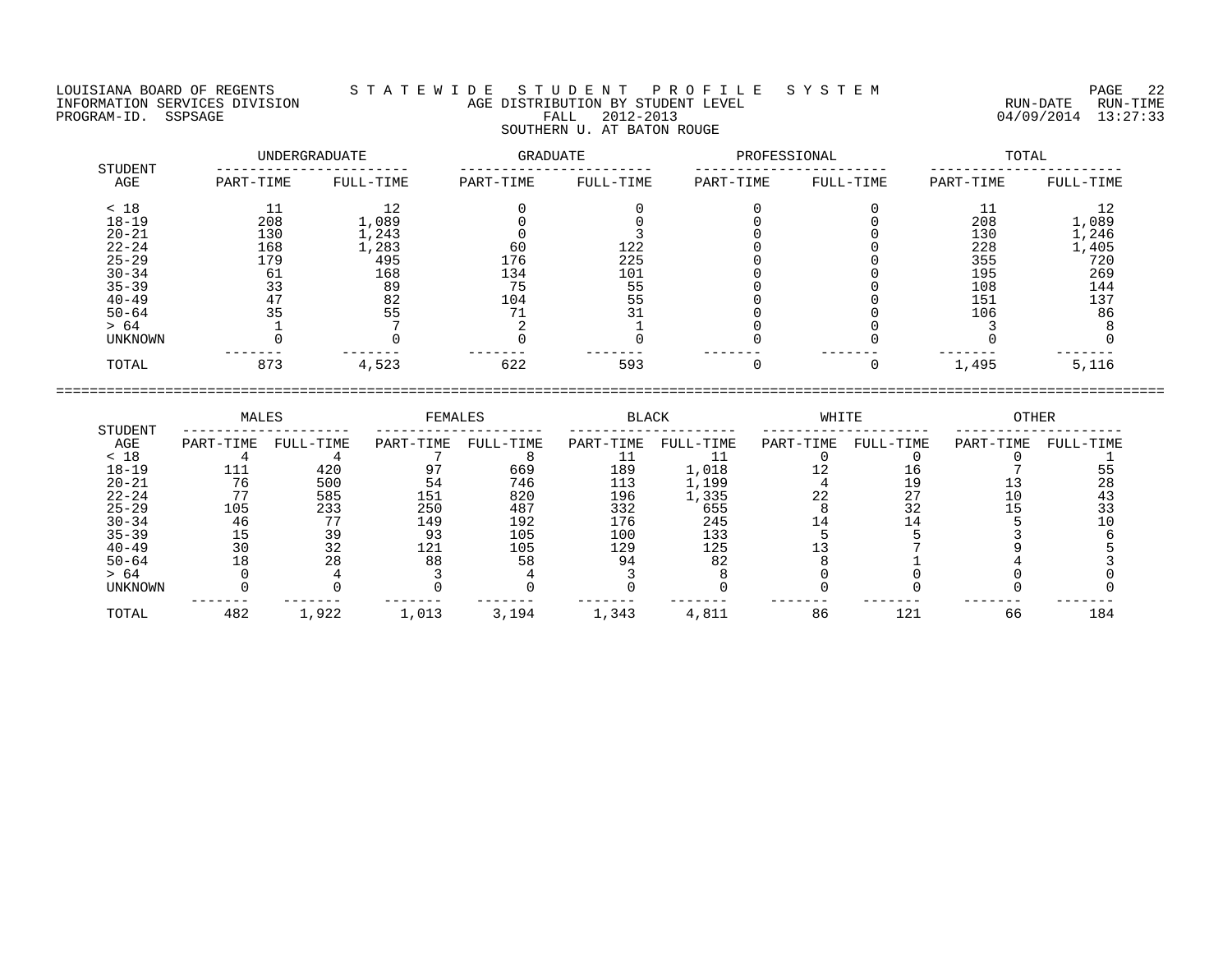## LOUISIANA BOARD OF REGENTS S T A T E W I D E S T U D E N T P R O F I L E S Y S T E M PAGE 22 INFORMATION SERVICES DIVISION AGE DISTRIBUTION BY STUDENT LEVEL RUN-DATE RUN-TIME ENGENIE SOMETHOUS DIVISION CONTROLLED TO AGE DISTRIBUTION BY STUDENT LEVEL CONTROLLED TO THE RUN-DATE RUN-TIME<br>PROGRAM-ID. SSPSAGE PROGRAM-ID. SSPSAGE PALL 2012-2013 04/09/2014 13:27:33 SOUTHERN U. AT BATON ROUGE

|                | UNDERGRADUATE |           | GRADUATE  |           | PROFESSIONAL |           | TOTAL     |           |
|----------------|---------------|-----------|-----------|-----------|--------------|-----------|-----------|-----------|
| STUDENT<br>AGE | PART-TIME     | FULL-TIME | PART-TIME | FULL-TIME | PART-TIME    | FULL-TIME | PART-TIME | FULL-TIME |
| < 18           | 11            | 12        |           |           |              |           |           | 12        |
| $18 - 19$      | 208           | 1,089     |           |           |              |           | 208       | 1,089     |
| $20 - 21$      | 130           | 1,243     |           |           |              |           | 130       | 1,246     |
| $22 - 24$      | 168           | 1,283     | 60        | 122       |              |           | 228       | 1,405     |
| $25 - 29$      | 179           | 495       | 176       | 225       |              |           | 355       | 720       |
| $30 - 34$      | 61            | 168       | 134       | 101       |              |           | 195       | 269       |
| $35 - 39$      | 33            | 89        | 75        | 55        |              |           | 108       | 144       |
| $40 - 49$      | 47            | 82        | 104       | 55        |              |           | 151       | 137       |
| $50 - 64$      | 35            | 55        |           |           |              |           | 106       | 86        |
| > 64           |               |           |           |           |              |           |           |           |
| UNKNOWN        |               |           |           |           |              |           |           |           |
| TOTAL          | 873           | 4,523     | 622       | 593       |              |           | 1,495     | 5,116     |

|                | MALES     |           | FEMALES   |           | <b>BLACK</b> |           | WHITE     |           | OTHER     |           |
|----------------|-----------|-----------|-----------|-----------|--------------|-----------|-----------|-----------|-----------|-----------|
| STUDENT<br>AGE | PART-TIME | FULL-TIME | PART-TIME | FULL-TIME | PART-TIME    | FULL-TIME | PART-TIME | FULL-TIME | PART-TIME | FULL-TIME |
| < 18           |           |           |           |           |              |           |           |           |           |           |
| $18 - 19$      |           | 420       |           | 669       | 189          | 1,018     |           |           |           |           |
| $20 - 21$      | 76        | 500       | 54        | 746       | 113          | 1,199     |           |           |           | 28        |
| $22 - 24$      |           | 585       | 151       | 820       | 196          | 1,335     | 22        |           |           |           |
| $25 - 29$      | 105       | 233       | 250       | 487       | 332          | 655       |           | 32        |           |           |
| $30 - 34$      | 46        | חח        | 149       | 192       | 176          | 245       |           |           |           |           |
| $35 - 39$      |           | 39        | 93        | 105       | 100          | 133       |           |           |           |           |
| $40 - 49$      |           | 32        | 121       | 105       | 129          | 125       |           |           |           |           |
| $50 - 64$      |           | 28        | 88        | 58        | 94           | 82        |           |           |           |           |
| > 64           |           |           |           |           |              |           |           |           |           |           |
| UNKNOWN        |           |           |           |           |              |           |           |           |           |           |
| TOTAL          | 482       | 1,922     | 1,013     | 3,194     | 1,343        | 4,811     | 86        | 121       | 66        | 184       |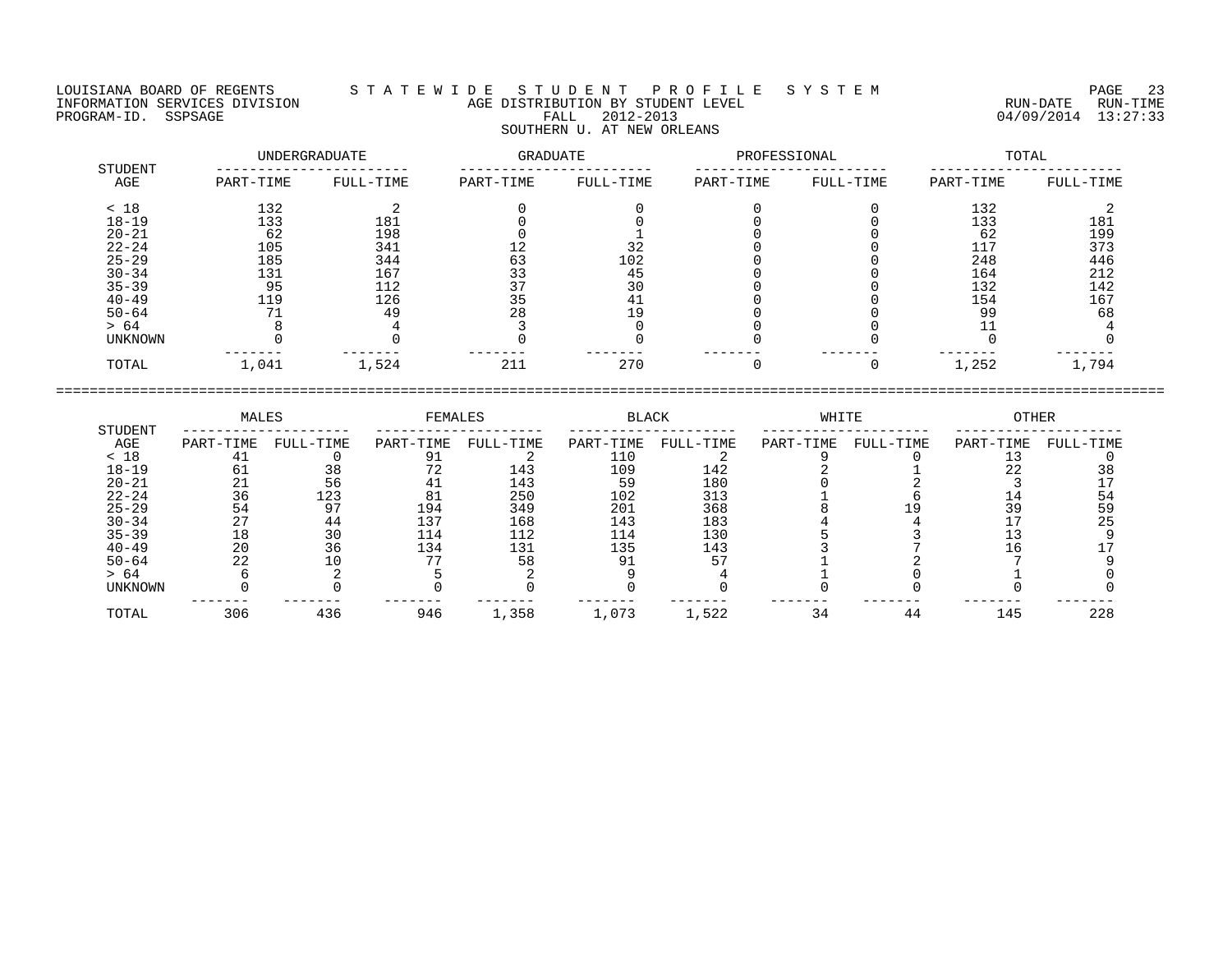## LOUISIANA BOARD OF REGENTS S T A T E W I D E S T U D E N T P R O F I L E S Y S T E M PAGE 23 INFORMATION SERVICES DIVISION AGE DISTRIBUTION BY STUDENT LEVEL RUN-DATE RUN-TIME ENGENIE SOMETHOUS DERVICES DIVISION CONTRACT TO AGE DISTRIBUTION BY STUDENT LEVEL CONTRACTION SERVICES DIVISION<br>PROGRAM-ID. SSPSAGE FALL 2012-2013 PROGRAM-ID. SSPSAGE 13:27:33 SOUTHERN U. AT NEW ORLEANS

|                | UNDERGRADUATE |           | GRADUATE  |           | PROFESSIONAL |           | TOTAL     |           |  |
|----------------|---------------|-----------|-----------|-----------|--------------|-----------|-----------|-----------|--|
| STUDENT<br>AGE | PART-TIME     | FULL-TIME | PART-TIME | FULL-TIME | PART-TIME    | FULL-TIME | PART-TIME | FULL-TIME |  |
| < 18           | 132           |           |           |           |              |           | 132       |           |  |
| $18 - 19$      | 133           | 181       |           |           |              |           | 133       | 181       |  |
| $20 - 21$      | 62            | 198       |           |           |              |           | 62        | 199       |  |
| $22 - 24$      | 105           | 341       | 12        | 32        |              |           | 117       | 373       |  |
| $25 - 29$      | 185           | 344       | 63        | 102       |              |           | 248       | 446       |  |
| $30 - 34$      | 131           | 167       | 33        | 45        |              |           | 164       | 212       |  |
| $35 - 39$      | 95            | 112       | 37        | 30        |              |           | 132       | 142       |  |
| $40 - 49$      | 119           | 126       | 35        | 41        |              |           | 154       | 167       |  |
| $50 - 64$      | 71            | 49        | 28        | 19        |              |           | 99        | 68        |  |
| > 64           |               |           |           |           |              |           |           |           |  |
| UNKNOWN        |               |           |           |           |              |           |           |           |  |
| TOTAL          | 1,041         | 1,524     | 211       | 270       |              |           | 1,252     | 1,794     |  |

|                | MALES     |           | FEMALES   |           | <b>BLACK</b> |           | WHITE     |           | OTHER     |           |
|----------------|-----------|-----------|-----------|-----------|--------------|-----------|-----------|-----------|-----------|-----------|
| STUDENT<br>AGE | PART-TIME | FULL-TIME | PART-TIME | FULL-TIME | PART-TIME    | FULL-TIME | PART-TIME | FULL-TIME | PART-TIME | FULL-TIME |
| < 18           |           |           |           |           | 110          |           |           |           |           |           |
| $18 - 19$      |           |           |           | 143       | 109          | 142       |           |           |           |           |
| $20 - 21$      |           | 56        |           | 143       | 59           | 180       |           |           |           |           |
| $22 - 24$      | 36        | 123       | 8 J       | 250       | 102          | 313       |           |           |           | 54        |
| $25 - 29$      | 54        | 97        | 194       | 349       | 201          | 368       |           |           | 39        | 59        |
| $30 - 34$      |           | 44        | 137       | 168       | 143          | 183       |           |           |           |           |
| $35 - 39$      | 18        | 30        | 114       | 112       | 114          | 130       |           |           |           |           |
| $40 - 49$      | 20        | 36        | 134       | 131       | 135          | 143       |           |           |           |           |
| $50 - 64$      | 22        |           |           | 58        | ۹1           |           |           |           |           |           |
| > 64           |           |           |           |           |              |           |           |           |           |           |
| UNKNOWN        |           |           |           |           |              |           |           |           |           |           |
| TOTAL          | 306       | 436       | 946       | 1,358     | 1,073        | 1,522     | 34        | 44        | 145       | 228       |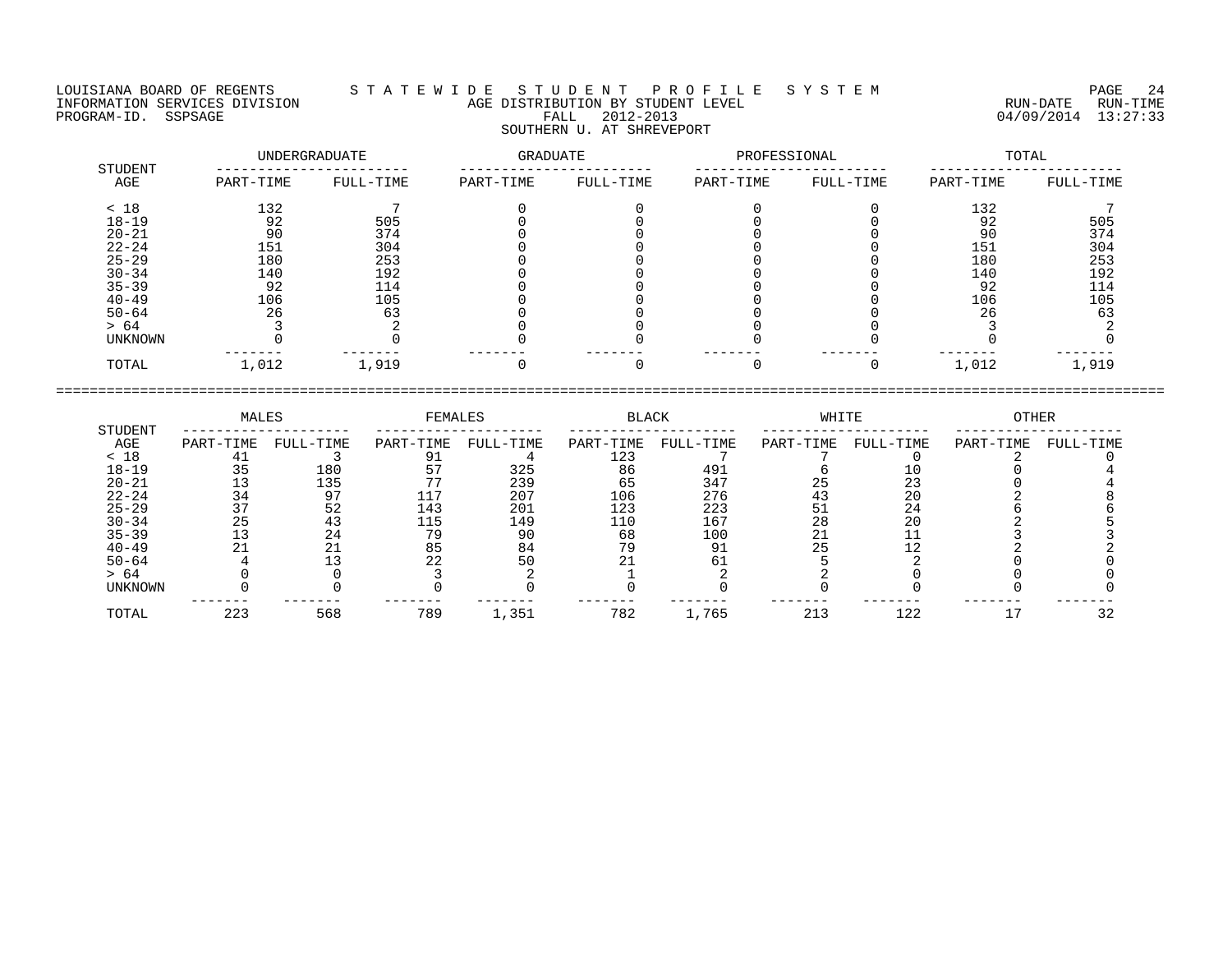LOUISIANA BOARD OF REGENTS S T A T E W I D E S T U D E N T P R O F I L E S Y S T E M PAGE 24 INFORMATION SERVICES DIVISION AGE DISTRIBUTION BY STUDENT LEVEL RUN-DATE RUN-TIME

| <b>STUDENT</b> |           | UNDERGRADUATE | GRADUATE  |           | PROFESSIONAL |           | TOTAL     |           |  |
|----------------|-----------|---------------|-----------|-----------|--------------|-----------|-----------|-----------|--|
| AGE            | PART-TIME | FULL-TIME     | PART-TIME | FULL-TIME | PART-TIME    | FULL-TIME | PART-TIME | FULL-TIME |  |
| < 18           | 132       |               |           |           |              |           | 132       |           |  |
| $18 - 19$      | 92        | 505           |           |           |              |           | 92        | 505       |  |
| $20 - 21$      | 90        | 374           |           |           |              |           | 90        | 374       |  |
| $22 - 24$      | 151       | 304           |           |           |              |           | 151       | 304       |  |
| $25 - 29$      | 180       | 253           |           |           |              |           | 180       | 253       |  |
| $30 - 34$      | 140       | 192           |           |           |              |           | 140       | 192       |  |
| $35 - 39$      | 92        | 114           |           |           |              |           | 92        | 114       |  |
| $40 - 49$      | 106       | 105           |           |           |              |           | 106       | 105       |  |
| $50 - 64$      | 26        | 63            |           |           |              |           | 26        | 63        |  |
| > 64           |           |               |           |           |              |           |           |           |  |
| <b>UNKNOWN</b> |           |               |           |           |              |           |           |           |  |
| TOTAL          | 1,012     | 1,919         |           |           |              |           | 1,012     | 1,919     |  |
|                |           |               |           |           |              |           |           |           |  |

|                | MALES     |           | FEMALES   |           | <b>BLACK</b> |           | WHITE     |           | OTHER     |           |
|----------------|-----------|-----------|-----------|-----------|--------------|-----------|-----------|-----------|-----------|-----------|
| STUDENT<br>AGE | PART-TIME | FULL-TIME | PART-TIME | FULL-TIME | PART-TIME    | FULL-TIME | PART-TIME | FULL-TIME | PART-TIME | FULL-TIME |
| < 18           | 41        |           |           |           | 123          |           |           |           |           |           |
| $18 - 19$      | 35        | 180       |           | 325       | 86           | 491       |           |           |           |           |
| $20 - 21$      | 13        | 135       |           | 239       | 65           | 347       | 25        | 23        |           |           |
| $22 - 24$      | 34        | 97        | 117       | 207       | 106          | 276       | 43        | 20        |           |           |
| $25 - 29$      | 37        | 52        | 143       | 201       | 123          | 223       | -51       | 24        |           |           |
| $30 - 34$      | 25        | 43        | 115       | 149       | 110          | 167       | 28        | 20        |           |           |
| $35 - 39$      | 13        | 24        | 79        | 90        | 68           | 100       |           |           |           |           |
| $40 - 49$      |           | $\Omega$  | 85        | 84        | 79           | 91        | 25        | 12        |           |           |
| $50 - 64$      |           |           | 22        | 50        | 21           |           |           |           |           |           |
| > 64           |           |           |           |           |              |           |           |           |           |           |
| UNKNOWN        |           |           |           |           |              |           |           |           |           |           |
| TOTAL          | 223       | 568       | 789       | 1,351     | 782          | 1,765     | 213       | 122       |           | 32        |

====================================================================================================================================

# PROGRAM-ID. SSPSAGE FALL 2012-2013 04/09/2014 13:27:33 SOUTHERN U. AT SHREVEPORT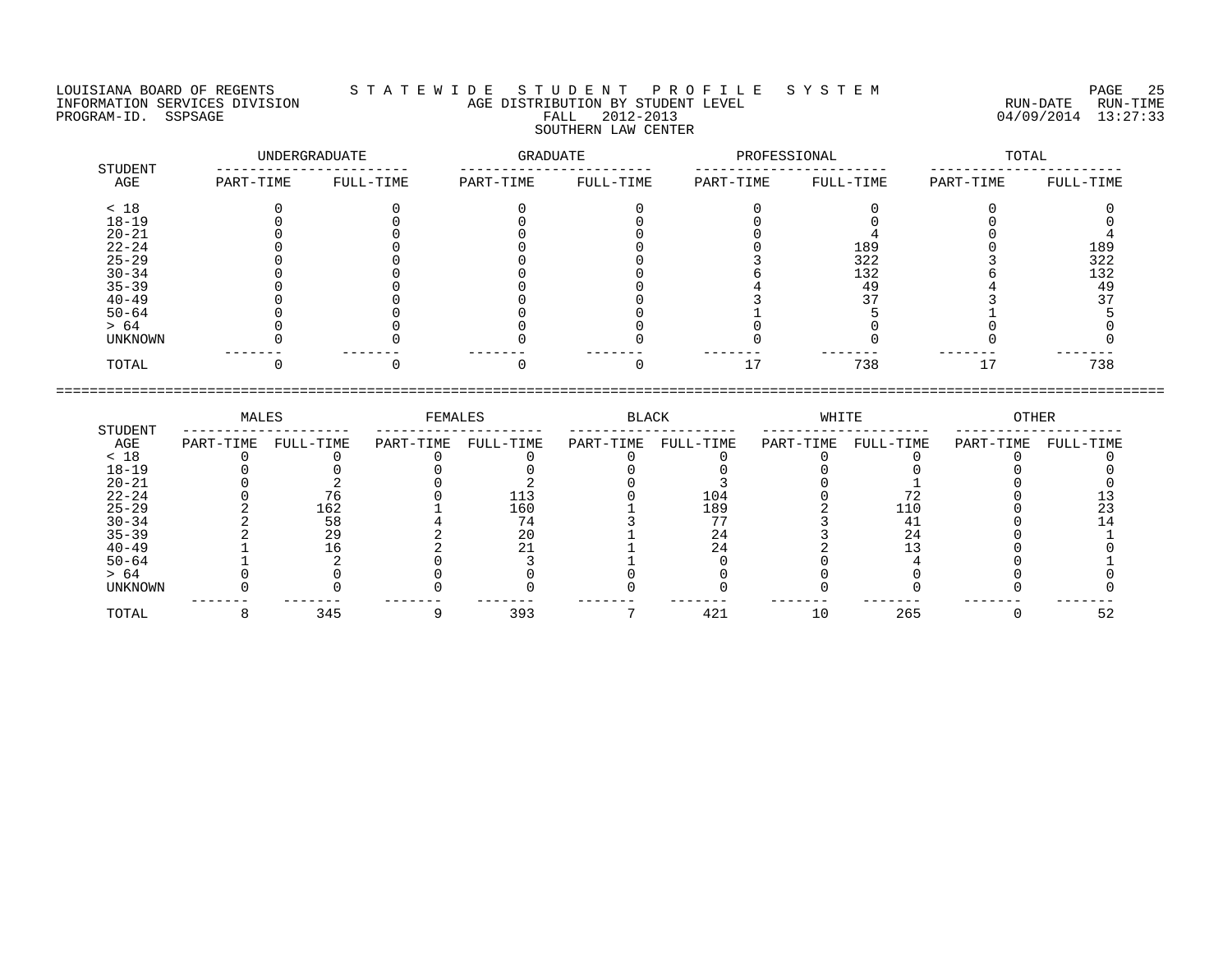## LOUISIANA BOARD OF REGENTS S T A T E W I D E S T U D E N T P R O F I L E S Y S T E M PAGE 25 INFORMATION SERVICES DIVISION AGE DISTRIBUTION BY STUDENT LEVEL RUN-DATE RUN-TIME PROGRAM-ID. SSPSAGE FALL 2012-2013 04/09/2014 13:27:33 SOUTHERN LAW CENTER

|                | UNDERGRADUATE |           | GRADUATE  |           | PROFESSIONAL |           | TOTAL     |           |
|----------------|---------------|-----------|-----------|-----------|--------------|-----------|-----------|-----------|
| STUDENT<br>AGE | PART-TIME     | FULL-TIME | PART-TIME | FULL-TIME | PART-TIME    | FULL-TIME | PART-TIME | FULL-TIME |
| < 18           |               |           |           |           |              |           |           |           |
| $18 - 19$      |               |           |           |           |              |           |           |           |
| $20 - 21$      |               |           |           |           |              |           |           |           |
| $22 - 24$      |               |           |           |           |              | 189       |           | 189       |
| $25 - 29$      |               |           |           |           |              | 322       |           | 322       |
| $30 - 34$      |               |           |           |           |              | 132       |           | 132       |
| $35 - 39$      |               |           |           |           |              | 49        |           | 49        |
| $40 - 49$      |               |           |           |           |              |           |           |           |
| $50 - 64$      |               |           |           |           |              |           |           |           |
| > 64           |               |           |           |           |              |           |           |           |
| UNKNOWN        |               |           |           |           |              |           |           |           |
| TOTAL          |               |           |           |           | 17           | 738       | 17        | 738       |

|           | MALES     |           | FEMALES   |           | BLACK     |           | WHITE     |           | OTHER     |           |
|-----------|-----------|-----------|-----------|-----------|-----------|-----------|-----------|-----------|-----------|-----------|
| STUDENT   |           |           |           |           |           |           |           |           |           |           |
| AGE       | PART-TIME | FULL-TIME | PART-TIME | FULL-TIME | PART-TIME | FULL-TIME | PART-TIME | FULL-TIME | PART-TIME | FULL-TIME |
| < 18      |           |           |           |           |           |           |           |           |           |           |
| $18 - 19$ |           |           |           |           |           |           |           |           |           |           |
| $20 - 21$ |           |           |           |           |           |           |           |           |           |           |
| $22 - 24$ |           |           |           |           |           | 104       |           |           |           |           |
| $25 - 29$ |           | 162       |           | 160       |           | 189       |           | 110       |           |           |
| $30 - 34$ |           | 58        |           | 74        |           | 77        |           |           |           |           |
| $35 - 39$ |           | 29        |           | 20        |           | 24        |           | 24        |           |           |
| $40 - 49$ |           |           |           |           |           |           |           |           |           |           |
| $50 - 64$ |           |           |           |           |           |           |           |           |           |           |
| > 64      |           |           |           |           |           |           |           |           |           |           |
| UNKNOWN   |           |           |           |           |           |           |           |           |           |           |
| TOTAL     |           | 345       |           | 393       |           | 421       | 10        | 265       |           | 52        |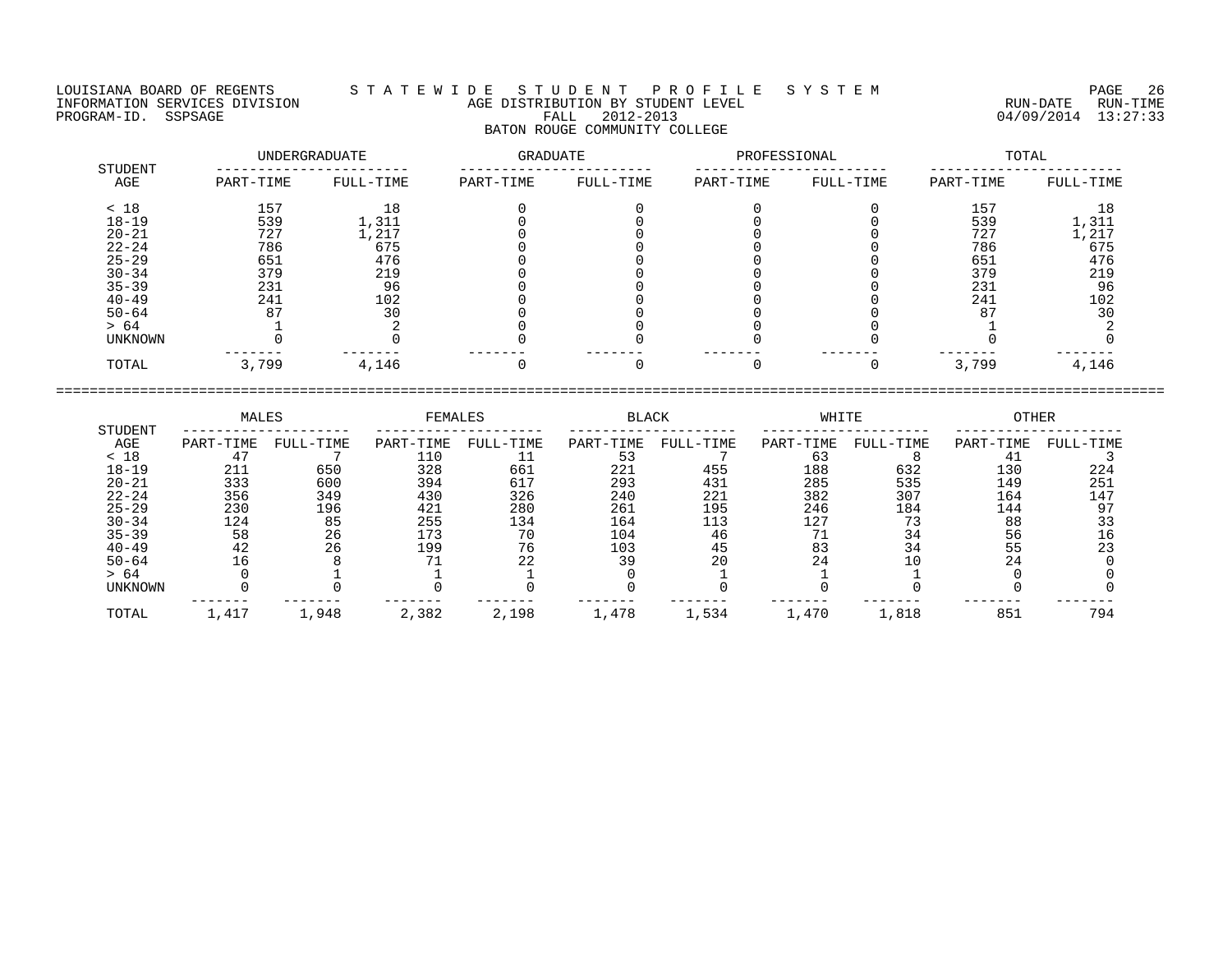LOUISIANA BOARD OF REGENTS S T A T E W I D E S T U D E N T P R O F I L E S Y S T E M PAGE 26 INFORMATION SERVICES DIVISION AGE DISTRIBUTION BY STUDENT LEVEL RUN-DATE RUN-TIME ENGENIE SOMETHOUS DIVISION CONTROLLED TO AGE DISTRIBUTION BY STUDENT LEVEL CONTROLLED TO THE RUN-DATE RUN-TIME<br>PROGRAM-ID. SSPSAGE PROGRAM-ID. SSPSAGE PALL 2012-2013 04/09/2014 13:27:33

## BATON ROUGE COMMUNITY COLLEGE

|                | UNDERGRADUATE |           | GRADUATE  |           | PROFESSIONAL |           | TOTAL     |           |  |
|----------------|---------------|-----------|-----------|-----------|--------------|-----------|-----------|-----------|--|
| STUDENT<br>AGE | PART-TIME     | FULL-TIME | PART-TIME | FULL-TIME | PART-TIME    | FULL-TIME | PART-TIME | FULL-TIME |  |
| < 18           | 157           | 18        |           |           |              |           | 157       | 18        |  |
| $18 - 19$      | 539           | 1,311     |           |           |              |           | 539       | 1,311     |  |
| $20 - 21$      | 727           | 1,217     |           |           |              |           | 727       | 1,217     |  |
| $22 - 24$      | 786           | 675       |           |           |              |           | 786       | 675       |  |
| $25 - 29$      | 651           | 476       |           |           |              |           | 651       | 476       |  |
| $30 - 34$      | 379           | 219       |           |           |              |           | 379       | 219       |  |
| $35 - 39$      | 231           | 96        |           |           |              |           | 231       | 96        |  |
| $40 - 49$      | 241           | 102       |           |           |              |           | 241       | 102       |  |
| $50 - 64$      | 87            | 30        |           |           |              |           | 87        | 30        |  |
| > 64           |               |           |           |           |              |           |           |           |  |
| UNKNOWN        |               |           |           |           |              |           |           |           |  |
| TOTAL          | 3,799         | 4,146     |           |           |              |           | 3,799     | 4,146     |  |

|           | MALES     |           | <b>FEMALES</b> |           | <b>BLACK</b> |           | WHITE     |           | <b>OTHER</b> |           |
|-----------|-----------|-----------|----------------|-----------|--------------|-----------|-----------|-----------|--------------|-----------|
| STUDENT   |           |           |                |           |              |           |           |           |              |           |
| AGE       | PART-TIME | FULL-TIME | PART-TIME      | FULL-TIME | PART-TIME    | FULL-TIME | PART-TIME | FULL-TIME | PART-TIME    | FULL-TIME |
| < 18      |           |           | 110            |           | 53           |           | 63        |           |              |           |
| $18 - 19$ | 211       | 650       | 328            | 661       | 221          | 455       | 188       | 632       | 130          | 224       |
| $20 - 21$ | 333       | 600       | 394            | 617       | 293          | 431       | 285       | 535       | 149          | 251       |
| $22 - 24$ | 356       | 349       | 430            | 326       | 240          | 221       | 382       | 307       | 164          | 147       |
| $25 - 29$ | 230       | 196       | 421            | 280       | 261          | 195       | 246       | 184       | 144          | 97        |
| $30 - 34$ | 124       | 85        | 255            | 134       | 164          | 113       | 127       |           | 88           |           |
| $35 - 39$ | 58        | 26        | 173            | 70        | 104          | 46        |           | 34        | 56           |           |
| $40 - 49$ | 42        | 26        | 199            | 76        | 103          | 45        | 83        | 34        | 55           | 23        |
| $50 - 64$ |           |           |                | 22        | 39           | 20        |           | 10        | 24           |           |
| > 64      |           |           |                |           |              |           |           |           |              |           |
| UNKNOWN   |           |           |                |           |              |           |           |           |              |           |
| TOTAL     | 1,417     | .,948     | 2,382          | 2,198     | 1,478        | 1,534     | 1,470     | 1,818     | 851          | 794       |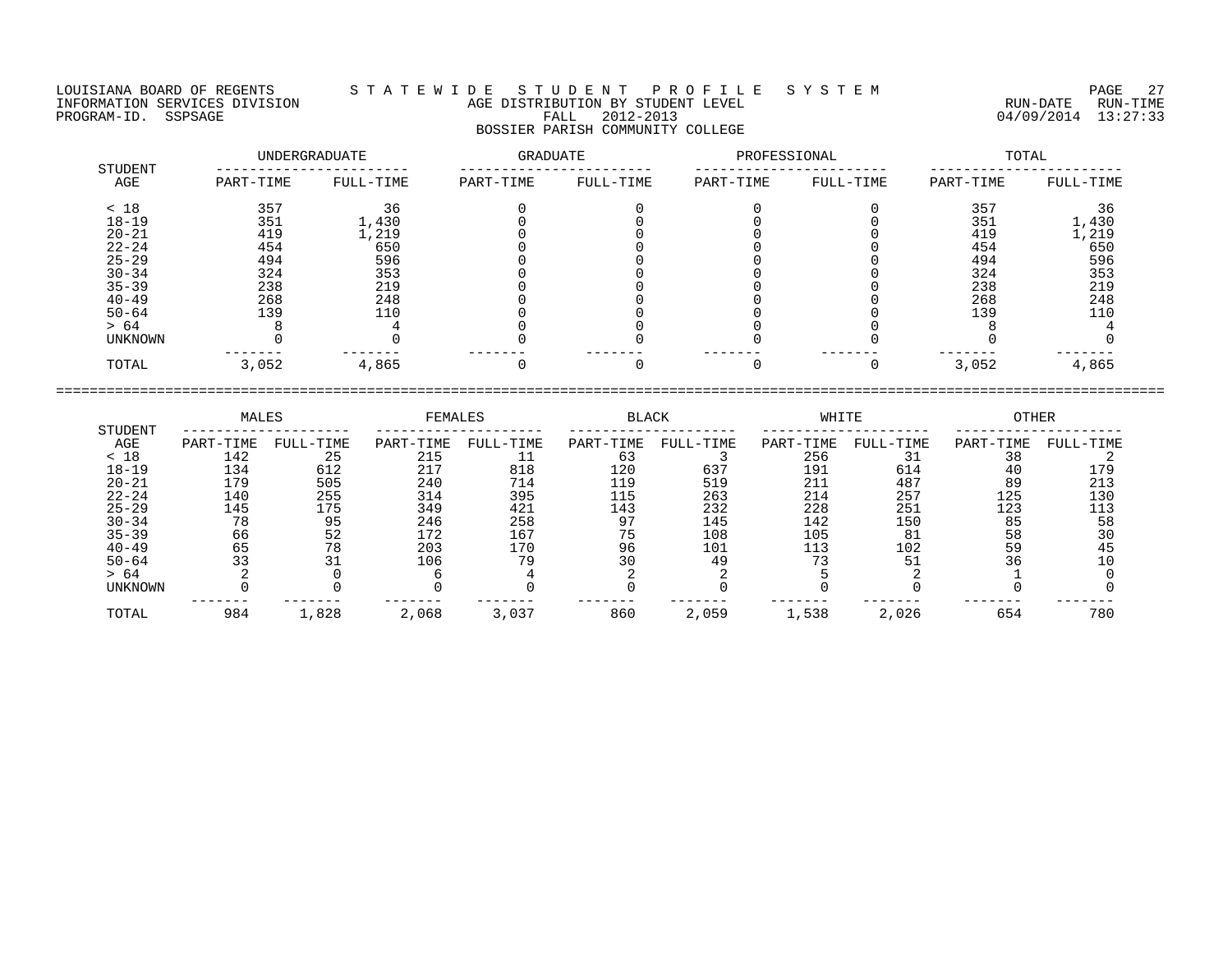LOUISIANA BOARD OF REGENTS S T A T E W I D E S T U D E N T P R O F I L E S Y S T E M PAGE 27 INFORMATION SERVICES DIVISION AGE DISTRIBUTION BY STUDENT LEVEL RUN-DATE RUN-TIME PROGRAM-ID. SSPSAGE PROGRAM-ID. SSPSAGE FALL 2012-2013 FALL 2012-2013 2012-2013 04/09/2014 13:27:33 BOSSIER PARISH COMMUNITY COLLEGE

| STUDENT        |           | UNDERGRADUATE | <b>GRADUATE</b> |           | PROFESSIONAL |           | TOTAL     |           |  |
|----------------|-----------|---------------|-----------------|-----------|--------------|-----------|-----------|-----------|--|
| AGE            | PART-TIME | FULL-TIME     | PART-TIME       | FULL-TIME | PART-TIME    | FULL-TIME | PART-TIME | FULL-TIME |  |
| < 18           | 357       | 36            |                 |           |              |           | 357       | 36        |  |
| $18 - 19$      | 351       | 1,430         |                 |           |              |           | 351       | 1,430     |  |
| $20 - 21$      | 419       | 1,219         |                 |           |              |           | 419       | 1,219     |  |
| $22 - 24$      | 454       | 650           |                 |           |              |           | 454       | 650       |  |
| $25 - 29$      | 494       | 596           |                 |           |              |           | 494       | 596       |  |
| $30 - 34$      | 324       | 353           |                 |           |              |           | 324       | 353       |  |
| $35 - 39$      | 238       | 219           |                 |           |              |           | 238       | 219       |  |
| $40 - 49$      | 268       | 248           |                 |           |              |           | 268       | 248       |  |
| $50 - 64$      | 139       | 110           |                 |           |              |           | 139       | 110       |  |
| > 64           |           |               |                 |           |              |           |           |           |  |
| <b>UNKNOWN</b> |           |               |                 |           |              |           |           |           |  |
| TOTAL          | 3,052     | 4,865         |                 |           |              |           | 3,052     | 4,865     |  |

==================================================================================================================================== MALES FEMALES BLACK WHITE OTHER

|           | ەسىسە:    |           | ەسىستەت - |           | <b>DUACIL</b> |           | تنديد بلادور |           | ۱۳ تنبیت ب |           |
|-----------|-----------|-----------|-----------|-----------|---------------|-----------|--------------|-----------|------------|-----------|
| STUDENT   |           |           |           |           |               |           |              |           |            |           |
| AGE       | PART-TIME | FULL-TIME | PART-TIME | FULL-TIME | PART-TIME     | FULL-TIME | PART-TIME    | FULL-TIME | PART-TIME  | FULL-TIME |
| < 18      | 142       | 25        | 215       |           | 63            |           | 256          |           | 38         |           |
| $18 - 19$ | 134       | 612       | 217       | 818       | 120           | 637       | 191          | 614       | 40         | 179       |
| $20 - 21$ | 179       | 505       | 240       | 714       | 119           | 519       | 211          | 487       | 89         | 213       |
| $22 - 24$ | 140       | 255       | 314       | 395       | 115           | 263       | 214          | 257       | 125        | 130       |
| $25 - 29$ | 145       | 175       | 349       | 421       | 143           | 232       | 228          | 251       | 123        |           |
| $30 - 34$ | 78        | 95        | 246       | 258       | 97            | 145       | 142          | 150       | 85         | 58        |
| $35 - 39$ | 66        | 52        | 172       | 167       | 75            | 108       | 105          | 81        | 58         |           |
| $40 - 49$ | 65        | 78        | 203       | 170       | 96            | 101       | 113          | 102       | 59         | 45        |
| $50 - 64$ |           |           | 106       | 79        | 30            | 49        |              |           | 36         |           |
| > 64      |           |           |           |           |               |           |              |           |            |           |
| UNKNOWN   |           |           |           |           |               |           |              |           |            |           |
|           |           |           |           |           |               |           |              |           |            |           |
| TOTAL     | 984       | 1,828     | 2,068     | 3,037     | 860           | 2,059     | 1,538        | 2,026     | 654        | 780       |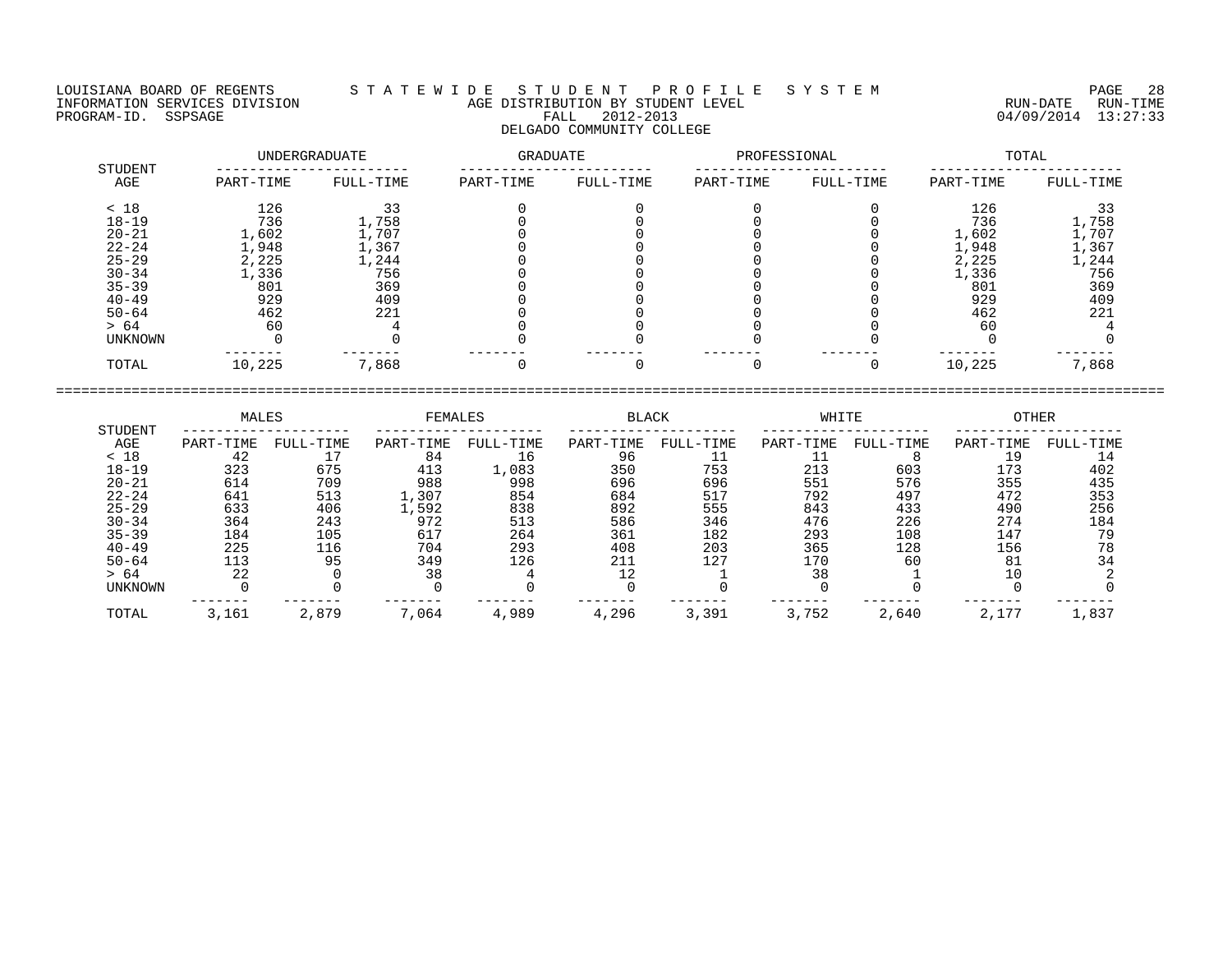LOUISIANA BOARD OF REGENTS S T A T E W I D E S T U D E N T P R O F I L E S Y S T E M PAGE 28 INFORMATION SERVICES DIVISION AGE DISTRIBUTION BY STUDENT LEVEL RUN-DATE RUN-TIME EXPORMATION SERVICES DIVISION AGE DISTRIBUTION BY STUDENT LEVEL TO A MANUSIC RUN-DATE RUN TIME AND TIME AND TIME<br>PROGRAM-ID. SSPSAGE 13:27:33 DELGADO COMMUNITY COLLEGE

 UNDERGRADUATE GRADUATE PROFESSIONAL TOTAL STUDENT ----------------------- ----------------------- ----------------------- ----------------------- AGE PART-TIME FULL-TIME PART-TIME FULL-TIME PART-TIME FULL-TIME PART-TIME FULL-TIME

| < 18           | 126    |               |  |  | 126    |       |
|----------------|--------|---------------|--|--|--------|-------|
| $18 - 19$      | 736    | 1,758         |  |  | 736    | ⊥,758 |
| $20 - 21$      | 1,602  | 1,707         |  |  | 1,602  | ,707  |
| $22 - 24$      | 1,948  | $\perp$ , 367 |  |  | L,948  | ,367  |
| $25 - 29$      | 2,225  | 1,244         |  |  | 2,225  | 1,244 |
| $30 - 34$      | 1,336  | 756           |  |  | 1,336  | 756   |
| $35 - 39$      | 801    | 369           |  |  | 801    | 369   |
| $40 - 49$      | 929    | 409           |  |  | 929    | 409   |
| $50 - 64$      | 462    | 221           |  |  | 462    | 221   |
| > 64           | 60     |               |  |  | 60     |       |
| <b>UNKNOWN</b> |        |               |  |  |        |       |
| TOTAL          | 10,225 | 7,868         |  |  | 10,225 | 7,868 |

 MALES FEMALES BLACK WHITE OTHER STUDENT -------------------- -------------------- -------------------- -------------------- -------------------- AGE PART-TIME FULL-TIME PART-TIME FULL-TIME PART-TIME FULL-TIME PART-TIME FULL-TIME PART-TIME FULL-TIME < 18 42 17 84 16 96 11 11 8 19 14 18-19 323 675 413 1,083 350 753 213 603 173 402 20-21 614 709 988 998 696 696 551 576 355 435 22-24 641 513 1,307 854 684 517 792 497 472 353 25-29 633 406 1,592 838 892 555 843 433 490 256 30-34 364 243 972 513 586 346 476 226 274 184 35-39 184 105 617 264 361 182 293 108 147 79 40-49 225 116 704 293 408 203 365 128 156 78  $\begin{array}{cccccccccccc} 20-24 & 641 & 513 & 1,307 & 854 & 684 & 517 & 305 & 3000 & 3000 & 3000 & 3000 & 3000 & 3000 & 3000 & 3000 & 3000 & 3000 & 3000 & 3000 & 3000 & 3000 & 3000 & 3000 & 3000 & 3000 & 3000 & 3000 & 3000 & 3000 & 3000 & 3000 & 3000 & 3000 & 3000 & 3000$ > 64 22 0 38 4 12 1 38 1 10 2 UNKNOWN 0 0 0 0 0 0 0 0 0 0 ------- ------- ------- ------- ------- ------- ------- ------- ------- ------- TOTAL 3,161 2,879 7,064 4,989 4,296 3,391 3,752 2,640 2,177 1,837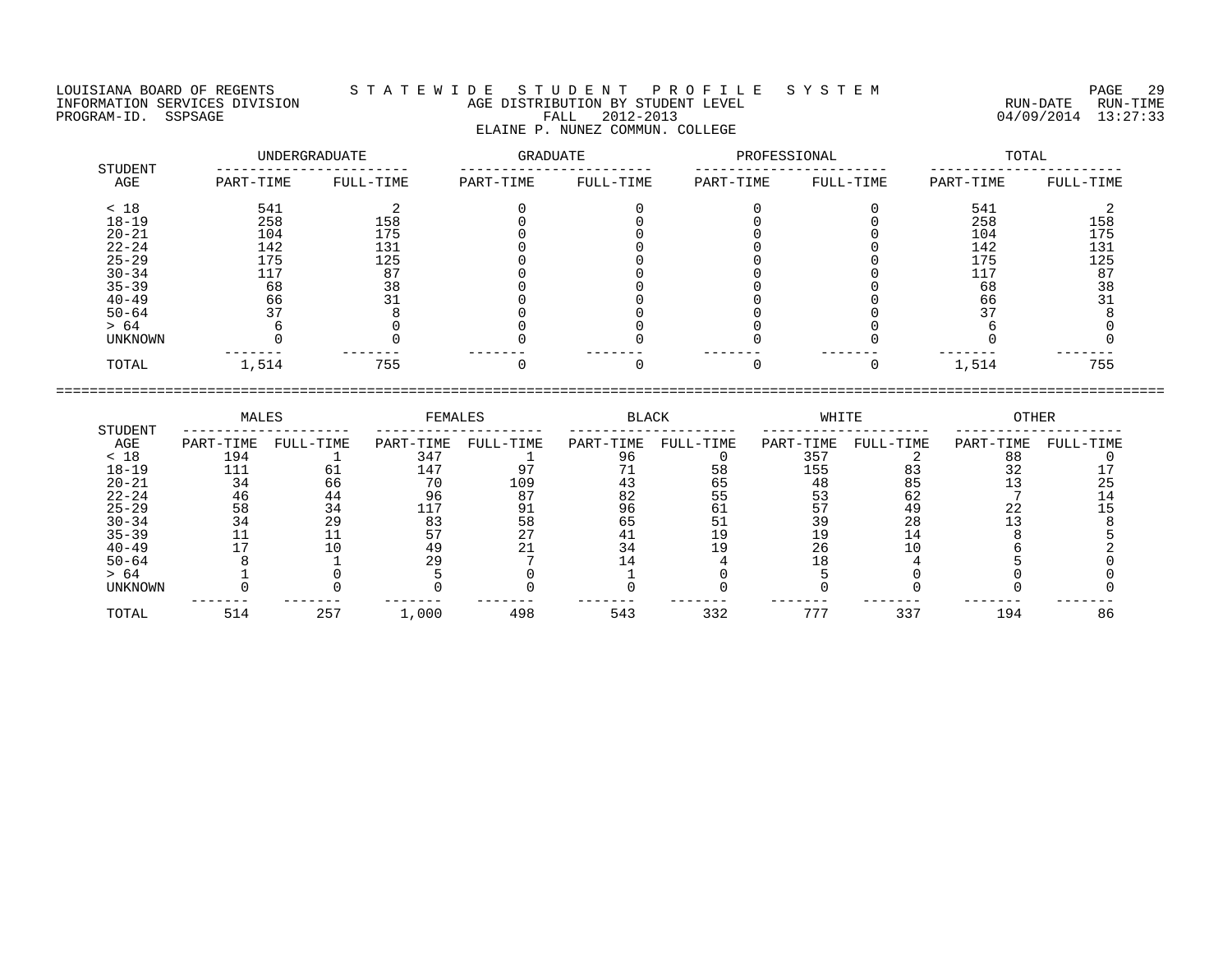## LOUISIANA BOARD OF REGENTS S T A T E W I D E S T U D E N T P R O F I L E S Y S T E M PAGE 29 INFORMATION SERVICES DIVISION AGE DISTRIBUTION BY STUDENT LEVEL RUN-DATE RUN-TIME ENDUISIANA BOARD OF REGENTS STATEWIDE STUDENT PROFILE SYSTEM PAGE 29<br>INFORMATION SERVICES DIVISION STATEWIDE AGE DISTRIBUTION BY STUDENT LEVEL FOR STOP RUN-DATE RUN-TIME<br>PROGRAM-ID. SSPSAGE FALL 2012-2013 04/09/2014 13:27: ELAINE P. NUNEZ COMMUN. COLLEGE

|                |           | UNDERGRADUATE | <b>GRADUATE</b> |           | PROFESSIONAL |           | TOTAL     |           |  |
|----------------|-----------|---------------|-----------------|-----------|--------------|-----------|-----------|-----------|--|
| STUDENT<br>AGE | PART-TIME | FULL-TIME     | PART-TIME       | FULL-TIME | PART-TIME    | FULL-TIME | PART-TIME | FULL-TIME |  |
| < 18           | 541       |               |                 |           |              |           | 541       |           |  |
| $18 - 19$      | 258       | 158           |                 |           |              |           | 258       | 158       |  |
| $20 - 21$      | 104       | 175           |                 |           |              |           | 104       | 175       |  |
| $22 - 24$      | 142       | 131           |                 |           |              |           | 142       | 131       |  |
| $25 - 29$      | 175       | 125           |                 |           |              |           | 175       | 125       |  |
| $30 - 34$      | 117       | 87            |                 |           |              |           | 117       | 87        |  |
| $35 - 39$      | 68        | 38            |                 |           |              |           | 68        | 38        |  |
| $40 - 49$      | 66        | 31            |                 |           |              |           | 66        |           |  |
| $50 - 64$      | 37        |               |                 |           |              |           | 37        |           |  |
| > 64           |           |               |                 |           |              |           |           |           |  |
| <b>UNKNOWN</b> |           |               |                 |           |              |           |           |           |  |
| TOTAL          | 1,514     | 755           |                 |           | $\Omega$     |           | 1,514     | 755       |  |

|           | MALES     |           | FEMALES   |           | BLACK     |           | WHITE     |           | OTHER     |           |
|-----------|-----------|-----------|-----------|-----------|-----------|-----------|-----------|-----------|-----------|-----------|
| STUDENT   |           |           |           |           |           |           |           |           |           |           |
| AGE       | PART-TIME | FULL-TIME | PART-TIME | FULL-TIME | PART-TIME | FULL-TIME | PART-TIME | FULL-TIME | PART-TIME | FULL-TIME |
| < 18      | 194       |           | 347       |           |           |           | 357       |           | 88        |           |
| $18 - 19$ |           |           | 147       |           |           | א ל       | 155       |           |           |           |
| $20 - 21$ | 34        | 66        | ח 7       | 109       |           | 65        | 48        |           |           |           |
| $22 - 24$ | 46        | 44        | 96        |           | 82        | 55        | 53        | 62        |           |           |
| $25 - 29$ | 58        | 34        |           | 91        | 96        | 61        |           | 49        | 22        |           |
| $30 - 34$ | 34        | 29        | 83        | 58        | 65        |           |           | 28        |           |           |
| $35 - 39$ |           |           |           |           | 4 I       |           |           | 14        |           |           |
| $40 - 49$ |           |           | 49        |           |           |           | 26        |           |           |           |
| $50 - 64$ |           |           |           |           |           |           |           |           |           |           |
| > 64      |           |           |           |           |           |           |           |           |           |           |
| UNKNOWN   |           |           |           |           |           |           |           |           |           |           |
| TOTAL     | 514       | 257       | 1,000     | 498       | 543       | 332       | 777       | 337       | 194       | 86        |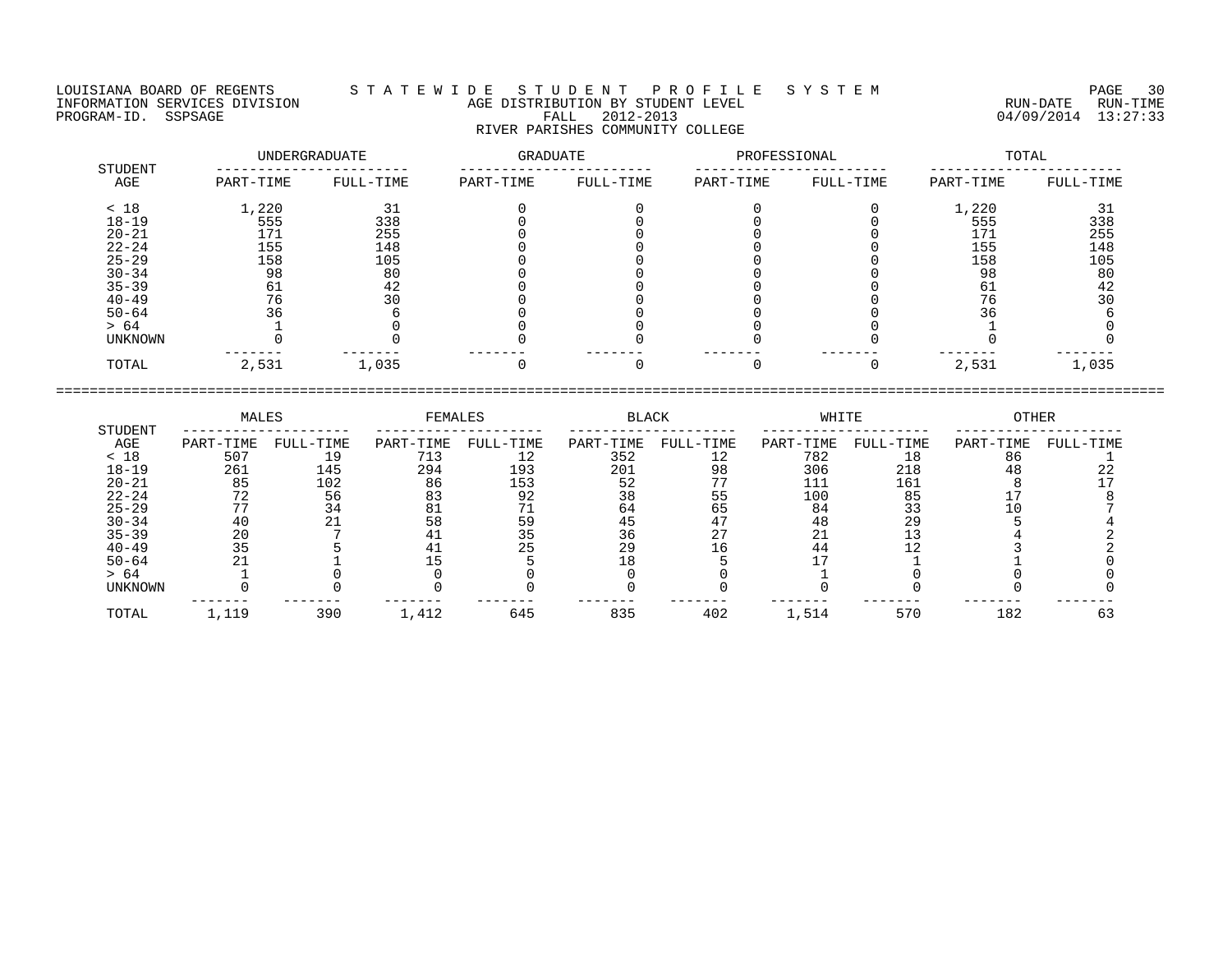## LOUISIANA BOARD OF REGENTS S T A T E W I D E S T U D E N T P R O F I L E S Y S T E M PAGE 30 INFORMATION SERVICES DIVISION AGE DISTRIBUTION BY STUDENT LEVEL RUN-DATE RUN-TIME ENFORMATION SERVICES DIVISION  $\begin{array}{c} 1 & 1 & 2 & \cdots & 1 \\ 0 & 0 & 0 & 0 \\ 0 & 0 & 0 & 0 \end{array}$  age distribution by student level  $\begin{array}{c} 0 & 0 & 0 \\ 0 & 0 & 0 \end{array}$  and  $\begin{array}{c} 0 & 0 & 0 \\ 0 & 0 & 0 \end{array}$   $\begin{array}{c} 0 & 0 & 0 \\ 0 & 0 & 0 \end{array}$   $\begin{$ RIVER PARISHES COMMUNITY COLLEGE

|                | UNDERGRADUATE |           | GRADUATE  |           | PROFESSIONAL |           | TOTAL     |           |  |
|----------------|---------------|-----------|-----------|-----------|--------------|-----------|-----------|-----------|--|
| STUDENT<br>AGE | PART-TIME     | FULL-TIME | PART-TIME | FULL-TIME | PART-TIME    | FULL-TIME | PART-TIME | FULL-TIME |  |
| < 18           | 1,220         | 31        |           |           |              |           | 1,220     | 31        |  |
| $18 - 19$      | 555           | 338       |           |           |              |           | 555       | 338       |  |
| $20 - 21$      | 171           | 255       |           |           |              |           | 171       | 255       |  |
| $22 - 24$      | 155           | 148       |           |           |              |           | 155       | 148       |  |
| $25 - 29$      | 158           | 105       |           |           |              |           | 158       | 105       |  |
| $30 - 34$      | 98            | 80        |           |           |              |           | 98        | 80        |  |
| $35 - 39$      | 61            | 42        |           |           |              |           | 61        | 42        |  |
| $40 - 49$      | 76            | 30        |           |           |              |           | 76        | 30        |  |
| $50 - 64$      | 36            |           |           |           |              |           | 36        |           |  |
| > 64           |               |           |           |           |              |           |           |           |  |
| UNKNOWN        |               |           |           |           |              |           |           |           |  |
| TOTAL          | 2,531         | 1,035     |           |           | $\Omega$     | $\Omega$  | 2,531     | 1,035     |  |

|                | MALES     |           | FEMALES   |           | BLACK     |           | WHITE     |           | OTHER     |           |
|----------------|-----------|-----------|-----------|-----------|-----------|-----------|-----------|-----------|-----------|-----------|
| STUDENT        |           |           |           |           |           |           |           |           |           |           |
| AGE            | PART-TIME | FULL-TIME | PART-TIME | FULL-TIME | PART-TIME | FULL-TIME | PART-TIME | FULL-TIME | PART-TIME | FULL-TIME |
| < 18           | 507       |           | 713       |           | 352       |           | 782       | 18        | 86        |           |
| $18 - 19$      | 261       | 145       | 294       | 193       | 201       | 98        | 306       | 218       | 48        | 44        |
| $20 - 21$      | 85        | 102       | 86        | 153       | 52        |           | 111       | 161       |           |           |
| $22 - 24$      | 72        | 56        | 83        | 92        | 38        | 55        | 100       | 85        |           |           |
| $25 - 29$      |           | 34        |           |           | 64        | 65        | 84        |           |           |           |
| $30 - 34$      | 40        |           | 58        |           |           | 47        | 48        | 29        |           |           |
| $35 - 39$      | 20        |           |           |           | 36        | ר ר       | ∠⊥        |           |           |           |
| $40 - 49$      | 35        |           |           | 25        | 29        | ' 6       | 44        |           |           |           |
| $50 - 64$      |           |           |           |           | 18        |           |           |           |           |           |
| > 64           |           |           |           |           |           |           |           |           |           |           |
| <b>UNKNOWN</b> |           |           |           |           |           |           |           |           |           |           |
| TOTAL          | 1,119     | 390       | 1,412     | 645       | 835       | 402       | 1,514     | 570       | 182       | 63        |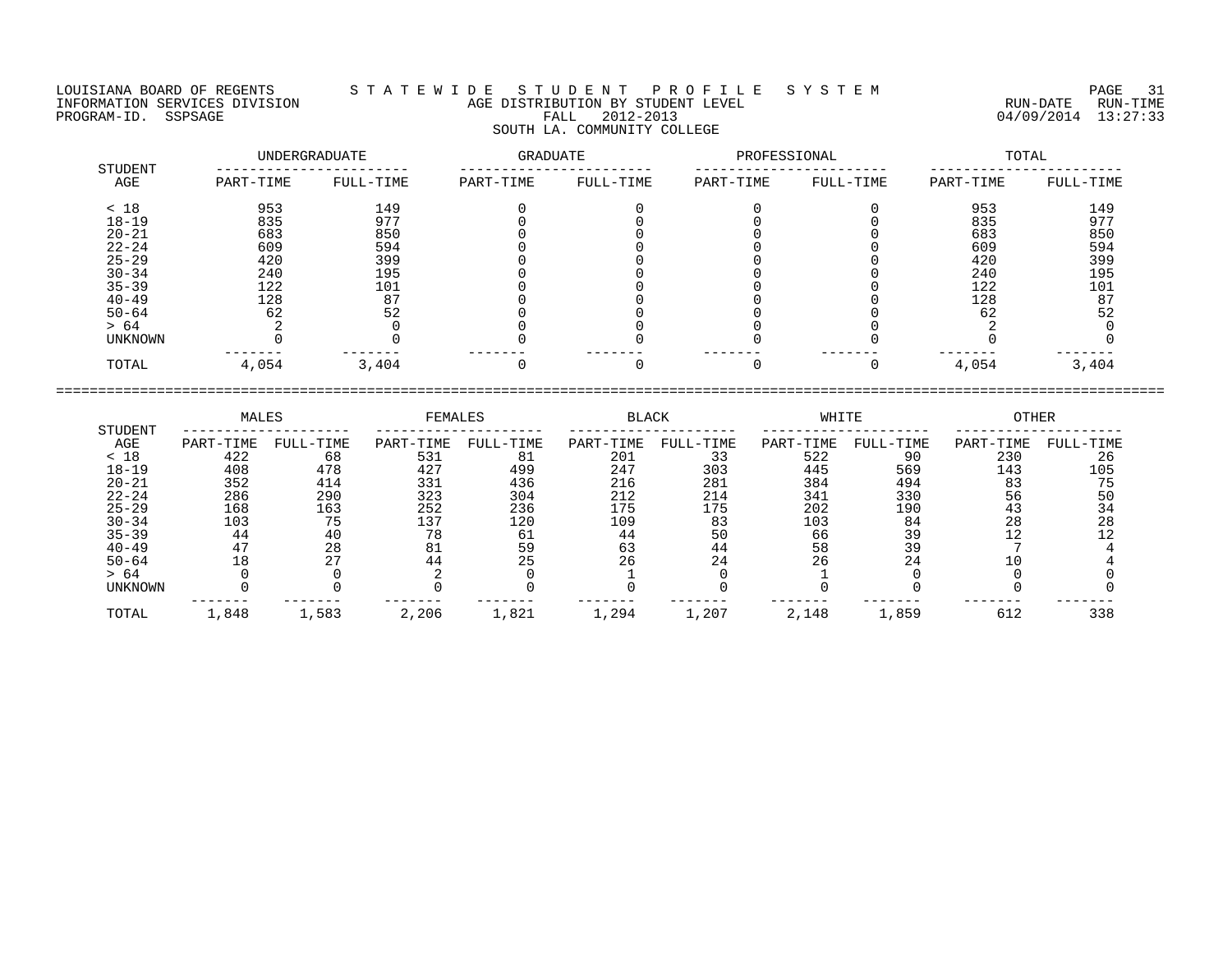LOUISIANA BOARD OF REGENTS S T A T E W I D E S T U D E N T P R O F I L E S Y S T E M PAGE 31 INFORMATION SERVICES DIVISION AGE DISTRIBUTION BY STUDENT LEVEL RUN-DATE RUN-TIME NEORMATION SERVICES DIVISION AGE DISTRIBUTION BY STUDENT LEVEL THE TRIM THE RUN-DATE RUN-TIME TRIM-TIME (2012-2013)<br>PROGRAM-ID. SSPSAGE 13:27:33 SOUTH LA. COMMUNITY COLLEGE

 UNDERGRADUATE GRADUATE PROFESSIONAL TOTAL STUDENT ----------------------- ----------------------- ----------------------- ----------------------- AGE PART-TIME FULL-TIME PART-TIME FULL-TIME PART-TIME FULL-TIME PART-TIME FULL-TIME < 18 953 149 0 0 0 0 953 149 18-19 835 977 0 0 0 0 835 977 20-21 683 850 0 0 0 0 683 850 22-24 609 594 0 0 0 0 609 594 25-29 420 399 0 0 0 0 420 399 30-34 240 195 0 0 0 0 240 195 35-39 122 101 0 0 0 0 122 101 40-49 128 87 0 0 0 0 128 87 50-64 62 52 0 0 0 0 62 52 > 64 2 0 0 0 0 0 2 0 UNKNOWN 0 0 0 0 0 0 0 0 ------- ------- ------- ------- ------- ------- ------- ------- TOTAL 4,054 3,404 0 0 0 0 4,054 3,404

====================================================================================================================================

 MALES FEMALES BLACK WHITE OTHER STUDENT -------------------- -------------------- -------------------- -------------------- -------------------- AGE PART-TIME FULL-TIME PART-TIME FULL-TIME PART-TIME FULL-TIME PART-TIME FULL-TIME PART-TIME FULL-TIME < 18 422 68 531 81 201 33 522 90 230 26 18-19 408 478 427 499 247 303 445 569 143 105 20-21 352 414 331 436 216 281 384 494 83 75 22-24 286 290 323 304 212 214 341 330 56 50 25-29 168 163 252 236 175 175 202 190 43 34 30-34 103 75 137 120 109 83 103 84 28 28 35-39 44 40 78 61 44 50 66 39 12 12 40-49 47 28 81 59 63 44 58 39 7 4 50-64 18 27 44 25 26 24 26 24 10 4 > 64 0 0 2 0 1 0 1 0 0 0 UNKNOWN 0 0 0 0 0 0 0 0 0 0 ------- ------- ------- ------- ------- ------- ------- ------- ------- ------- TOTAL 1,848 1,583 2,206 1,821 1,294 1,207 2,148 1,859 612 338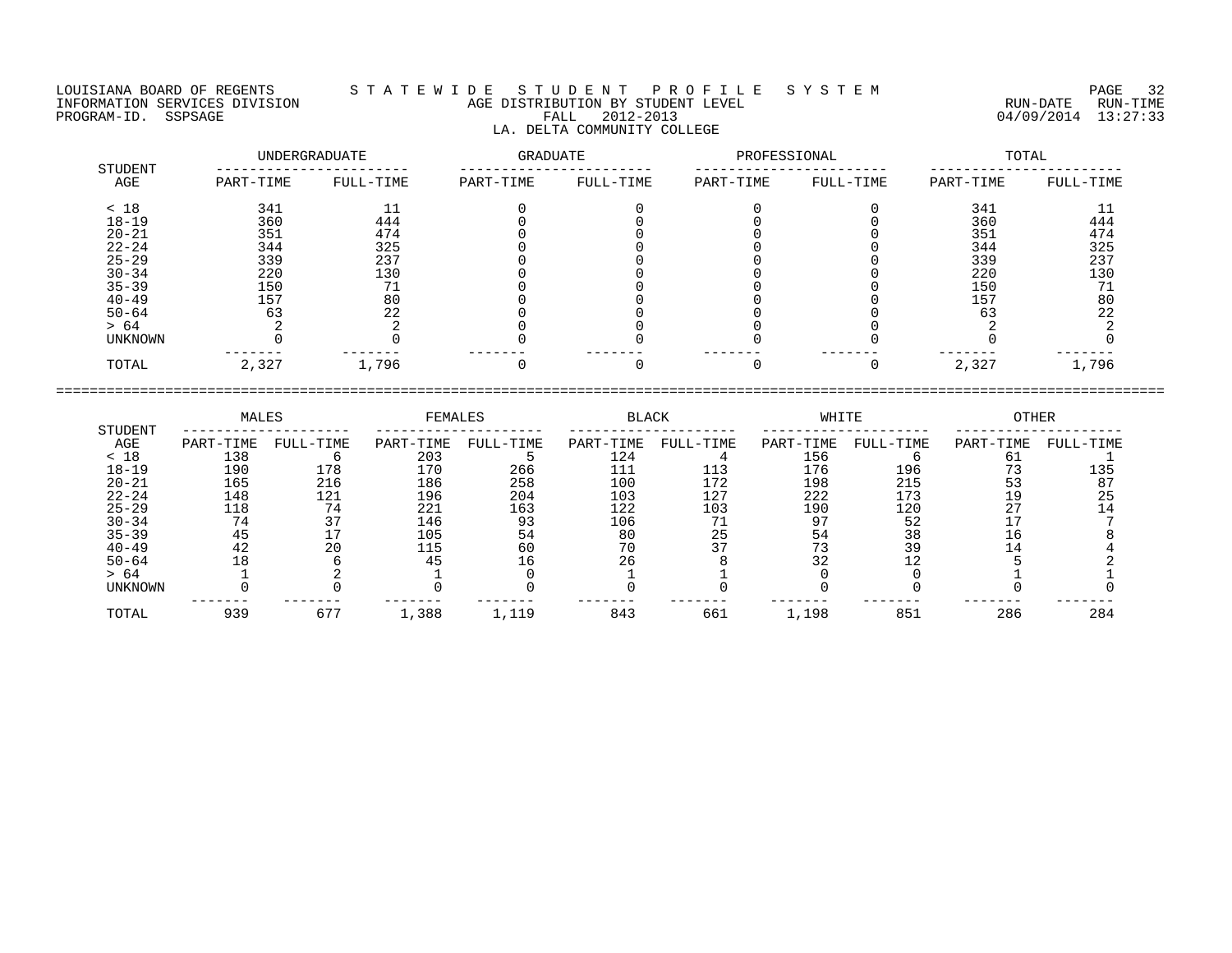LOUISIANA BOARD OF REGENTS S T A T E W I D E S T U D E N T P R O F I L E S Y S T E M PAGE 32 LA. DELTA COMMUNITY COLLEGE

## INFORMATION SERVICES DIVISION AGE DISTRIBUTION BY STUDENT LEVEL RUN-DATE RUN-TIME PROGRAM-ID. SSPSAGE FALL 2012-2013 04/09/2014 13:27:33

 UNDERGRADUATE GRADUATE PROFESSIONAL TOTAL STUDENT ----------------------- ----------------------- ----------------------- ----------------------- AGE PART-TIME FULL-TIME PART-TIME FULL-TIME PART-TIME FULL-TIME PART-TIME FULL-TIME < 18 341 11 0 0 0 0 341 11 18-19 360 444 0 0 0 0 360 444 20-21 351 474 0 0 0 0 351 474 22-24 344 325 0 0 0 0 344 325 25-29 339 237 0 0 0 0 339 237 30-34 220 130 0 0 0 0 220 130 35-39 150 71 0 0 0 0 150 71 40-49 157 80 0 0 0 0 0 157 80 50-64 63 22 0 0 0 0 63 22 > 64 2 2 0 0 0 0 2 2 UNKNOWN 0 0 0 0 0 0 0 0 ------- ------- ------- ------- ------- ------- ------- -------

TOTAL 2,327 1,796 0 0 0 0 2,327 1,796

==================================================================================================================================== MALES FEMALES BLACK WHITE OTHER STUDENT -------------------- -------------------- -------------------- -------------------- -------------------- AGE PART-TIME FULL-TIME PART-TIME FULL-TIME PART-TIME FULL-TIME PART-TIME FULL-TIME PART-TIME FULL-TIME

| 18        | 138 |                               | 203  |      | 124 |     | 156            |     | ЮT           |     |
|-----------|-----|-------------------------------|------|------|-----|-----|----------------|-----|--------------|-----|
| $18 - 19$ | 190 | 178                           | 170  | 266  | 111 |     | 176            | 196 | $\mathbf{z}$ | ⊥35 |
| $20 - 21$ | 165 | 216                           | 186  | 258  | 100 | L72 | 198            | 215 |              | 87  |
| $22 - 24$ | 148 | 121                           | 196  | 204  | 103 | 127 | 222            | 173 |              | 25  |
| $25 - 29$ | 118 | 74                            | 221  | 163  | 122 | 103 | 190            | 120 |              |     |
| $30 - 34$ | 74  | マワ                            | 146  | 93   | 106 |     | Q <sub>T</sub> | 52  |              |     |
| $35 - 39$ | 45  |                               | 105  | 54   | 80  | 25  | 54             | 38  |              |     |
| $40 - 49$ | 42  | 20                            | ᆂᆂᄫ  | 60   | 70  |     |                | 39  |              |     |
| $50 - 64$ | 18  |                               |      | b    | 26  |     | $\cap$         |     |              |     |
| > 64      |     |                               |      |      |     |     |                |     |              |     |
| UNKNOWN   |     |                               |      |      |     |     |                |     |              |     |
| TOTAL     | 939 | $\epsilon$ 7 $\epsilon$<br>67 | ,388 | ,119 | 843 | 661 | 1,198          | 851 | 286          | 284 |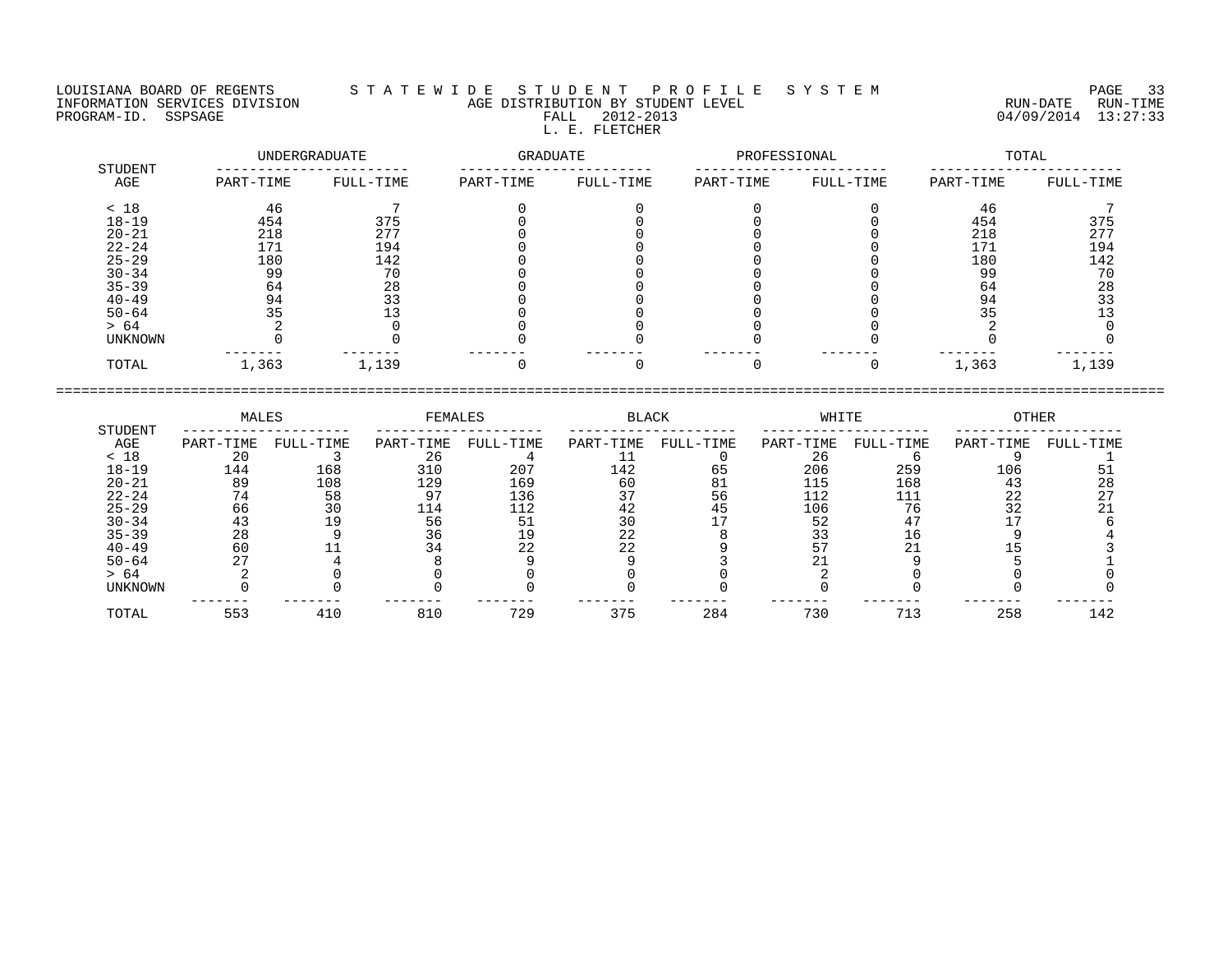FALL 2012-2013<br>L. E. FLETCHER

LOUISIANA BOARD OF REGENTS S T A T E W I D E S T U D E N T P R O F I L E S Y S T E M PAGE 33 INFORMATION SERVICES DIVISION AGE DISTRIBUTION BY STUDENT LEVEL RUN-DATE RUN-TIME PROGRAM-ID. SSPSAGE FALL 2012-2013 FALL 2012-2013 2012-2013 04/09/2014 13:27:33

|                | UNDERGRADUATE |           | GRADUATE  |           | PROFESSIONAL |           | TOTAL     |           |  |
|----------------|---------------|-----------|-----------|-----------|--------------|-----------|-----------|-----------|--|
| STUDENT<br>AGE | PART-TIME     | FULL-TIME | PART-TIME | FULL-TIME | PART-TIME    | FULL-TIME | PART-TIME | FULL-TIME |  |
| < 18           | 46            |           |           |           |              |           | 46        |           |  |
| $18 - 19$      | 454           | 375       |           |           |              |           | 454       | 375       |  |
| $20 - 21$      | 218           | 277       |           |           |              |           | 218       | 277       |  |
| $22 - 24$      | 171           | 194       |           |           |              |           | 171       | 194       |  |
| $25 - 29$      | 180           | 142       |           |           |              |           | 180       | 142       |  |
| $30 - 34$      | 99            | 70        |           |           |              |           | 99        | 70        |  |
| $35 - 39$      | 64            | 28        |           |           |              |           | 64        | 28        |  |
| $40 - 49$      | 94            | 33        |           |           |              |           | 94        | 33        |  |
| $50 - 64$      | 35            |           |           |           |              |           |           |           |  |
| > 64           |               |           |           |           |              |           |           |           |  |
| <b>UNKNOWN</b> |               |           |           |           |              |           |           |           |  |
| TOTAL          | 1,363         | 1,139     |           |           |              |           | 1,363     | 1,139     |  |

|           | MALES     |           | FEMALES   |           | BLACK     |           | WHITE     |           | OTHER     |           |
|-----------|-----------|-----------|-----------|-----------|-----------|-----------|-----------|-----------|-----------|-----------|
| STUDENT   |           |           |           |           |           |           |           |           |           |           |
| AGE       | PART-TIME | FULL-TIME | PART-TIME | FULL-TIME | PART-TIME | FULL-TIME | PART-TIME | FULL-TIME | PART-TIME | FULL-TIME |
| < 18      | 20        |           | 26        |           |           |           | 26        |           |           |           |
| $18 - 19$ | 144       | 168       | 310       | 207       | 142       | 65        | 206       | 259       | 106       |           |
| $20 - 21$ | 89        | 108       | 129       | 169       | 60        | 81        | 115       | 168       | 43        | 28        |
| $22 - 24$ | 74        | 58        | 97        | 136       |           | 56        | 112       |           | 22        |           |
| $25 - 29$ | 66        | 30        | 114       | 112       | 42        | 45        | 106       | 76        | 32        |           |
| $30 - 34$ | 43        | 19        | 56        |           |           |           | 52        |           |           |           |
| $35 - 39$ | 28        |           | 36        |           | 22        |           |           | L b       |           |           |
| $40 - 49$ | 60        |           | 34        | 22        | 22        |           |           |           |           |           |
| $50 - 64$ |           |           |           |           |           |           |           |           |           |           |
| > 64      |           |           |           |           |           |           |           |           |           |           |
| UNKNOWN   |           |           |           |           |           |           |           |           |           |           |
| TOTAL     | 553       | 410       | 810       | 729       | 375       | 284       | 730       | 713       | 258       | 142       |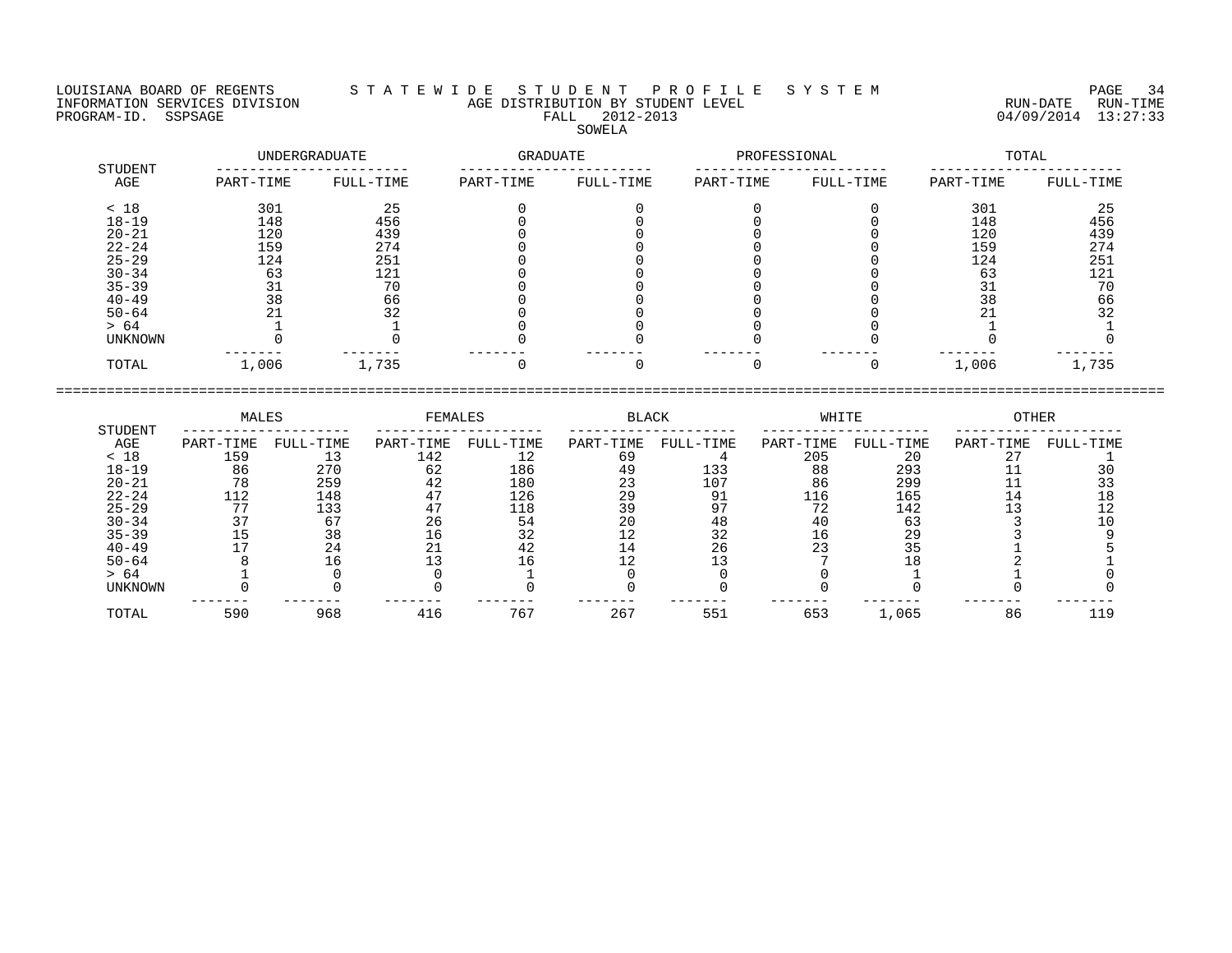LOUISIANA BOARD OF REGENTS S T A T E W I D E S T U D E N T P R O F I L E S Y S T E M PAGE 34 INFORMATION SERVICES DIVISION AGE DISTRIBUTION BY STUDENT LEVEL RUN-DATE RUN-TIME PROGRAM-ID. SSPSAGE FALL 2012-2013 FALL 2012-2013 2012-2013 04/09/2014 13:27:33 SOWELA

| STUDENT        |           | UNDERGRADUATE | GRADUATE  |           | PROFESSIONAL |           | TOTAL     |           |  |
|----------------|-----------|---------------|-----------|-----------|--------------|-----------|-----------|-----------|--|
| AGE            | PART-TIME | FULL-TIME     | PART-TIME | FULL-TIME | PART-TIME    | FULL-TIME | PART-TIME | FULL-TIME |  |
| < 18           | 301       | 25            |           |           |              |           | 301       | 25        |  |
| $18 - 19$      | 148       | 456           |           |           |              |           | 148       | 456       |  |
| $20 - 21$      | 120       | 439           |           |           |              |           | 120       | 439       |  |
| $22 - 24$      | 159       | 274           |           |           |              |           | 159       | 274       |  |
| $25 - 29$      | 124       | 251           |           |           |              |           | 124       | 251       |  |
| $30 - 34$      | 63        | 121           |           |           |              |           | 63        | 121       |  |
| $35 - 39$      |           | 70            |           |           |              |           |           | 70        |  |
| $40 - 49$      | 38        | 66            |           |           |              |           | 38        | 66        |  |
| $50 - 64$      |           | 32            |           |           |              |           |           | 32        |  |
| > 64           |           |               |           |           |              |           |           |           |  |
| <b>UNKNOWN</b> |           |               |           |           |              |           |           |           |  |
| TOTAL          | 1,006     | 1,735         |           |           |              |           | 1,006     | 1,735     |  |

| STUDENT   | MALES     |           | FEMALES   |           | <b>BLACK</b> |           | WHITE     |           | <b>OTHER</b> |           |
|-----------|-----------|-----------|-----------|-----------|--------------|-----------|-----------|-----------|--------------|-----------|
| AGE       | PART-TIME | FULL-TIME | PART-TIME | FULL-TIME | PART-TIME    | FULL-TIME | PART-TIME | FULL-TIME | PART-TIME    | FULL-TIME |
| < 18      | 159       | 13        | 142       | 12        | 69           |           | 205       | 20        | 27           |           |
| $18 - 19$ | 86        | 270       | 62        | 186       | 49           | 133       | 88        | 293       |              | 30        |
| $20 - 21$ | 78        | 259       | 42        | 180       | 23           | 107       | 86        | 299       |              |           |
| $22 - 24$ | 112       | 148       | 47        | 126       | 29           | 91        | 116       | 165       | 14           | 18        |
| $25 - 29$ | 77        | 133       | 47        | 118       | 39           | 97        | 72        | 142       |              | 12        |
| $30 - 34$ | 37        | 67        | 26        | 54        | 20           | 48        | 40        | 63        |              | 10        |
| $35 - 39$ | 15        | 38        | 16        | 32        | ຳ<br>⊥∠      | 32        | 16        | 29        |              |           |
| $40 - 49$ |           | 24        | 21        | 42        | 14           | 26        | 23        | 35        |              |           |
| $50 - 64$ |           | 16        |           | 16        | 1 O          |           |           | 18        |              |           |
| > 64      |           |           |           |           |              |           |           |           |              |           |
| UNKNOWN   |           |           |           |           |              |           |           |           |              |           |
| TOTAL     | 590       | 968       | 416       | 767       | 267          | 551       | 653       | 1,065     | 86           | 119       |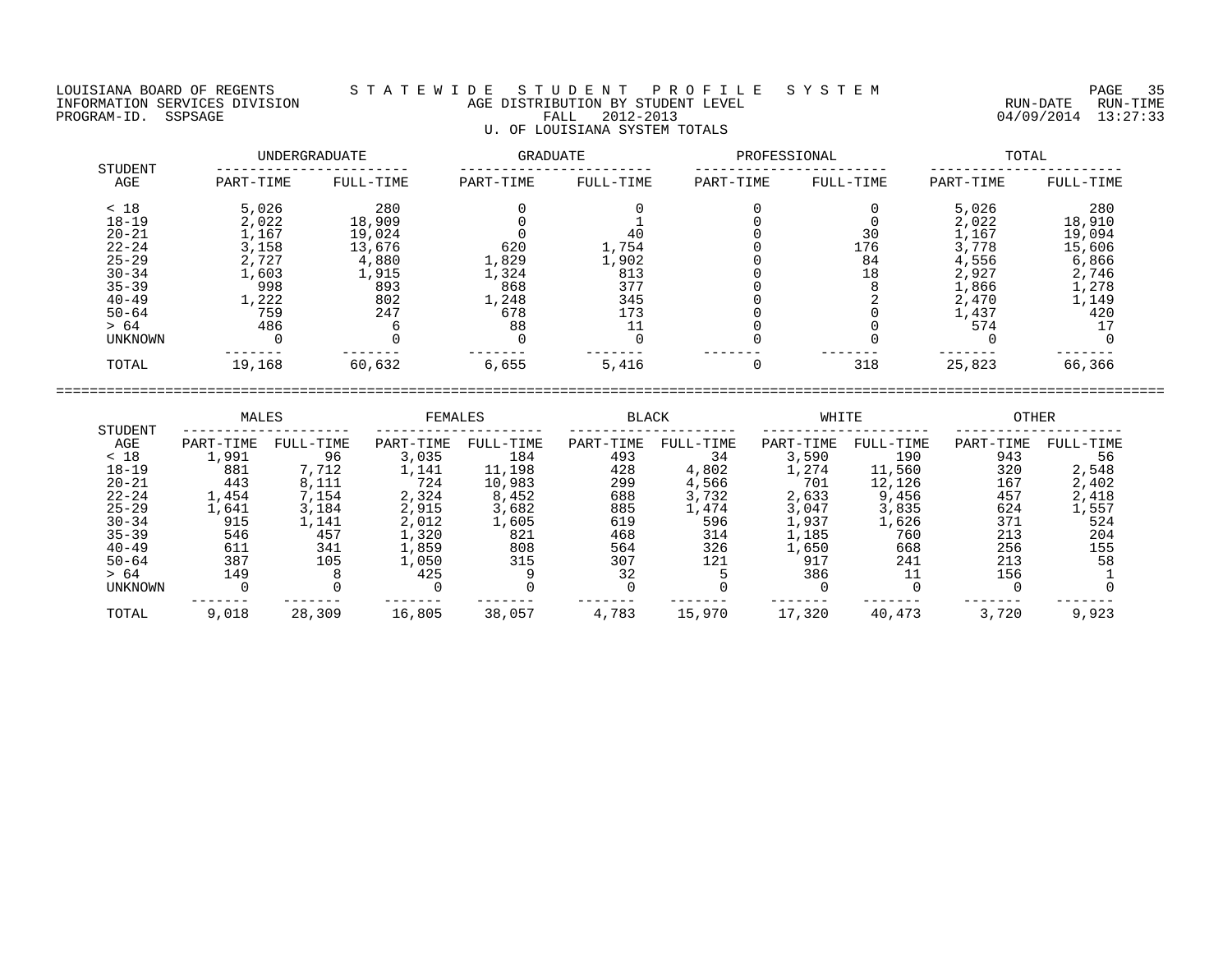## LOUISIANA BOARD OF REGENTS S T A T E W I D E S T U D E N T P R O F I L E S Y S T E M PAGE 35 INFORMATION SERVICES DIVISION AGE DISTRIBUTION BY STUDENT LEVEL RUN-DATE RUN-TIME PROGRAM-ID. SSPSAGE FALL 2012-2013 04/09/2014 13:27:33 U. OF LOUISIANA SYSTEM TOTALS

|                | UNDERGRADUATE |           | <b>GRADUATE</b> |           | PROFESSIONAL |           | TOTAL     |           |  |
|----------------|---------------|-----------|-----------------|-----------|--------------|-----------|-----------|-----------|--|
| STUDENT<br>AGE | PART-TIME     | FULL-TIME | PART-TIME       | FULL-TIME | PART-TIME    | FULL-TIME | PART-TIME | FULL-TIME |  |
| < 18           | 5,026         | 280       |                 |           |              |           | 5,026     | 280       |  |
| $18 - 19$      | 2,022         | 18,909    |                 |           |              |           | 2,022     | 18,910    |  |
| $20 - 21$      | 1,167         | 19,024    |                 | 40        |              | 30        | 1,167     | 19,094    |  |
| $22 - 24$      | 3,158         | 13,676    | 620             | 1,754     |              | 176       | 3,778     | 15,606    |  |
| $25 - 29$      | 2,727         | 4,880     | 1,829           | 1,902     |              | 84        | 4,556     | 6,866     |  |
| $30 - 34$      | 1,603         | 1,915     | 1,324           | 813       |              | 18        | 2,927     | 2,746     |  |
| $35 - 39$      | 998           | 893       | 868             | 377       |              |           | 1,866     | 1,278     |  |
| $40 - 49$      | 1,222         | 802       | 1,248           | 345       |              |           | 2,470     | 1,149     |  |
| $50 - 64$      | 759           | 247       | 678             | 173       |              |           | 1,437     | 420       |  |
| > 64           | 486           |           | 88              |           |              |           | 574       |           |  |
| UNKNOWN        |               |           |                 |           |              |           |           |           |  |
| TOTAL          | 19,168        | 60,632    | 6,655           | 5,416     |              | 318       | 25,823    | 66,366    |  |

|                | MALES     |           | FEMALES   |           | <b>BLACK</b> |           | WHITE     |           | <b>OTHER</b> |           |
|----------------|-----------|-----------|-----------|-----------|--------------|-----------|-----------|-----------|--------------|-----------|
| STUDENT<br>AGE | PART-TIME | FULL-TIME | PART-TIME | FULL-TIME | PART-TIME    | FULL-TIME | PART-TIME | FULL-TIME | PART-TIME    | FULL-TIME |
| < 18           | 1,991     | 96        | 3,035     | 184       | 493          | 34        | 3,590     | 190       | 943          | 56        |
| $18 - 19$      | 881       | 7,712     | 1,141     | 11,198    | 428          | 4,802     | 1,274     | 11,560    | 320          | 2,548     |
| $20 - 21$      | 443       | 8,111     | 724       | 10,983    | 299          | 4,566     | 701       | 12,126    | 167          | 2,402     |
| $22 - 24$      | 1,454     | 7,154     | 2,324     | 8,452     | 688          | 3,732     | 2,633     | 9,456     | 457          | 2,418     |
| $25 - 29$      | 1,641     | 3,184     | 2,915     | 3,682     | 885          | 1,474     | 3,047     | 3,835     | 624          | 1,557     |
| $30 - 34$      | 915       | 1,141     | 2,012     | 1,605     | 619          | 596       | 1,937     | 1,626     | 371          | 524       |
| $35 - 39$      | 546       | 457       | 1,320     | 821       | 468          | 314       | 1,185     | 760       | 213          | 204       |
| $40 - 49$      | 611       | 341       | 1,859     | 808       | 564          | 326       | 1,650     | 668       | 256          | 155       |
| $50 - 64$      | 387       | 105       | 1,050     | 315       | 307          | 121       | 917       | 241       | 213          | 58        |
| > 64           | 149       |           | 425       |           | 32           |           | 386       |           | 156          |           |
| <b>UNKNOWN</b> |           |           |           |           |              |           |           |           |              |           |
| TOTAL          | 9,018     | 28,309    | 16,805    | 38,057    | 4,783        | 15,970    | 17,320    | 40,473    | 3,720        | 9,923     |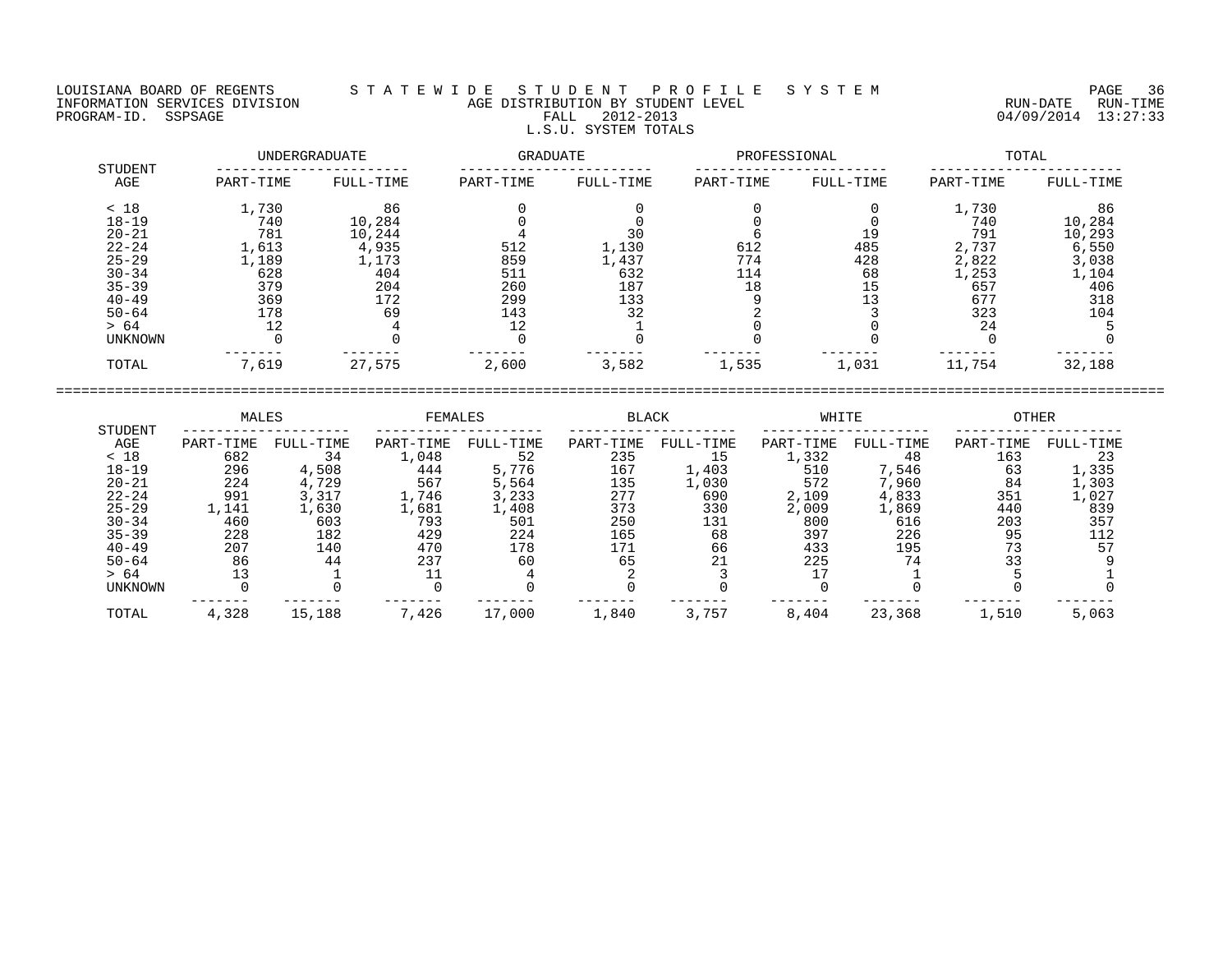## LOUISIANA BOARD OF REGENTS S T A T E W I D E S T U D E N T P R O F I L E S Y S T E M PAGE 36 INFORMATION SERVICES DIVISION AGE DISTRIBUTION BY STUDENT LEVEL RUN-DATE RUN-TIME ENGENIE SOMETHOUS DIVISION CONTROLLED TO AGE DISTRIBUTION BY STUDENT LEVEL CONTROLLED TO THE RUN-DATE RUN-TIME<br>PROGRAM-ID. SSPSAGE PROGRAM-ID. SSPSAGE PALL 2012-2013 04/09/2014 13:27:33 L.S.U. SYSTEM TOTALS

|                | UNDERGRADUATE |           |           | GRADUATE  |           | PROFESSIONAL | TOTAL     |           |  |
|----------------|---------------|-----------|-----------|-----------|-----------|--------------|-----------|-----------|--|
| STUDENT<br>AGE | PART-TIME     | FULL-TIME | PART-TIME | FULL-TIME | PART-TIME | FULL-TIME    | PART-TIME | FULL-TIME |  |
| < 18           | 1,730         | 86        |           |           |           |              | 1,730     | 86        |  |
| $18 - 19$      | 740           | 10,284    |           |           |           |              | 740       | 10,284    |  |
| $20 - 21$      | 781           | 10,244    |           | 30        |           | 19           | 791       | 10,293    |  |
| $22 - 24$      | 1,613         | 4,935     | 512       | 1,130     | 612       | 485          | 2,737     | 6,550     |  |
| $25 - 29$      | 1,189         | 1,173     | 859       | 1,437     | 774       | 428          | 2,822     | 3,038     |  |
| $30 - 34$      | 628           | 404       | 511       | 632       | 114       | 68           | 1,253     | 1,104     |  |
| $35 - 39$      | 379           | 204       | 260       | 187       | 18        | 15           | 657       | 406       |  |
| $40 - 49$      | 369           | 172       | 299       | 133       |           | 13           | 677       | 318       |  |
| $50 - 64$      | 178           | 69        | 143       | 32        |           |              | 323       | 104       |  |
| > 64           | 12            |           | 12        |           |           |              | 24        |           |  |
| UNKNOWN        |               |           |           |           |           |              |           |           |  |
| TOTAL          | 7,619         | 27,575    | 2,600     | 3,582     | 1,535     | 1,031        | 11,754    | 32,188    |  |

|                | MALES     |           | FEMALES   |           | <b>BLACK</b> |           | WHITE     |           | OTHER     |           |  |
|----------------|-----------|-----------|-----------|-----------|--------------|-----------|-----------|-----------|-----------|-----------|--|
| STUDENT<br>AGE | PART-TIME | FULL-TIME | PART-TIME | FULL-TIME | PART-TIME    | FULL-TIME | PART-TIME | FULL-TIME | PART-TIME | FULL-TIME |  |
| < 18           | 682       | 34        | 1,048     | 52        | 235          |           | 1,332     | 48        | 163       |           |  |
| $18 - 19$      | 296       | 4,508     | 444       | 5,776     | 167          | 1,403     | 510       | 7,546     | 63        | 1,335     |  |
| $20 - 21$      | 224       | 4,729     | 567       | 5,564     | 135          | 1,030     | 572       | 7,960     | 84        | 1,303     |  |
| $22 - 24$      | 991       | 3,317     | 1,746     | 3,233     | 277          | 690       | 2,109     | 4,833     | 351       | 1,027     |  |
| $25 - 29$      | 1,141     | 1,630     | 1,681     | 1,408     | 373          | 330       | 2,009     | 1,869     | 440       | 839       |  |
| $30 - 34$      | 460       | 603       | 793       | 501       | 250          | 131       | 800       | 616       | 203       | 357       |  |
| $35 - 39$      | 228       | 182       | 429       | 224       | 165          | 68        | 397       | 226       | 95        | 112       |  |
| $40 - 49$      | 207       | 140       | 470       | 178       | 171          | 66        | 433       | 195       | 73        |           |  |
| $50 - 64$      | 86        | 44        | 237       | 60        | 65           | 21        | 225       | 74        |           |           |  |
| > 64           |           |           |           |           |              |           |           |           |           |           |  |
| UNKNOWN        |           |           |           |           |              |           |           |           |           |           |  |
| TOTAL          | 4,328     | 15,188    | 7,426     | 17,000    | 1,840        | 3,757     | 8,404     | 23,368    | 1,510     | 5,063     |  |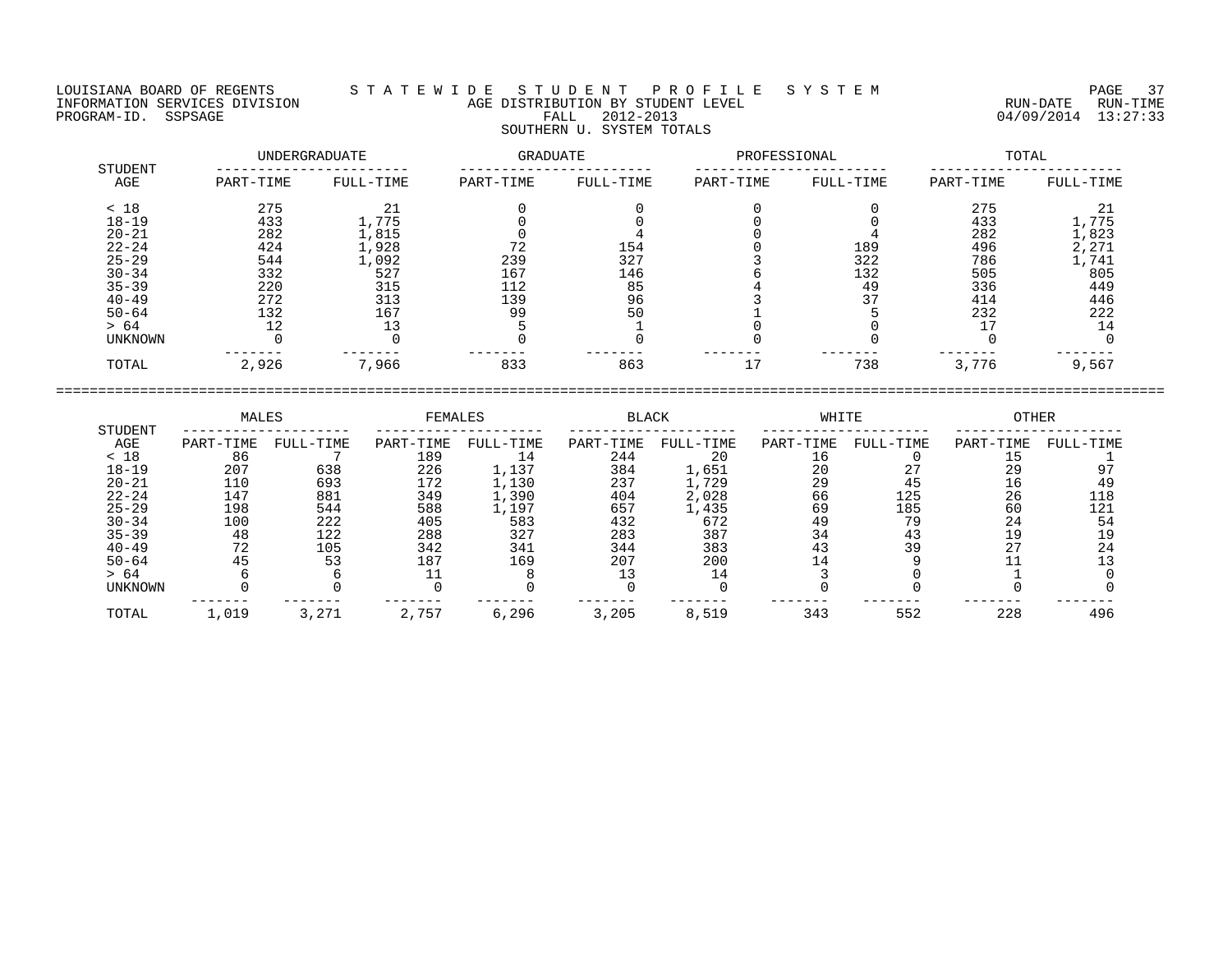## LOUISIANA BOARD OF REGENTS S T A T E W I D E S T U D E N T P R O F I L E S Y S T E M PAGE 37 INFORMATION SERVICES DIVISION AGE DISTRIBUTION BY STUDENT LEVEL RUN-DATE RUN-TIME PROGRAM-ID. SSPSAGE FALL 2012-2013 04/09/2014 13:27:33 SOUTHERN U. SYSTEM TOTALS

|                | UNDERGRADUATE |           | GRADUATE  |           | PROFESSIONAL |           | TOTAL     |           |  |
|----------------|---------------|-----------|-----------|-----------|--------------|-----------|-----------|-----------|--|
| STUDENT<br>AGE | PART-TIME     | FULL-TIME | PART-TIME | FULL-TIME | PART-TIME    | FULL-TIME | PART-TIME | FULL-TIME |  |
| < 18           | 275           | 21        |           |           |              |           | 275       | 21        |  |
| $18 - 19$      | 433           | 1,775     |           |           |              |           | 433       | 1,775     |  |
| $20 - 21$      | 282           | 1,815     |           |           |              |           | 282       | 1,823     |  |
| $22 - 24$      | 424           | 1,928     | 72        | 154       |              | 189       | 496       | 2,271     |  |
| $25 - 29$      | 544           | 1,092     | 239       | 327       |              | 322       | 786       | 1,741     |  |
| $30 - 34$      | 332           | 527       | 167       | 146       |              | 132       | 505       | 805       |  |
| $35 - 39$      | 220           | 315       | 112       | 85        |              | 49        | 336       | 449       |  |
| $40 - 49$      | 272           | 313       | 139       | 96        |              | 37        | 414       | 446       |  |
| $50 - 64$      | 132           | 167       | 99        | 50        |              |           | 232       | 222       |  |
| > 64           | 12            | 13        |           |           |              |           |           | 14        |  |
| UNKNOWN        |               |           |           |           |              |           |           |           |  |
| TOTAL          | 2,926         | 7,966     | 833       | 863       | 17           | 738       | 3,776     | 9,567     |  |

|                | MALES     |           | FEMALES   |           | <b>BLACK</b> |           | WHITE     |           | <b>OTHER</b> |           |
|----------------|-----------|-----------|-----------|-----------|--------------|-----------|-----------|-----------|--------------|-----------|
| STUDENT<br>AGE | PART-TIME | FULL-TIME | PART-TIME | FULL-TIME | PART-TIME    | FULL-TIME | PART-TIME | FULL-TIME | PART-TIME    | FULL-TIME |
| < 18           | 86        |           | 189       | 14        | 244          | 20        | 16        |           |              |           |
| $18 - 19$      | 207       | 638       | 226       | 1,137     | 384          | 1,651     | 20        | ر ہے      | 29           |           |
| $20 - 21$      | 110       | 693       | 172       | 1,130     | 237          | 1,729     | 29        | 45        | 16           | 49        |
| $22 - 24$      | 147       | 881       | 349       | 1,390     | 404          | 2,028     | 66        | 125       | 26           | 118       |
| $25 - 29$      | 198       | 544       | 588       | 1,197     | 657          | 1,435     | 69        | 185       | 60           | 121       |
| $30 - 34$      | 100       | 222       | 405       | 583       | 432          | 672       | 49        | 79        | 24           | 54        |
| $35 - 39$      | 48        | 122       | 288       | 327       | 283          | 387       | 34        | 43        | 19           | 19        |
| $40 - 49$      | 72        | 105       | 342       | 341       | 344          | 383       | 43        | 39        | 27           | 24        |
| $50 - 64$      | 45        | 53        | 187       | 169       | 207          | 200       |           |           |              |           |
| > 64           |           |           |           |           |              |           |           |           |              |           |
| <b>UNKNOWN</b> |           |           |           |           |              |           |           |           |              |           |
| TOTAL          | 1,019     | 3,271     | 2,757     | 6,296     | 3,205        | 8,519     | 343       | 552       | 228          | 496       |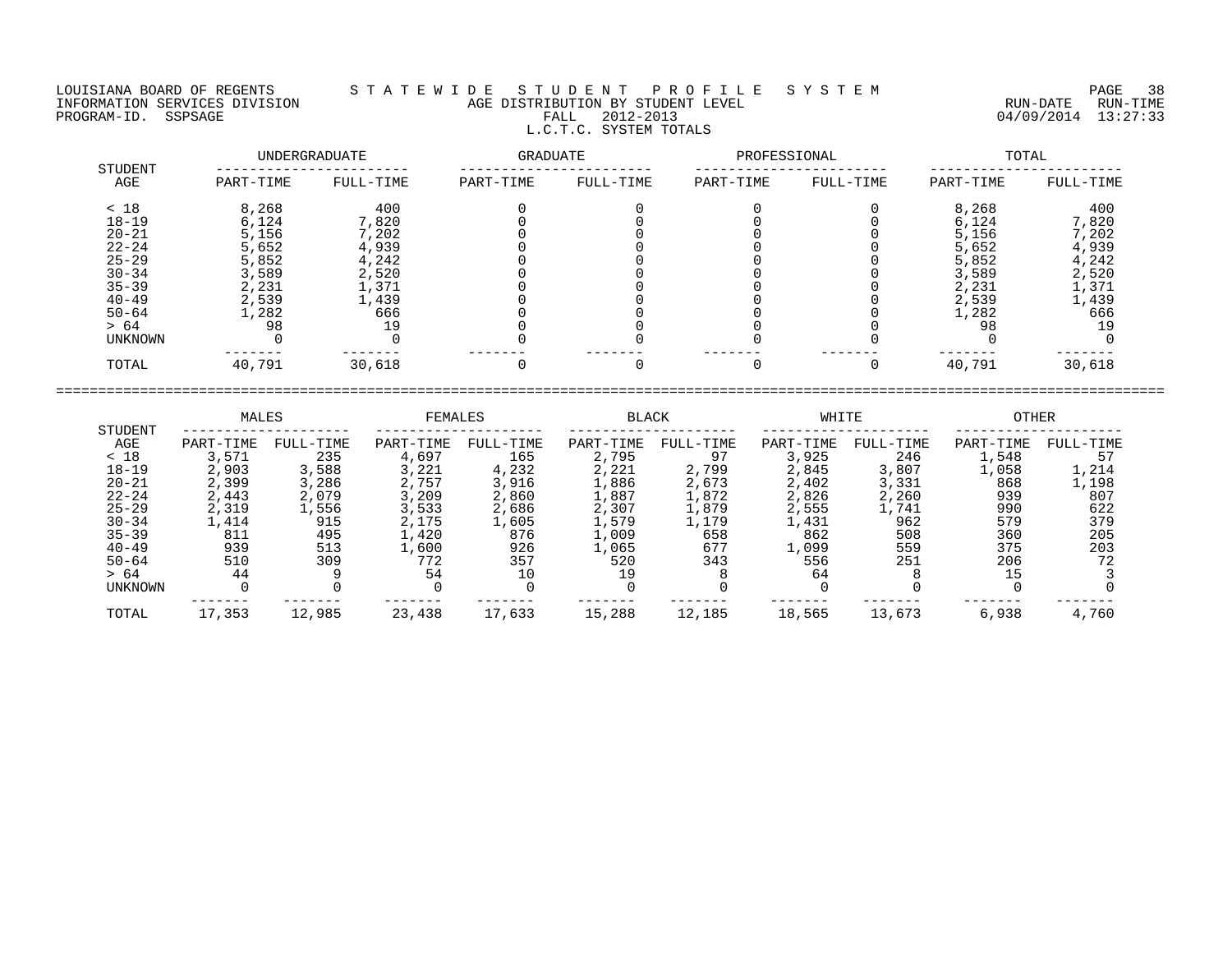## LOUISIANA BOARD OF REGENTS S T A T E W I D E S T U D E N T P R O F I L E S Y S T E M PAGE 38 INFORMATION SERVICES DIVISION AGE DISTRIBUTION BY STUDENT LEVEL RUN-DATE RUN-TIME PROGRAM-ID. SSPSAGE FALL 2012-2013 04/09/2014 13:27:33 L.C.T.C. SYSTEM TOTALS

| STUDENT   | UNDERGRADUATE |           | GRADUATE  |           | PROFESSIONAL |           | TOTAL     |           |  |
|-----------|---------------|-----------|-----------|-----------|--------------|-----------|-----------|-----------|--|
| AGE       | PART-TIME     | FULL-TIME | PART-TIME | FULL-TIME | PART-TIME    | FULL-TIME | PART-TIME | FULL-TIME |  |
| < 18      | 8,268         | 400       |           |           |              |           | 8,268     | 400       |  |
| $18 - 19$ | 6,124         | 7,820     |           |           |              |           | 6,124     | 7,820     |  |
| $20 - 21$ | 5,156         | 7,202     |           |           |              |           | 5,156     | 7,202     |  |
| $22 - 24$ | 5,652         | 4,939     |           |           |              |           | 5,652     | 4,939     |  |
| $25 - 29$ | 5,852         | 4,242     |           |           |              |           | 5,852     | 4,242     |  |
| $30 - 34$ | 3,589         | 2,520     |           |           |              |           | 3,589     | 2,520     |  |
| $35 - 39$ | 2,231         | 1,371     |           |           |              |           | 2,231     | 1,371     |  |
| $40 - 49$ | 2,539         | 1,439     |           |           |              |           | 2,539     | 1,439     |  |
| $50 - 64$ | 1,282         | 666       |           |           |              |           | 1,282     | 666       |  |
| > 64      | 98            | 19        |           |           |              |           | 98        | 19        |  |
| UNKNOWN   |               |           |           |           |              |           |           |           |  |
| TOTAL     | 40,791        | 30,618    |           |           |              |           | 40,791    | 30,618    |  |

|                | MALES     |           | FEMALES   |           | <b>BLACK</b> |           | WHITE     |           | OTHER     |           |
|----------------|-----------|-----------|-----------|-----------|--------------|-----------|-----------|-----------|-----------|-----------|
| STUDENT<br>AGE | PART-TIME | FULL-TIME | PART-TIME | FULL-TIME | PART-TIME    | FULL-TIME | PART-TIME | FULL-TIME | PART-TIME | FULL-TIME |
| < 18           | 3,571     | 235       | 4,697     | 165       | 2,795        | 97        | 3,925     | 246       | 1,548     |           |
| $18 - 19$      | 2,903     | 3,588     | 3,221     | 4,232     | 2,221        | 2,799     | 2,845     | 3,807     | 1,058     | 1,214     |
| $20 - 21$      | 2,399     | 3,286     | 2,757     | 3,916     | 1,886        | 2,673     | 2,402     | 3,331     | 868       | 1,198     |
| $22 - 24$      | 2,443     | 2,079     | 3,209     | 2,860     | 1,887        | 1,872     | 2,826     | 2,260     | 939       | 807       |
| $25 - 29$      | 2,319     | 1,556     | 3,533     | 2,686     | 2,307        | 1,879     | 2,555     | 1,741     | 990       | 622       |
| $30 - 34$      | 1,414     | 915       | 2,175     | 1,605     | 1,579        | 1,179     | 1,431     | 962       | 579       | 379       |
| $35 - 39$      | 811       | 495       | 1,420     | 876       | L,009        | 658       | 862       | 508       | 360       | 205       |
| $40 - 49$      | 939       | 513       | 1,600     | 926       | 1,065        | 677       | 1,099     | 559       | 375       | 203       |
| $50 - 64$      | 510       | 309       | 772       | 357       | 520          | 343       | 556       | 251       | 206       | 72        |
| > 64           | 44        |           | 54        | 10        | 19           |           | 64        |           | 15        |           |
| UNKNOWN        |           |           |           |           |              |           |           |           |           |           |
| TOTAL          | 17,353    | 12,985    | 23,438    | 17,633    | 15,288       | 12,185    | 18,565    | 13,673    | 6,938     | 4,760     |